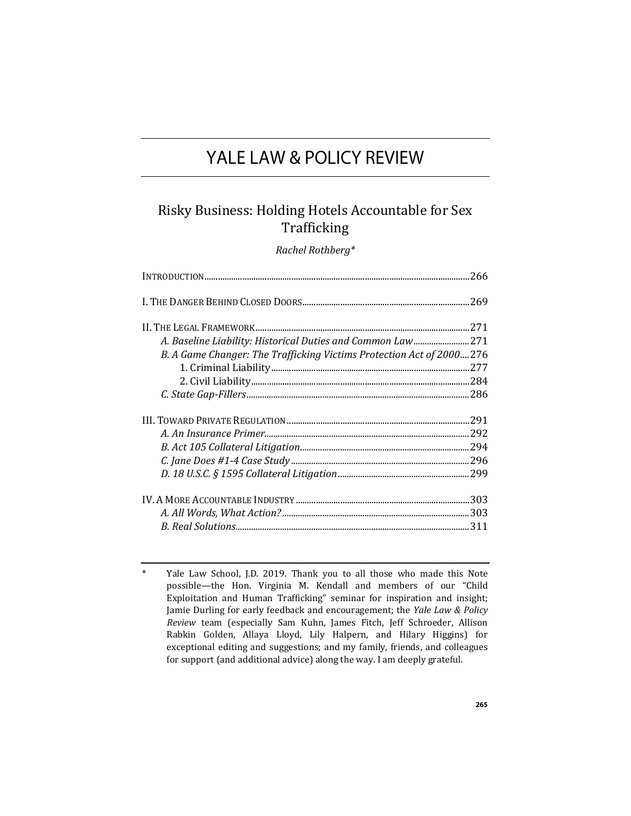# YALE LAW & POLICY REVIEW

## Risky Business: Holding Hotels Accountable for Sex Trafficking

*Rachel Rothberg\**

| A. Baseline Liability: Historical Duties and Common Law 271          |      |
|----------------------------------------------------------------------|------|
| B. A Game Changer: The Trafficking Victims Protection Act of 2000276 |      |
|                                                                      | .277 |
|                                                                      |      |
|                                                                      |      |
|                                                                      |      |
|                                                                      |      |
|                                                                      |      |
|                                                                      |      |
|                                                                      |      |
|                                                                      |      |
|                                                                      |      |
|                                                                      |      |

Yale Law School, J.D. 2019. Thank you to all those who made this Note possible—the Hon. Virginia M. Kendall and members of our "Child Exploitation and Human Trafficking" seminar for inspiration and insight; Jamie Durling for early feedback and encouragement; the *Yale Law & Policy Review* team (especially Sam Kuhn, James Fitch, Jeff Schroeder, Allison Rabkin Golden, Allaya Lloyd, Lily Halpern, and Hilary Higgins) for exceptional editing and suggestions; and my family, friends, and colleagues for support (and additional advice) along the way. I am deeply grateful.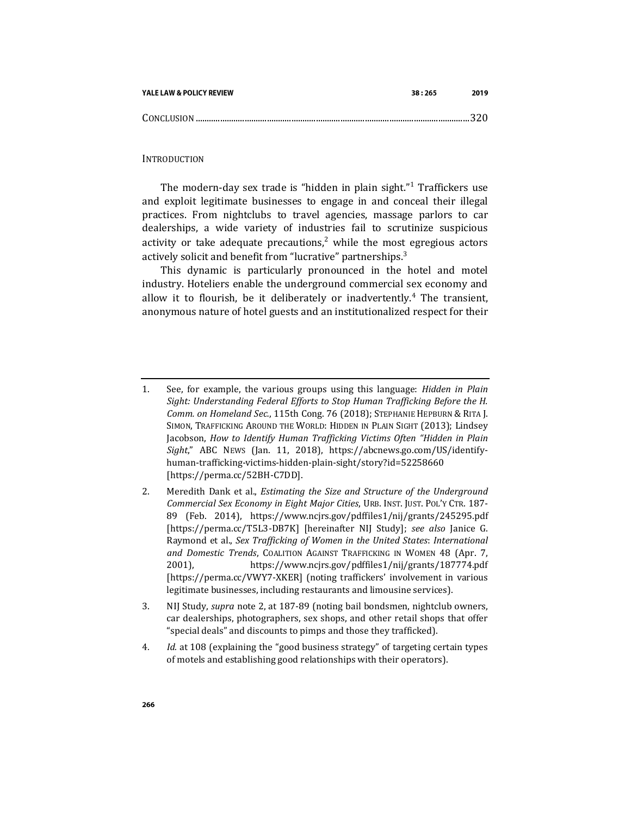| YALE LAW & POLICY REVIEW | 38:265 | 2019 |
|--------------------------|--------|------|
|                          |        |      |

INTRODUCTION

The modern-day sex trade is "hidden in plain sight."<sup>1</sup> Traffickers use and exploit legitimate businesses to engage in and conceal their illegal practices. From nightclubs to travel agencies, massage parlors to car dealerships, a wide variety of industries fail to scrutinize suspicious activity or take adequate precautions,<sup>2</sup> while the most egregious actors actively solicit and benefit from "lucrative" partnerships.<sup>3</sup>

<span id="page-1-0"></span>This dynamic is particularly pronounced in the hotel and motel industry. Hoteliers enable the underground commercial sex economy and allow it to flourish, be it deliberately or inadvertently.<sup>4</sup> The transient, anonymous nature of hotel guests and an institutionalized respect for their

4*. Id.* at 108 (explaining the "good business strategy" of targeting certain types of motels and establishing good relationships with their operators).

<sup>1.</sup> See, for example, the various groups using this language: *Hidden in Plain Sight: Understanding Federal Efforts to Stop Human Trafficking Before the H. Comm. on Homeland Sec.*, 115th Cong. 76 (2018); STEPHANIE HEPBURN & RITA J. SIMON, TRAFFICKING AROUND THE WORLD: HIDDEN IN PLAIN SIGHT (2013); Lindsey Jacobson, *How to Identify Human Trafficking Victims Often "Hidden in Plain Sight*," ABC NEWS (Jan. 11, 2018), https://abcnews.go.com/US/identifyhuman-trafficking-victims-hidden-plain-sight/story?id=52258660 [https://perma.cc/52BH-C7DD].

<sup>2.</sup> Meredith Dank et al., *Estimating the Size and Structure of the Underground Commercial Sex Economy in Eight Major Cities*, URB. INST. JUST. POL'Y CTR. 187- 89 (Feb. 2014), https://www.ncjrs.gov/pdffiles1/nij/grants/245295.pdf [https://perma.cc/T5L3-DB7K] [hereinafter NIJ Study]; *see also* Janice G. Raymond et al., *Sex Trafficking of Women in the United States*: *International and Domestic Trends*, COALITION AGAINST TRAFFICKING IN WOMEN 48 (Apr. 7, 2001), https://www.ncjrs.gov/pdffiles1/nij/grants/187774.pdf [https://perma.cc/VWY7-XKER] (noting traffickers' involvement in various legitimate businesses, including restaurants and limousine services).

<sup>3.</sup> NIJ Study, *supra* note [2,](#page-1-0) at 187-89 (noting bail bondsmen, nightclub owners, car dealerships, photographers, sex shops, and other retail shops that offer "special deals" and discounts to pimps and those they trafficked).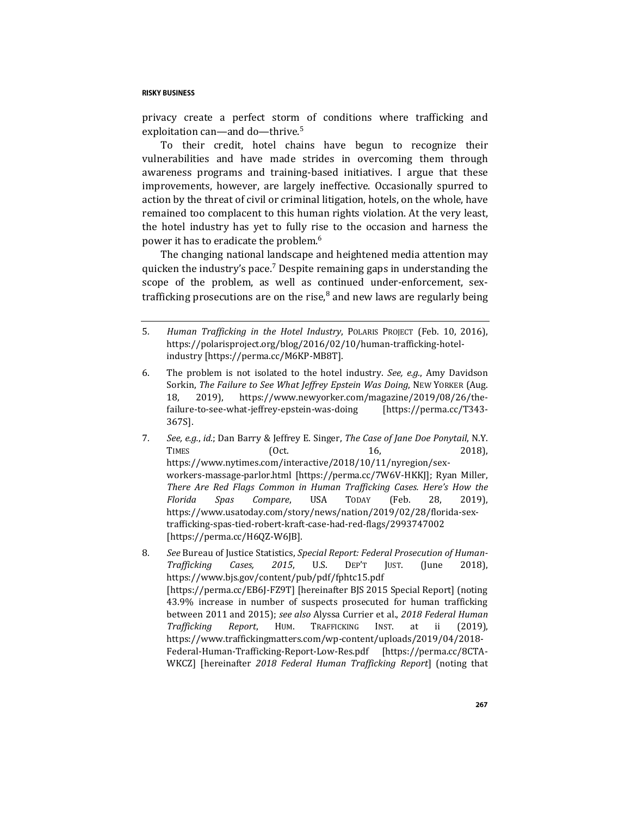privacy create a perfect storm of conditions where trafficking and exploitation can—and do—thrive.<sup>5</sup>

To their credit, hotel chains have begun to recognize their vulnerabilities and have made strides in overcoming them through awareness programs and training-based initiatives. I argue that these improvements, however, are largely ineffective. Occasionally spurred to action by the threat of civil or criminal litigation, hotels, on the whole, have remained too complacent to this human rights violation. At the very least, the hotel industry has yet to fully rise to the occasion and harness the power it has to eradicate the problem.<sup>6</sup>

<span id="page-2-1"></span><span id="page-2-0"></span>The changing national landscape and heightened media attention may quicken the industry's pace.<sup>7</sup> Despite remaining gaps in understanding the scope of the problem, as well as continued under-enforcement, sextrafficking prosecutions are on the rise, $8$  and new laws are regularly being

- 6. The problem is not isolated to the hotel industry. *See, e.g.*, Amy Davidson Sorkin, *The Failure to See What Jeffrey Epstein Was Doing*, NEW YORKER (Aug. 18, 2019), https://www.newyorker.com/magazine/2019/08/26/thefailure-to-see-what-jeffrey-epstein-was-doing [https://perma.cc/T343- 367S].
- 7*. See, e.g.*, *id.*; Dan Barry & Jeffrey E. Singer, *The Case of Jane Doe Ponytail*, N.Y. TIMES (Oct. 16, 2018), https://www.nytimes.com/interactive/2018/10/11/nyregion/sexworkers-massage-parlor.html [https://perma.cc/7W6V-HKKJ]; Ryan Miller, *There Are Red Flags Common in Human Trafficking Cases. Here's How the Florida Spas Compare*, USA TODAY (Feb. 28, 2019), https://www.usatoday.com/story/news/nation/2019/02/28/florida-sextrafficking-spas-tied-robert-kraft-case-had-red-flags/2993747002 [https://perma.cc/H6QZ-W6JB].
- 8*. See* Bureau of Justice Statistics, *Special Report: Federal Prosecution of Human-Trafficking Cases, 2015*, U.S. DEP'T JUST. (June 2018), https://www.bjs.gov/content/pub/pdf/fphtc15.pdf [https://perma.cc/EB6J-FZ9T] [hereinafter BJS 2015 Special Report] (noting 43.9% increase in number of suspects prosecuted for human trafficking between 2011 and 2015); *see also* Alyssa Currier et al., *2018 Federal Human Trafficking Report*, HUM. TRAFFICKING INST. at ii (2019), https://www.traffickingmatters.com/wp-content/uploads/2019/04/2018- Federal-Human-Trafficking-Report-Low-Res.pdf [https://perma.cc/8CTA-WKCZ] [hereinafter *2018 Federal Human Trafficking Report*] (noting that

<sup>5</sup>*. Human Trafficking in the Hotel Industry*, POLARIS PROJECT (Feb. 10, 2016), https://polarisproject.org/blog/2016/02/10/human-trafficking-hotelindustry [https://perma.cc/M6KP-MB8T].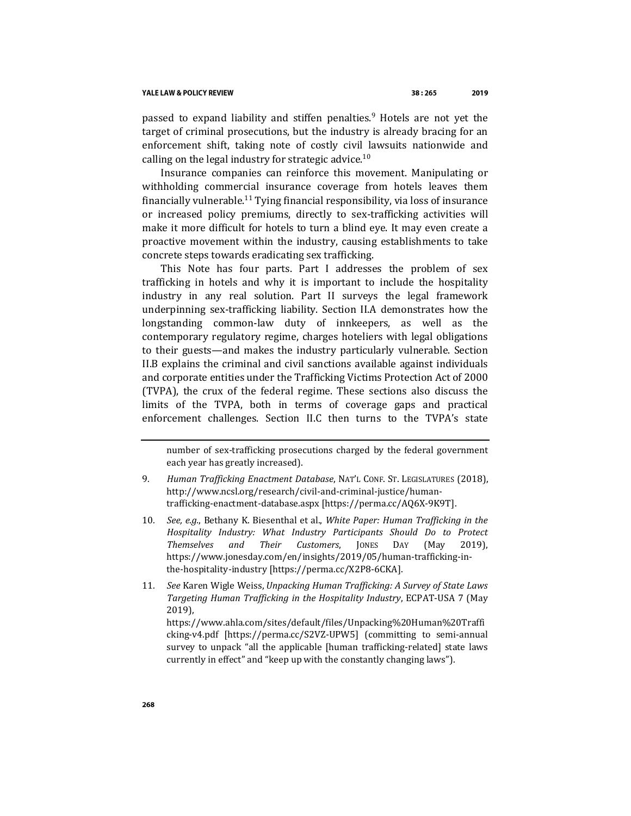<span id="page-3-1"></span>passed to expand liability and stiffen penalties.<sup>9</sup> Hotels are not yet the target of criminal prosecutions, but the industry is already bracing for an enforcement shift, taking note of costly civil lawsuits nationwide and calling on the legal industry for strategic advice.<sup>10</sup>

<span id="page-3-2"></span><span id="page-3-0"></span>Insurance companies can reinforce this movement. Manipulating or withholding commercial insurance coverage from hotels leaves them financially vulnerable.<sup>11</sup> Tying financial responsibility, via loss of insurance or increased policy premiums, directly to sex-trafficking activities will make it more difficult for hotels to turn a blind eye. It may even create a proactive movement within the industry, causing establishments to take concrete steps towards eradicating sex trafficking.

This Note has four parts. Part I addresses the problem of sex trafficking in hotels and why it is important to include the hospitality industry in any real solution. Part II surveys the legal framework underpinning sex-trafficking liability. Section II.A demonstrates how the longstanding common-law duty of innkeepers, as well as the contemporary regulatory regime, charges hoteliers with legal obligations to their guests—and makes the industry particularly vulnerable. Section II.B explains the criminal and civil sanctions available against individuals and corporate entities under the Trafficking Victims Protection Act of 2000 (TVPA), the crux of the federal regime. These sections also discuss the limits of the TVPA, both in terms of coverage gaps and practical enforcement challenges. Section II.C then turns to the TVPA's state

https://www.ahla.com/sites/default/files/Unpacking%20Human%20Traffi cking-v4.pdf [https://perma.cc/S2VZ-UPW5] (committing to semi-annual survey to unpack "all the applicable [human trafficking-related] state laws currently in effect" and "keep up with the constantly changing laws").

number of sex-trafficking prosecutions charged by the federal government each year has greatly increased).

<sup>9</sup>*. Human Trafficking Enactment Database*, NAT'L CONF. ST. LEGISLATURES (2018), http://www.ncsl.org/research/civil-and-criminal-justice/humantrafficking-enactment-database.aspx [https://perma.cc/AQ6X-9K9T].

<sup>10</sup>*. See, e.g.*, Bethany K. Biesenthal et al., *White Paper: Human Trafficking in the Hospitality Industry: What Industry Participants Should Do to Protect Themselves and Their Customers*, JONES DAY (May 2019), https://www.jonesday.com/en/insights/2019/05/human-trafficking-inthe-hospitality-industry [https://perma.cc/X2P8-6CKA].

<sup>11</sup>*. See* Karen Wigle Weiss, *Unpacking Human Trafficking: A Survey of State Laws Targeting Human Trafficking in the Hospitality Industry*, ECPAT-USA 7 (May 2019),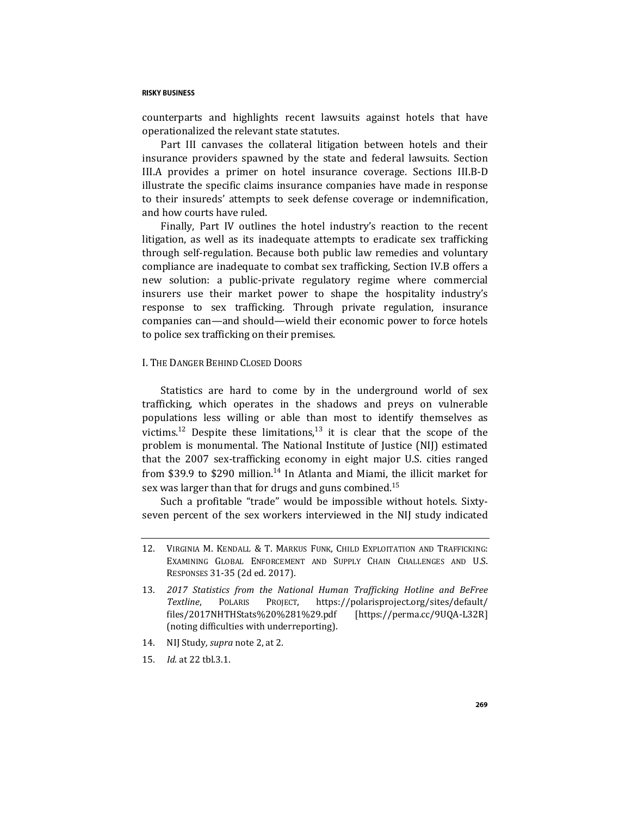counterparts and highlights recent lawsuits against hotels that have operationalized the relevant state statutes.

Part III canvases the collateral litigation between hotels and their insurance providers spawned by the state and federal lawsuits. Section III.A provides a primer on hotel insurance coverage. Sections III.B-D illustrate the specific claims insurance companies have made in response to their insureds' attempts to seek defense coverage or indemnification, and how courts have ruled.

Finally, Part IV outlines the hotel industry's reaction to the recent litigation, as well as its inadequate attempts to eradicate sex trafficking through self-regulation. Because both public law remedies and voluntary compliance are inadequate to combat sex trafficking, Section IV.B offers a new solution: a public-private regulatory regime where commercial insurers use their market power to shape the hospitality industry's response to sex trafficking. Through private regulation, insurance companies can—and should—wield their economic power to force hotels to police sex trafficking on their premises.

## I. THE DANGER BEHIND CLOSED DOORS

<span id="page-4-0"></span>Statistics are hard to come by in the underground world of sex trafficking, which operates in the shadows and preys on vulnerable populations less willing or able than most to identify themselves as victims.<sup>12</sup> Despite these limitations.<sup>13</sup> it is clear that the scope of the problem is monumental. The National Institute of Justice (NIJ) estimated that the 2007 sex-trafficking economy in eight major U.S. cities ranged from \$39.9 to \$290 million.<sup>14</sup> In Atlanta and Miami, the illicit market for sex was larger than that for drugs and guns combined.<sup>15</sup>

Such a profitable "trade" would be impossible without hotels. Sixtyseven percent of the sex workers interviewed in the NIJ study indicated

- 14. NIJ Study*, supra* not[e 2,](#page-1-0) at 2.
- 15*. Id.* at 22 tbl.3.1.

<sup>12.</sup> VIRGINIA M. KENDALL & T. MARKUS FUNK, CHILD EXPLOITATION AND TRAFFICKING: EXAMINING GLOBAL ENFORCEMENT AND SUPPLY CHAIN CHALLENGES AND U.S. RESPONSES 31-35 (2d ed. 2017).

<sup>13</sup>*. 2017 Statistics from the National Human Trafficking Hotline and BeFree Textline*, POLARIS PROJECT, https://polarisproject.org/sites/default/ files/2017NHTHStats%20%281%29.pdf [https://perma.cc/9UQA-L32R] (noting difficulties with underreporting).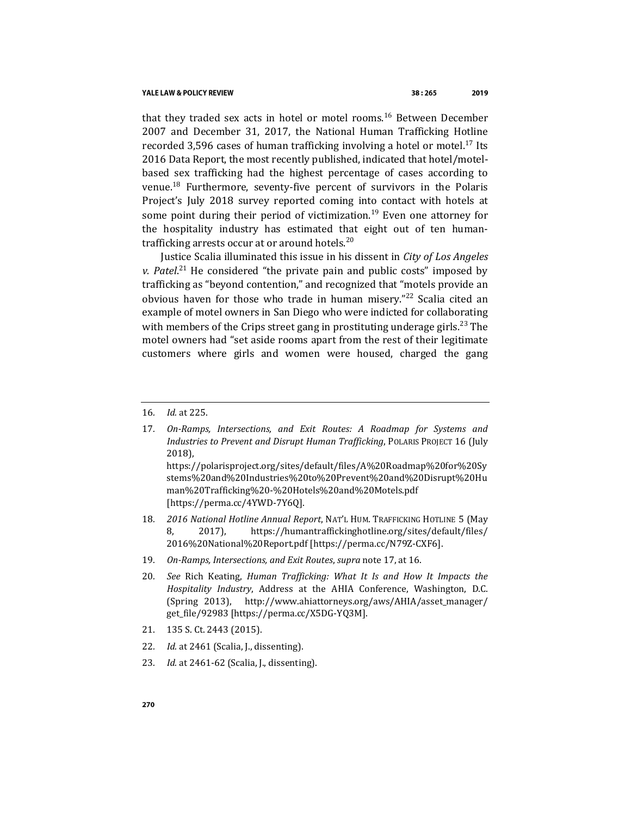#### YALE LAW & POLICY REVIEW

<span id="page-5-0"></span>that they traded sex acts in hotel or motel rooms.<sup>16</sup> Between December 2007 and December 31, 2017, the National Human Trafficking Hotline recorded 3,596 cases of human trafficking involving a hotel or motel.<sup>17</sup> Its 2016 Data Report, the most recently published, indicated that hotel/motelbased sex trafficking had the highest percentage of cases according to venue.<sup>18</sup> Furthermore, seventy-five percent of survivors in the Polaris Project's July 2018 survey reported coming into contact with hotels at some point during their period of victimization.<sup>19</sup> Even one attorney for the hospitality industry has estimated that eight out of ten humantrafficking arrests occur at or around hotels.<sup>20</sup>

Justice Scalia illuminated this issue in his dissent in *City of Los Angeles v. Patel*. <sup>21</sup> He considered "the private pain and public costs" imposed by trafficking as "beyond contention," and recognized that "motels provide an obvious haven for those who trade in human misery."<sup>22</sup> Scalia cited an example of motel owners in San Diego who were indicted for collaborating with members of the Crips street gang in prostituting underage girls.<sup>23</sup> The motel owners had "set aside rooms apart from the rest of their legitimate customers where girls and women were housed, charged the gang

https://polarisproject.org/sites/default/files/A%20Roadmap%20for%20Sy stems%20and%20Industries%20to%20Prevent%20and%20Disrupt%20Hu man%20Trafficking%20-%20Hotels%20and%20Motels.pdf [https://perma.cc/4YWD-7Y6Q].

- 18*. 2016 National Hotline Annual Report*, NAT'L HUM. TRAFFICKING HOTLINE 5 (May 8, 2017), https://humantraffickinghotline.org/sites/default/files/ 2016%20National%20Report.pdf [https://perma.cc/N79Z-CXF6].
- 19*. On-Ramps, Intersections, and Exit Routes*, *supra* not[e 17,](#page-5-0) at 16.
- 20*. See* Rich Keating, *Human Trafficking: What It Is and How It Impacts the Hospitality Industry*, Address at the AHIA Conference, Washington, D.C. (Spring 2013), http://www.ahiattorneys.org/aws/AHIA/asset\_manager/ get\_file/92983 [https://perma.cc/X5DG-YQ3M].
- 21. 135 S. Ct. 2443 (2015).
- 22*. Id.* at 2461 (Scalia, J., dissenting).
- 23*. Id.* at 2461-62 (Scalia, J., dissenting).

<sup>16</sup>*. Id.* at 225.

<sup>17</sup>*. On-Ramps, Intersections, and Exit Routes: A Roadmap for Systems and Industries to Prevent and Disrupt Human Trafficking*, POLARIS PROJECT 16 (July 2018),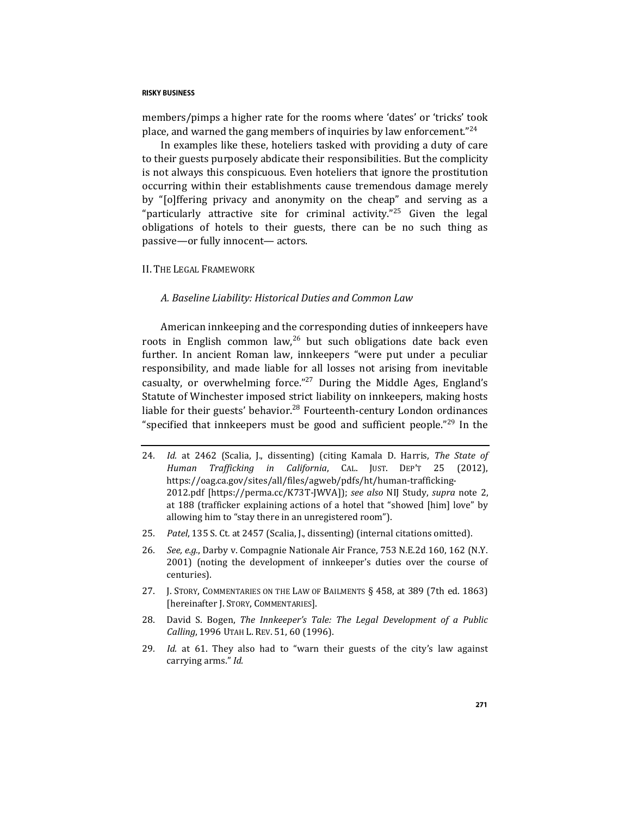members/pimps a higher rate for the rooms where 'dates' or 'tricks' took place, and warned the gang members of inquiries by law enforcement."<sup>24</sup>

In examples like these, hoteliers tasked with providing a duty of care to their guests purposely abdicate their responsibilities. But the complicity is not always this conspicuous. Even hoteliers that ignore the prostitution occurring within their establishments cause tremendous damage merely by "[o]ffering privacy and anonymity on the cheap" and serving as a "particularly attractive site for criminal activity."<sup>25</sup> Given the legal obligations of hotels to their guests, there can be no such thing as passive—or fully innocent— actors.

#### II. THE LEGAL FRAMEWORK

## <span id="page-6-0"></span>*A. Baseline Liability: Historical Duties and Common Law*

American innkeeping and the corresponding duties of innkeepers have roots in English common law,  $26$  but such obligations date back even further. In ancient Roman law, innkeepers "were put under a peculiar responsibility, and made liable for all losses not arising from inevitable casualty, or overwhelming force."<sup>27</sup> During the Middle Ages, England's Statute of Winchester imposed strict liability on innkeepers, making hosts liable for their guests' behavior.<sup>28</sup> Fourteenth-century London ordinances "specified that innkeepers must be good and sufficient people."<sup>29</sup> In the

- 24*. Id.* at 2462 (Scalia, J., dissenting) (citing Kamala D. Harris, *The State of Human Trafficking in California*, CAL. JUST. DEP'T 25 (2012), https://oag.ca.gov/sites/all/files/agweb/pdfs/ht/human-trafficking-2012.pdf [https://perma.cc/K73T-JWVA]); *see also* NIJ Study, *supra* note [2,](#page-1-0)  at 188 (trafficker explaining actions of a hotel that "showed [him] love" by allowing him to "stay there in an unregistered room").
- 25*. Patel*, 135 S. Ct*.* at 2457 (Scalia, J., dissenting) (internal citations omitted).
- 26*. See, e.g.*, Darby v. Compagnie Nationale Air France, 753 N.E.2d 160, 162 (N.Y. 2001) (noting the development of innkeeper's duties over the course of centuries).
- 27. J. STORY, COMMENTARIES ON THE LAW OF BAILMENTS § 458, at 389 (7th ed. 1863) [hereinafter J. STORY, COMMENTARIES].
- 28. David S. Bogen, *The Innkeeper's Tale: The Legal Development of a Public Calling*, 1996 UTAH L. REV. 51, 60 (1996).
- 29*. Id.* at 61. They also had to "warn their guests of the city's law against carrying arms." *Id.*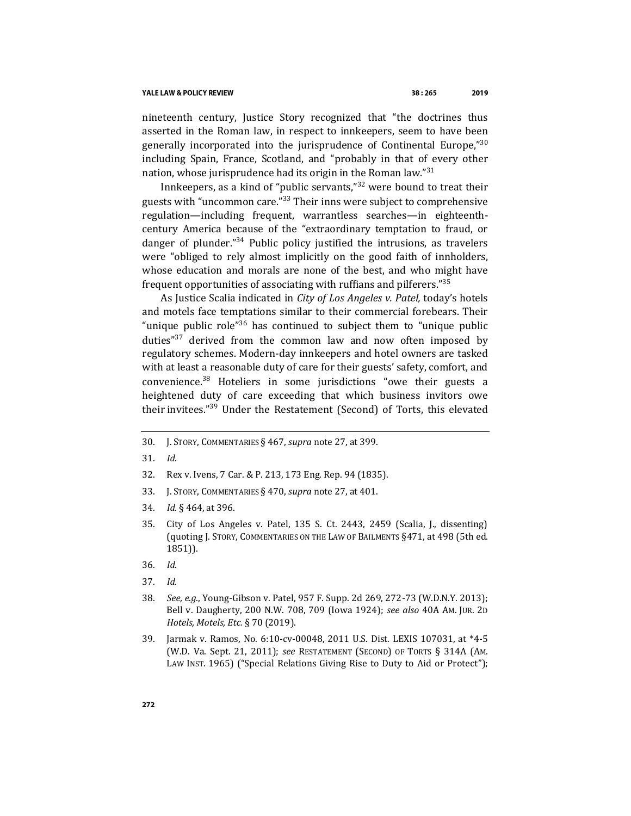nineteenth century, Justice Story recognized that "the doctrines thus asserted in the Roman law, in respect to innkeepers, seem to have been generally incorporated into the jurisprudence of Continental Europe," $30$ including Spain, France, Scotland, and "probably in that of every other nation, whose jurisprudence had its origin in the Roman law." $31$ 

<span id="page-7-0"></span>Innkeepers, as a kind of "public servants,"<sup>32</sup> were bound to treat their guests with "uncommon care."<sup>33</sup> Their inns were subject to comprehensive regulation—including frequent, warrantless searches—in eighteenthcentury America because of the "extraordinary temptation to fraud, or danger of plunder."<sup>34</sup> Public policy justified the intrusions, as travelers were "obliged to rely almost implicitly on the good faith of innholders, whose education and morals are none of the best, and who might have frequent opportunities of associating with ruffians and pilferers."<sup>35</sup>

<span id="page-7-1"></span>As Justice Scalia indicated in *City of Los Angeles v. Patel,* today's hotels and motels face temptations similar to their commercial forebears. Their "unique public role"<sup>36</sup> has continued to subject them to "unique public" duties" $37$  derived from the common law and now often imposed by regulatory schemes. Modern-day innkeepers and hotel owners are tasked with at least a reasonable duty of care for their guests' safety, comfort, and convenience.<sup>38</sup> Hoteliers in some jurisdictions "owe their guests a heightened duty of care exceeding that which business invitors owe their invitees."<sup>39</sup> Under the Restatement (Second) of Torts, this elevated

- 30. J. STORY, COMMENTARIES § 467, *supra* note [27,](#page-6-0) at 399.
- 31*. Id.*
- 32. Rex v. Ivens, 7 Car. & P. 213, 173 Eng. Rep. 94 (1835).
- 33. J. STORY, COMMENTARIES § 470, *supra* note [27,](#page-6-0) at 401.
- 34*. Id.* § 464, at 396.
- 35. City of Los Angeles v. Patel, 135 S. Ct. 2443, 2459 (Scalia, J., dissenting) (quoting J. STORY, COMMENTARIES ON THE LAW OF BAILMENTS §471, at 498 (5th ed. 1851)).
- 36*. Id.*
- 37*. Id.*
- 38*. See, e.g.*, Young-Gibson v. Patel, 957 F. Supp. 2d 269, 272-73 (W.D.N.Y. 2013); Bell v. Daugherty, 200 N.W. 708, 709 (Iowa 1924); *see also* 40A AM. JUR. 2D *Hotels, Motels, Etc.* § 70 (2019).
- 39. Jarmak v. Ramos, No. 6:10-cv-00048, 2011 U.S. Dist. LEXIS 107031, at \*4-5 (W.D. Va. Sept. 21, 2011); *see* RESTATEMENT (SECOND) OF TORTS § 314A (AM. LAW INST. 1965) ("Special Relations Giving Rise to Duty to Aid or Protect");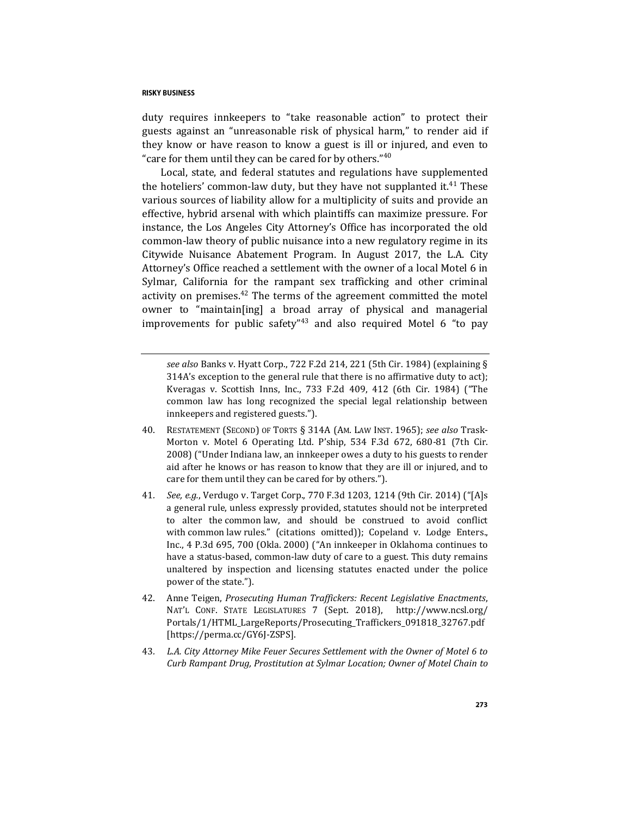duty requires innkeepers to "take reasonable action" to protect their guests against an "unreasonable risk of physical harm," to render aid if they know or have reason to know a guest is ill or injured, and even to "care for them until they can be cared for by others."<sup>40</sup>

Local, state, and federal statutes and regulations have supplemented the hoteliers' common-law duty, but they have not supplanted it.<sup>41</sup> These various sources of liability allow for a multiplicity of suits and provide an effective, hybrid arsenal with which plaintiffs can maximize pressure. For instance, the Los Angeles City Attorney's Office has incorporated the old common-law theory of public nuisance into a new regulatory regime in its Citywide Nuisance Abatement Program. In August 2017, the L.A. City Attorney's Office reached a settlement with the owner of a local Motel 6 in Sylmar, California for the rampant sex trafficking and other criminal activity on premises. $42$  The terms of the agreement committed the motel owner to "maintain[ing] a broad array of physical and managerial improvements for public safety<sup> $n_{43}$ </sup> and also required Motel 6 "to pay

<span id="page-8-0"></span>*see also* Banks v. Hyatt Corp., 722 F.2d 214, 221 (5th Cir. 1984) (explaining § 314A's exception to the general rule that there is no affirmative duty to act); Kveragas v. Scottish Inns, Inc., 733 F.2d 409, 412 (6th Cir. 1984) ("The common law has long recognized the special legal relationship between innkeepers and registered guests.").

- 40. RESTATEMENT (SECOND) OF TORTS § 314A (AM. LAW INST. 1965); *see also* Trask-Morton v. Motel 6 Operating Ltd. P'ship, 534 F.3d 672, 680-81 (7th Cir. 2008) ("Under Indiana law, an innkeeper owes a duty to his guests to render aid after he knows or has reason to know that they are ill or injured, and to care for them until they can be cared for by others.").
- 41*. See, e.g.*, Verdugo v. Target Corp., 770 F.3d 1203, 1214 (9th Cir. 2014) ("[A]s a general rule, unless expressly provided, statutes should not be interpreted to alter the common law, and should be construed to avoid conflict with common law rules." (citations omitted)); Copeland v. Lodge Enters., Inc., 4 P.3d 695, 700 (Okla. 2000) ("An innkeeper in Oklahoma continues to have a status-based, common-law duty of care to a guest. This duty remains unaltered by inspection and licensing statutes enacted under the police power of the state.").
- 42. Anne Teigen, *Prosecuting Human Traffickers: Recent Legislative Enactments*, NAT'L CONF. STATE LEGISLATURES 7 (Sept. 2018), http://www.ncsl.org/ Portals/1/HTML\_LargeReports/Prosecuting\_Traffickers\_091818\_32767.pdf [https://perma.cc/GY6J-ZSPS].
- 43*. L.A. City Attorney Mike Feuer Secures Settlement with the Owner of Motel 6 to Curb Rampant Drug, Prostitution at Sylmar Location; Owner of Motel Chain to*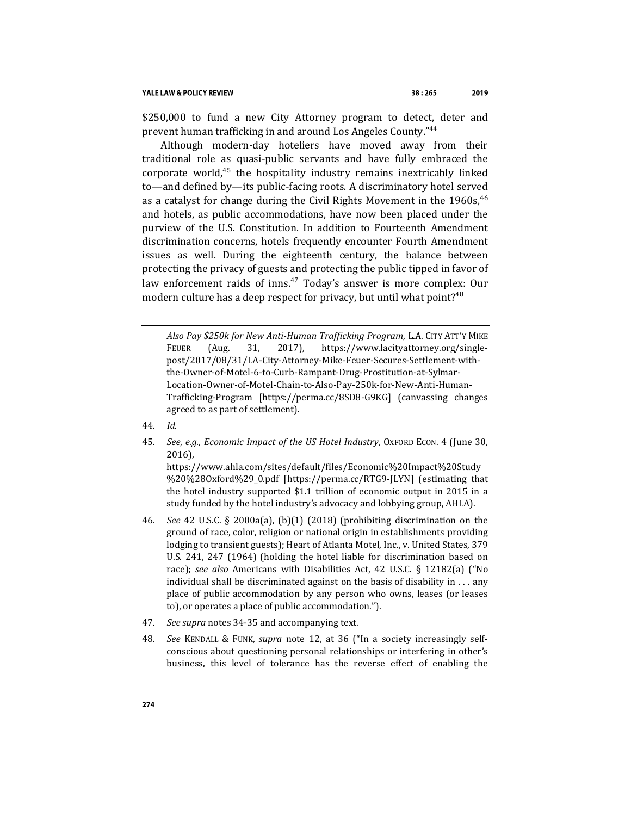\$250,000 to fund a new City Attorney program to detect, deter and prevent human trafficking in and around Los Angeles County."<sup>44</sup>

Although modern-day hoteliers have moved away from their traditional role as quasi-public servants and have fully embraced the corporate world, $45$  the hospitality industry remains inextricably linked to—and defined by—its public-facing roots. A discriminatory hotel served as a catalyst for change during the Civil Rights Movement in the  $1960s^{46}$ and hotels, as public accommodations, have now been placed under the purview of the U.S. Constitution. In addition to Fourteenth Amendment discrimination concerns, hotels frequently encounter Fourth Amendment issues as well. During the eighteenth century, the balance between protecting the privacy of guests and protecting the public tipped in favor of law enforcement raids of inns.<sup>47</sup> Today's answer is more complex: Our modern culture has a deep respect for privacy, but until what point?<sup>48</sup>

- 44*. Id.*
- 45*. See, e.g.*, *Economic Impact of the US Hotel Industry*, OXFORD ECON. 4 (June 30, 2016),

https://www.ahla.com/sites/default/files/Economic%20Impact%20Study %20%28Oxford%29\_0.pdf [https://perma.cc/RTG9-JLYN] (estimating that the hotel industry supported \$1.1 trillion of economic output in 2015 in a study funded by the hotel industry's advocacy and lobbying group, AHLA).

- 46*. See* 42 U.S.C. § 2000a(a), (b)(1) (2018) (prohibiting discrimination on the ground of race, color, religion or national origin in establishments providing lodging to transient guests); Heart of Atlanta Motel, Inc., v. United States, 379 U.S. 241, 247 (1964) (holding the hotel liable for discrimination based on race); *see also* Americans with Disabilities Act, 42 U.S.C. § 12182(a) ("No individual shall be discriminated against on the basis of disability in . . . any place of public accommodation by any person who owns, leases (or leases to), or operates a place of public accommodation.").
- 47*. See supra* note[s 34](#page-7-0)[-35](#page-7-1) and accompanying text.
- 48*. See* KENDALL & FUNK, *supra* note [12,](#page-4-0) at 36 ("In a society increasingly selfconscious about questioning personal relationships or interfering in other's business, this level of tolerance has the reverse effect of enabling the

*Also Pay \$250k for New Anti-Human Trafficking Program*, L.A. CITY ATT'Y MIKE FEUER (Aug. 31, 2017), https://www.lacityattorney.org/singlepost/2017/08/31/LA-City-Attorney-Mike-Feuer-Secures-Settlement-withthe-Owner-of-Motel-6-to-Curb-Rampant-Drug-Prostitution-at-Sylmar-Location-Owner-of-Motel-Chain-to-Also-Pay-250k-for-New-Anti-Human-Trafficking-Program [https://perma.cc/8SD8-G9KG] (canvassing changes agreed to as part of settlement).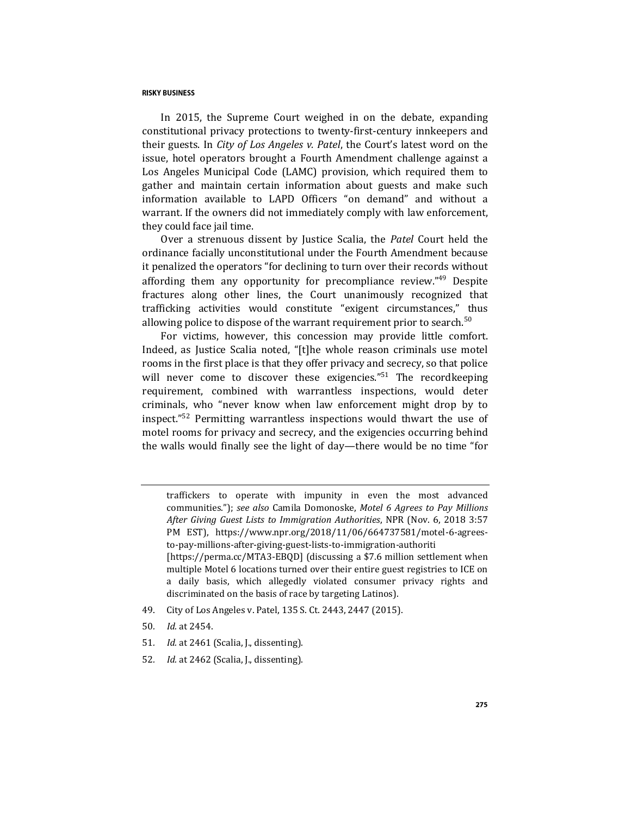In 2015, the Supreme Court weighed in on the debate, expanding constitutional privacy protections to twenty-first-century innkeepers and their guests. In *City of Los Angeles v. Patel*, the Court's latest word on the issue, hotel operators brought a Fourth Amendment challenge against a Los Angeles Municipal Code (LAMC) provision, which required them to gather and maintain certain information about guests and make such information available to LAPD Officers "on demand" and without a warrant. If the owners did not immediately comply with law enforcement, they could face jail time.

Over a strenuous dissent by Justice Scalia, the *Patel* Court held the ordinance facially unconstitutional under the Fourth Amendment because it penalized the operators "for declining to turn over their records without affording them any opportunity for precompliance review."<sup>49</sup> Despite fractures along other lines, the Court unanimously recognized that trafficking activities would constitute "exigent circumstances," thus allowing police to dispose of the warrant requirement prior to search.<sup>50</sup>

For victims, however, this concession may provide little comfort. Indeed, as Justice Scalia noted, "[t]he whole reason criminals use motel rooms in the first place is that they offer privacy and secrecy, so that police will never come to discover these exigencies."<sup>51</sup> The recordkeeping requirement, combined with warrantless inspections, would deter criminals, who "never know when law enforcement might drop by to inspect."<sup>52</sup> Permitting warrantless inspections would thwart the use of motel rooms for privacy and secrecy, and the exigencies occurring behind the walls would finally see the light of day—there would be no time "for

traffickers to operate with impunity in even the most advanced communities."); *see also* Camila Domonoske, *Motel 6 Agrees to Pay Millions After Giving Guest Lists to Immigration Authorities*, NPR (Nov. 6, 2018 3:57 PM EST), https://www.npr.org/2018/11/06/664737581/motel-6-agreesto-pay-millions-after-giving-guest-lists-to-immigration-authoriti [https://perma.cc/MTA3-EBQD] (discussing a \$7.6 million settlement when multiple Motel 6 locations turned over their entire guest registries to ICE on a daily basis, which allegedly violated consumer privacy rights and discriminated on the basis of race by targeting Latinos).

- 49. City of Los Angeles v. Patel, 135 S. Ct. 2443, 2447 (2015).
- 50*. Id.* at 2454.
- 51*. Id.* at 2461 (Scalia, J., dissenting).
- 52*. Id.* at 2462 (Scalia, J., dissenting).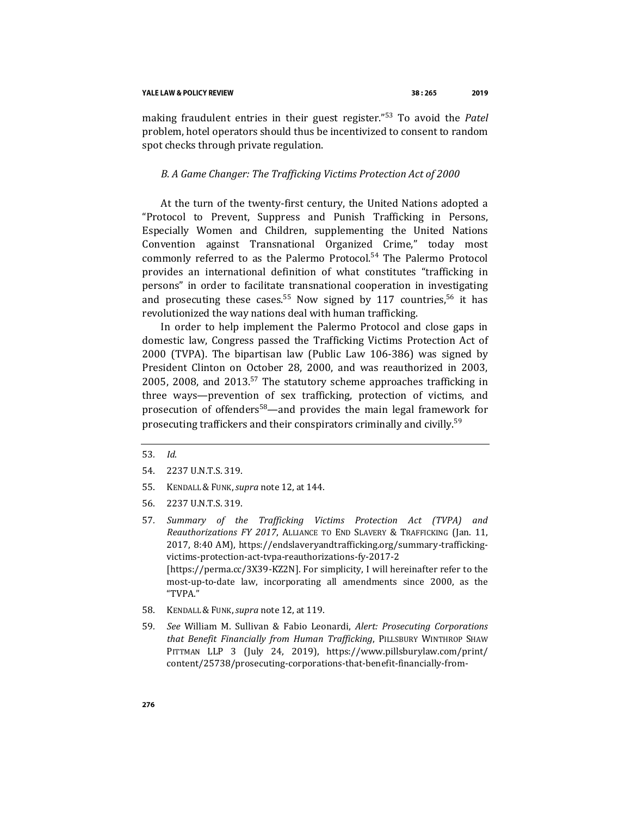making fraudulent entries in their guest register."<sup>53</sup> To avoid the *Patel*  problem, hotel operators should thus be incentivized to consent to random spot checks through private regulation.

## *B. A Game Changer: The Trafficking Victims Protection Act of 2000*

At the turn of the twenty-first century, the United Nations adopted a "Protocol to Prevent, Suppress and Punish Trafficking in Persons, Especially Women and Children, supplementing the United Nations Convention against Transnational Organized Crime," today most commonly referred to as the Palermo Protocol.<sup>54</sup> The Palermo Protocol provides an international definition of what constitutes "trafficking in persons" in order to facilitate transnational cooperation in investigating and prosecuting these cases.<sup>55</sup> Now signed by 117 countries,<sup>56</sup> it has revolutionized the way nations deal with human trafficking.

In order to help implement the Palermo Protocol and close gaps in domestic law, Congress passed the Trafficking Victims Protection Act of 2000 (TVPA). The bipartisan law (Public Law 106-386) was signed by President Clinton on October 28, 2000, and was reauthorized in 2003, 2005, 2008, and  $2013^{57}$  The statutory scheme approaches trafficking in three ways—prevention of sex trafficking, protection of victims, and prosecution of offenders<sup>58</sup>—and provides the main legal framework for prosecuting traffickers and their conspirators criminally and civilly.<sup>59</sup>

- 55. KENDALL & FUNK,*supra* not[e 12,](#page-4-0) at 144.
- 56. 2237 U.N.T.S. 319.
- 57*. Summary of the Trafficking Victims Protection Act (TVPA) and Reauthorizations FY 2017*, ALLIANCE TO END SLAVERY & TRAFFICKING (Jan. 11, 2017, 8:40 AM), https://endslaveryandtrafficking.org/summary-traffickingvictims-protection-act-tvpa-reauthorizations-fy-2017-2 [https://perma.cc/3X39-KZ2N]. For simplicity, I will hereinafter refer to the most-up-to-date law, incorporating all amendments since 2000, as the "TVPA."
- 58. KENDALL & FUNK,*supra* not[e 12,](#page-4-0) at 119.
- 59*. See* William M. Sullivan & Fabio Leonardi, *Alert: Prosecuting Corporations that Benefit Financially from Human Trafficking*, PILLSBURY WINTHROP SHAW PITTMAN LLP 3 (July 24, 2019), https://www.pillsburylaw.com/print/ content/25738/prosecuting-corporations-that-benefit-financially-from-

<span id="page-11-0"></span><sup>53</sup>*. Id*.

<sup>54.</sup> 2237 U.N.T.S. 319.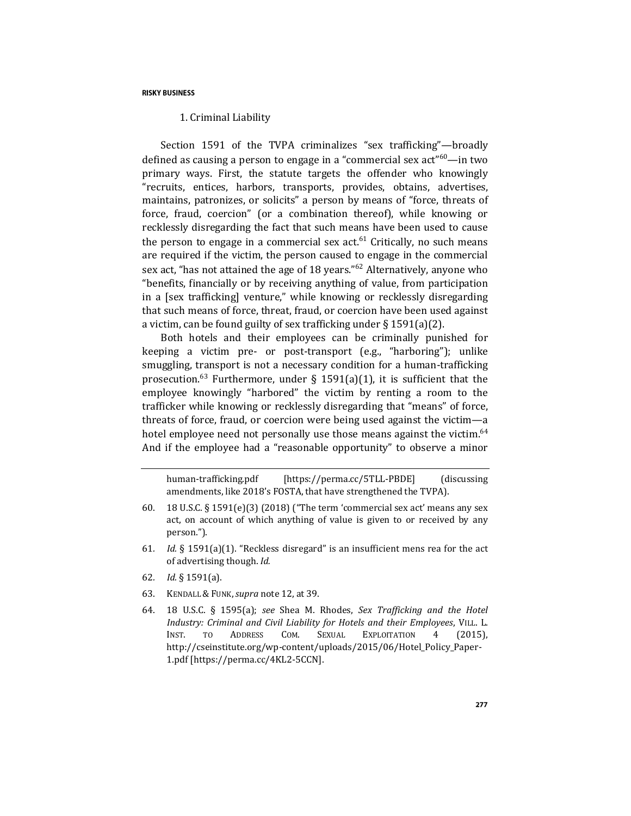## 1. Criminal Liability

Section 1591 of the TVPA criminalizes "sex trafficking"—broadly defined as causing a person to engage in a "commercial sex act"<sup>60</sup>—in two primary ways. First, the statute targets the offender who knowingly "recruits, entices, harbors, transports, provides, obtains, advertises, maintains, patronizes, or solicits" a person by means of "force, threats of force, fraud, coercion" (or a combination thereof), while knowing or recklessly disregarding the fact that such means have been used to cause the person to engage in a commercial sex  $act<sup>61</sup>$  Critically, no such means are required if the victim, the person caused to engage in the commercial sex act, "has not attained the age of 18 years."<sup>62</sup> Alternatively, anyone who "benefits, financially or by receiving anything of value, from participation in a [sex trafficking] venture," while knowing or recklessly disregarding that such means of force, threat, fraud, or coercion have been used against a victim, can be found guilty of sex trafficking under § 1591(a)(2).

Both hotels and their employees can be criminally punished for keeping a victim pre- or post-transport (e.g., "harboring"); unlike smuggling, transport is not a necessary condition for a human-trafficking prosecution.<sup>63</sup> Furthermore, under § 1591(a)(1), it is sufficient that the employee knowingly "harbored" the victim by renting a room to the trafficker while knowing or recklessly disregarding that "means" of force, threats of force, fraud, or coercion were being used against the victim—a hotel employee need not personally use those means against the victim.<sup>64</sup> And if the employee had a "reasonable opportunity" to observe a minor

<span id="page-12-0"></span>human-trafficking.pdf [https://perma.cc/5TLL-PBDE] (discussing amendments, like 2018's FOSTA, that have strengthened the TVPA).

- 60. 18 U.S.C. § 1591(e)(3) (2018) ("The term 'commercial sex act' means any sex act, on account of which anything of value is given to or received by any person.").
- 61*. Id.* § 1591(a)(1). "Reckless disregard" is an insufficient mens rea for the act of advertising though. *Id.*
- 62*. Id.* § 1591(a).
- 63. KENDALL & FUNK,*supra* not[e 12,](#page-4-0) at 39.
- 64. 18 U.S.C. § 1595(a); *see* Shea M. Rhodes, *Sex Trafficking and the Hotel Industry: Criminal and Civil Liability for Hotels and their Employees*, VILL. L. INST. TO ADDRESS COM. SEXUAL EXPLOITATION 4 (2015), http://cseinstitute.org/wp-content/uploads/2015/06/Hotel\_Policy\_Paper-1.pdf [https://perma.cc/4KL2-5CCN].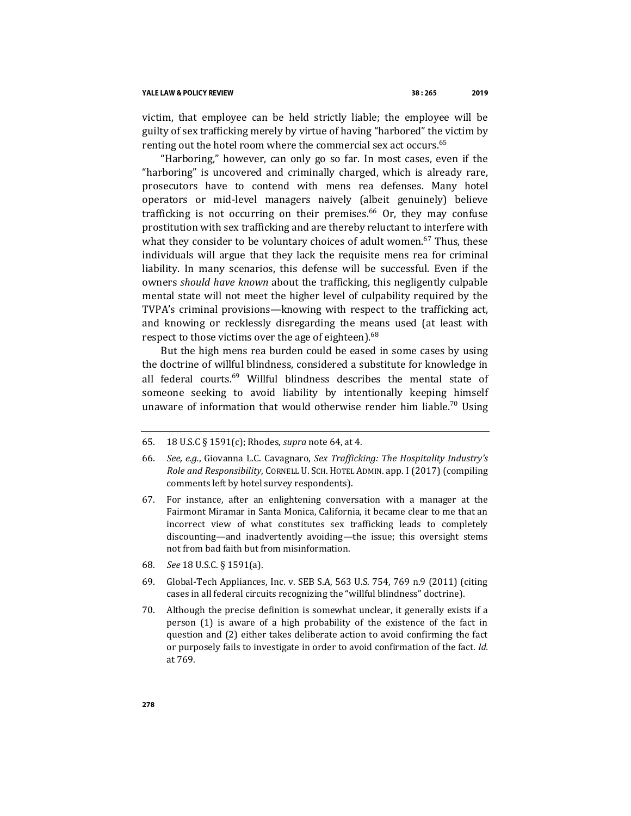#### YALE LAW & POLICY REVIEW

victim, that employee can be held strictly liable; the employee will be guilty of sex trafficking merely by virtue of having "harbored" the victim by renting out the hotel room where the commercial sex act occurs.<sup>65</sup>

<span id="page-13-1"></span><span id="page-13-0"></span>"Harboring," however, can only go so far. In most cases, even if the "harboring" is uncovered and criminally charged, which is already rare, prosecutors have to contend with mens rea defenses. Many hotel operators or mid-level managers naively (albeit genuinely) believe trafficking is not occurring on their premises.<sup>66</sup> Or, they may confuse prostitution with sex trafficking and are thereby reluctant to interfere with what they consider to be voluntary choices of adult women.<sup>67</sup> Thus, these individuals will argue that they lack the requisite mens rea for criminal liability. In many scenarios, this defense will be successful. Even if the owners *should have known* about the trafficking, this negligently culpable mental state will not meet the higher level of culpability required by the TVPA's criminal provisions—knowing with respect to the trafficking act, and knowing or recklessly disregarding the means used (at least with respect to those victims over the age of eighteen).<sup>68</sup>

But the high mens rea burden could be eased in some cases by using the doctrine of willful blindness, considered a substitute for knowledge in all federal courts.<sup>69</sup> Willful blindness describes the mental state of someone seeking to avoid liability by intentionally keeping himself unaware of information that would otherwise render him liable.<sup>70</sup> Using

- 67. For instance, after an enlightening conversation with a manager at the Fairmont Miramar in Santa Monica, California, it became clear to me that an incorrect view of what constitutes sex trafficking leads to completely discounting—and inadvertently avoiding—the issue; this oversight stems not from bad faith but from misinformation.
- 68*. See* 18 U.S.C. § 1591(a).
- 69. Global-Tech Appliances, Inc. v. SEB S.A, 563 U.S. 754, 769 n.9 (2011) (citing cases in all federal circuits recognizing the "willful blindness" doctrine).
- 70. Although the precise definition is somewhat unclear, it generally exists if a person (1) is aware of a high probability of the existence of the fact in question and (2) either takes deliberate action to avoid confirming the fact or purposely fails to investigate in order to avoid confirmation of the fact. *Id.*  at 769.

<sup>65</sup>*.* 18 U.S.C § 1591(c); Rhodes, *supra* note [64,](#page-12-0) at 4.

<sup>66</sup>*. See, e.g.*, Giovanna L.C. Cavagnaro, *Sex Trafficking: The Hospitality Industry's Role and Responsibility*, CORNELL U. SCH. HOTEL ADMIN. app. I (2017) (compiling comments left by hotel survey respondents).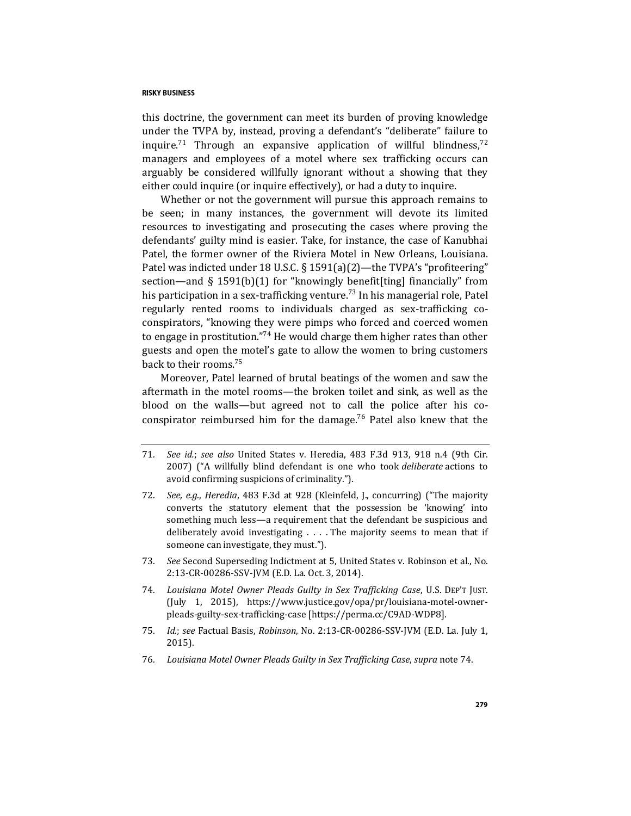this doctrine, the government can meet its burden of proving knowledge under the TVPA by, instead, proving a defendant's "deliberate" failure to inquire.<sup>71</sup> Through an expansive application of willful blindness,<sup>72</sup> managers and employees of a motel where sex trafficking occurs can arguably be considered willfully ignorant without a showing that they either could inquire (or inquire effectively), or had a duty to inquire.

Whether or not the government will pursue this approach remains to be seen; in many instances, the government will devote its limited resources to investigating and prosecuting the cases where proving the defendants' guilty mind is easier. Take, for instance, the case of Kanubhai Patel, the former owner of the Riviera Motel in New Orleans, Louisiana. Patel was indicted under 18 U.S.C. § 1591(a)(2)—the TVPA's "profiteering" section—and § 1591(b)(1) for "knowingly benefit[ting] financially" from his participation in a sex-trafficking venture.<sup>73</sup> In his managerial role, Patel regularly rented rooms to individuals charged as sex-trafficking coconspirators, "knowing they were pimps who forced and coerced women to engage in prostitution."<sup>74</sup> He would charge them higher rates than other guests and open the motel's gate to allow the women to bring customers back to their rooms.<sup>75</sup>

<span id="page-14-0"></span>Moreover, Patel learned of brutal beatings of the women and saw the aftermath in the motel rooms—the broken toilet and sink, as well as the blood on the walls—but agreed not to call the police after his coconspirator reimbursed him for the damage.<sup>76</sup> Patel also knew that the

- 71*. See id.*; *see also* United States v. Heredia, 483 F.3d 913, 918 n.4 (9th Cir. 2007) ("A willfully blind defendant is one who took *deliberate* actions to avoid confirming suspicions of criminality.").
- 72*. See, e.g.*, *Heredia*, 483 F.3d at 928 (Kleinfeld, J., concurring) ("The majority converts the statutory element that the possession be 'knowing' into something much less—a requirement that the defendant be suspicious and deliberately avoid investigating . . . . The majority seems to mean that if someone can investigate, they must.").
- 73*. See* Second Superseding Indictment at 5, United States v. Robinson et al., No. 2:13-CR-00286-SSV-JVM (E.D. La. Oct. 3, 2014).
- 74*. Louisiana Motel Owner Pleads Guilty in Sex Trafficking Case*, U.S. DEP'T JUST. (July 1, 2015), https://www.justice.gov/opa/pr/louisiana-motel-ownerpleads-guilty-sex-trafficking-case [https://perma.cc/C9AD-WDP8].
- 75*. Id.*; *see* Factual Basis, *Robinson*, No. 2:13-CR-00286-SSV-JVM (E.D. La. July 1, 2015).
- 76*. Louisiana Motel Owner Pleads Guilty in Sex Trafficking Case*, *supra* note [74.](#page-14-0)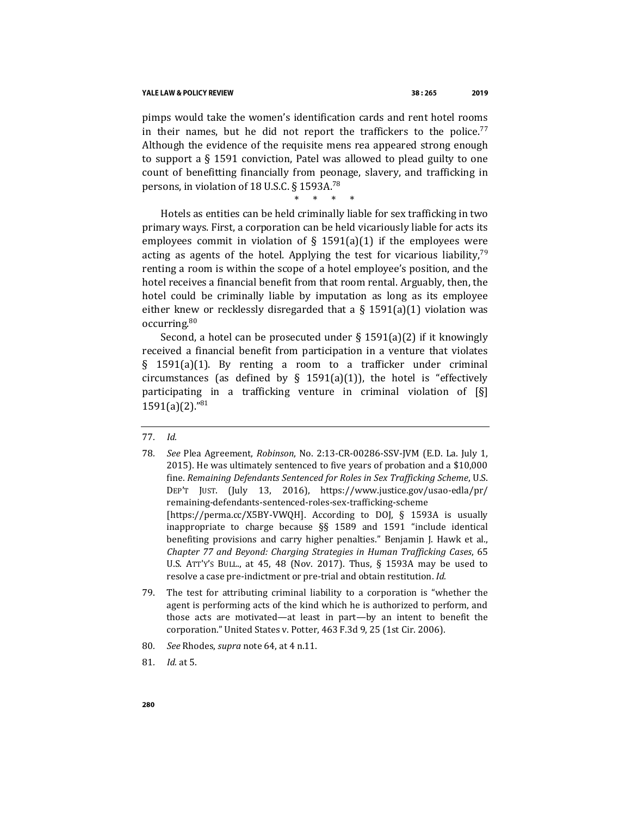pimps would take the women's identification cards and rent hotel rooms in their names, but he did not report the traffickers to the police.<sup>77</sup> Although the evidence of the requisite mens rea appeared strong enough to support a § 1591 conviction, Patel was allowed to plead guilty to one count of benefitting financially from peonage, slavery, and trafficking in persons, in violation of 18 U.S.C. § 1593A.<sup>78</sup>

\* \* \* \*

Hotels as entities can be held criminally liable for sex trafficking in two primary ways. First, a corporation can be held vicariously liable for acts its employees commit in violation of  $\S$  1591(a)(1) if the employees were acting as agents of the hotel. Applying the test for vicarious liability,  $79$ renting a room is within the scope of a hotel employee's position, and the hotel receives a financial benefit from that room rental. Arguably, then, the hotel could be criminally liable by imputation as long as its employee either knew or recklessly disregarded that a  $\S$  1591(a)(1) violation was occurring.<sup>80</sup>

Second, a hotel can be prosecuted under  $\S$  1591(a)(2) if it knowingly received a financial benefit from participation in a venture that violates § 1591(a)(1). By renting a room to a trafficker under criminal circumstances (as defined by  $\S$  1591(a)(1)), the hotel is "effectively participating in a trafficking venture in criminal violation of [§]  $1591(a)(2)$ ."<sup>81</sup>

- 79. The test for attributing criminal liability to a corporation is "whether the agent is performing acts of the kind which he is authorized to perform, and those acts are motivated—at least in part—by an intent to benefit the corporation." United States v. Potter, 463 F.3d 9, 25 (1st Cir. 2006).
- 80*. See* Rhodes, *supra* not[e 64,](#page-12-0) at 4 n.11.
- 81*. Id.* at 5.

<sup>77</sup>*. Id.*

<sup>78</sup>*. See* Plea Agreement, *Robinson*, No. 2:13-CR-00286-SSV-JVM (E.D. La. July 1, 2015). He was ultimately sentenced to five years of probation and a \$10,000 fine. *Remaining Defendants Sentenced for Roles in Sex Trafficking Scheme*, U.S. DEP'T JUST. (July 13, 2016), https://www.justice.gov/usao-edla/pr/ remaining-defendants-sentenced-roles-sex-trafficking-scheme [https://perma.cc/X5BY-VWQH]. According to DOJ, § 1593A is usually inappropriate to charge because §§ 1589 and 1591 "include identical benefiting provisions and carry higher penalties." Benjamin J. Hawk et al., *Chapter 77 and Beyond: Charging Strategies in Human Trafficking Cases*, 65 U.S. ATT'Y'S BULL., at 45, 48 (Nov. 2017). Thus, § 1593A may be used to resolve a case pre-indictment or pre-trial and obtain restitution. *Id.*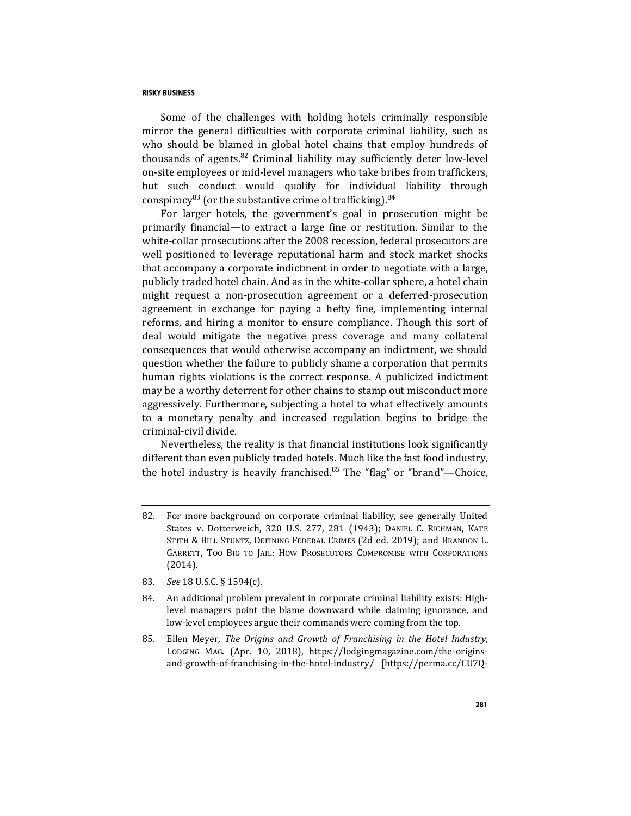<span id="page-16-0"></span>Some of the challenges with holding hotels criminally responsible mirror the general difficulties with corporate criminal liability, such as who should be blamed in global hotel chains that employ hundreds of thousands of agents. $82$  Criminal liability may sufficiently deter low-level on-site employees or mid-level managers who take bribes from traffickers, but such conduct would qualify for individual liability through conspiracy<sup>83</sup> (or the substantive crime of trafficking).<sup>84</sup>

For larger hotels, the government's goal in prosecution might be primarily financial—to extract a large fine or restitution. Similar to the white-collar prosecutions after the 2008 recession, federal prosecutors are well positioned to leverage reputational harm and stock market shocks that accompany a corporate indictment in order to negotiate with a large, publicly traded hotel chain. And as in the white-collar sphere, a hotel chain might request a non-prosecution agreement or a deferred-prosecution agreement in exchange for paying a hefty fine, implementing internal reforms, and hiring a monitor to ensure compliance. Though this sort of deal would mitigate the negative press coverage and many collateral consequences that would otherwise accompany an indictment, we should question whether the failure to publicly shame a corporation that permits human rights violations is the correct response. A publicized indictment may be a worthy deterrent for other chains to stamp out misconduct more aggressively. Furthermore, subjecting a hotel to what effectively amounts to a monetary penalty and increased regulation begins to bridge the criminal-civil divide.

Nevertheless, the reality is that financial institutions look significantly different than even publicly traded hotels. Much like the fast food industry, the hotel industry is heavily franchised. $85$  The "flag" or "brand"—Choice,

- 83*. See* 18 U.S.C. § 1594(c).
- 84. An additional problem prevalent in corporate criminal liability exists: Highlevel managers point the blame downward while claiming ignorance, and low-level employees argue their commands were coming from the top.
- 85. Ellen Meyer, *The Origins and Growth of Franchising in the Hotel Industry*, LODGING MAG. (Apr. 10, 2018), https://lodgingmagazine.com/the-originsand-growth-of-franchising-in-the-hotel-industry/ [https://perma.cc/CU7Q-

<sup>82.</sup> For more background on corporate criminal liability, see generally United States v. Dotterweich, 320 U.S. 277, 281 (1943); DANIEL C. RICHMAN, KATE STITH & BILL STUNTZ, DEFINING FEDERAL CRIMES (2d ed. 2019); and BRANDON L. GARRETT, TOO BIG TO JAIL: HOW PROSECUTORS COMPROMISE WITH CORPORATIONS (2014).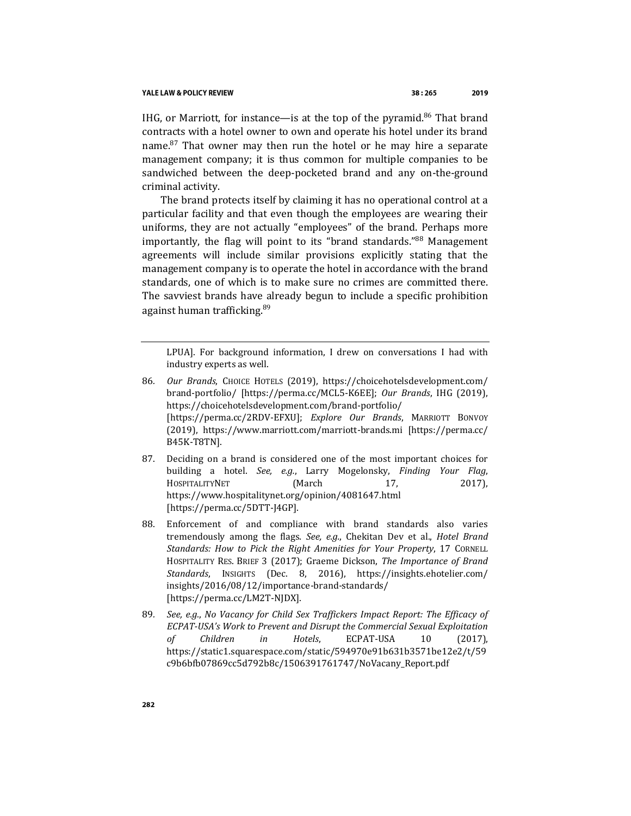#### YALE LAW & POLICY REVIEW

IHG, or Marriott, for instance—is at the top of the pyramid.<sup>86</sup> That brand contracts with a hotel owner to own and operate his hotel under its brand name. $87$  That owner may then run the hotel or he may hire a separate management company; it is thus common for multiple companies to be sandwiched between the deep-pocketed brand and any on-the-ground criminal activity.

The brand protects itself by claiming it has no operational control at a particular facility and that even though the employees are wearing their uniforms, they are not actually "employees" of the brand. Perhaps more importantly, the flag will point to its "brand standards."<sup>88</sup> Management agreements will include similar provisions explicitly stating that the management company is to operate the hotel in accordance with the brand standards, one of which is to make sure no crimes are committed there. The savviest brands have already begun to include a specific prohibition against human trafficking.<sup>89</sup>

<span id="page-17-0"></span>LPUA]. For background information, I drew on conversations I had with industry experts as well.

- 86*. Our Brands*, CHOICE HOTELS (2019), https://choicehotelsdevelopment.com/ brand-portfolio/ [https://perma.cc/MCL5-K6EE]; *Our Brands*, IHG (2019), https://choicehotelsdevelopment.com/brand-portfolio/ [https://perma.cc/2RDV-EFXU]; *Explore Our Brands*, MARRIOTT BONVOY (2019), https://www.marriott.com/marriott-brands.mi [https://perma.cc/ B45K-T8TN].
- 87. Deciding on a brand is considered one of the most important choices for building a hotel. *See, e.g.*, Larry Mogelonsky, *Finding Your Flag*, HOSPITALITYNET (March 17, 2017), https://www.hospitalitynet.org/opinion/4081647.html [https://perma.cc/5DTT-J4GP].
- 88. Enforcement of and compliance with brand standards also varies tremendously among the flags. *See, e.g.*, Chekitan Dev et al., *Hotel Brand Standards: How to Pick the Right Amenities for Your Property*, 17 CORNELL HOSPITALITY RES. BRIEF 3 (2017); Graeme Dickson, *The Importance of Brand Standards*, INSIGHTS (Dec. 8, 2016), https://insights.ehotelier.com/ insights/2016/08/12/importance-brand-standards/ [https://perma.cc/LM2T-NJDX].
- 89*. See, e.g.*, *No Vacancy for Child Sex Traffickers Impact Report: The Efficacy of ECPAT-USA's Work to Prevent and Disrupt the Commercial Sexual Exploitation of Children in Hotels*, ECPAT-USA 10 (2017), https://static1.squarespace.com/static/594970e91b631b3571be12e2/t/59 c9b6bfb07869cc5d792b8c/1506391761747/NoVacany\_Report.pdf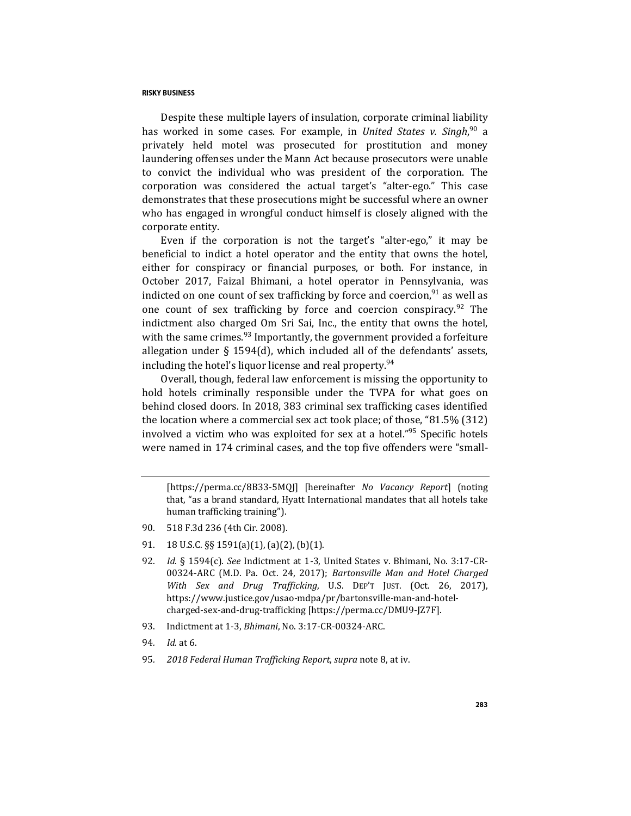Despite these multiple layers of insulation, corporate criminal liability has worked in some cases. For example, in *United States v. Singh*, <sup>90</sup> a privately held motel was prosecuted for prostitution and money laundering offenses under the Mann Act because prosecutors were unable to convict the individual who was president of the corporation. The corporation was considered the actual target's "alter-ego." This case demonstrates that these prosecutions might be successful where an owner who has engaged in wrongful conduct himself is closely aligned with the corporate entity.

Even if the corporation is not the target's "alter-ego," it may be beneficial to indict a hotel operator and the entity that owns the hotel, either for conspiracy or financial purposes, or both. For instance, in October 2017, Faizal Bhimani, a hotel operator in Pennsylvania, was indicted on one count of sex trafficking by force and coercion, $91$  as well as one count of sex trafficking by force and coercion conspiracy. <sup>92</sup> The indictment also charged Om Sri Sai, Inc., the entity that owns the hotel, with the same crimes. $93$  Importantly, the government provided a forfeiture allegation under § 1594(d), which included all of the defendants' assets, including the hotel's liquor license and real property.<sup>94</sup>

Overall, though, federal law enforcement is missing the opportunity to hold hotels criminally responsible under the TVPA for what goes on behind closed doors. In 2018, 383 criminal sex trafficking cases identified the location where a commercial sex act took place; of those, "81.5% (312) involved a victim who was exploited for sex at a hotel."<sup>95</sup> Specific hotels were named in 174 criminal cases, and the top five offenders were "small-

[https://perma.cc/8B33-5MQJ] [hereinafter *No Vacancy Report*] (noting that, "as a brand standard, Hyatt International mandates that all hotels take human trafficking training").

- 90. 518 F.3d 236 (4th Cir. 2008).
- 91. 18 U.S.C. §§ 1591(a)(1), (a)(2), (b)(1).
- 92*. Id.* § 1594(c). *See* Indictment at 1-3, United States v. Bhimani, No. 3:17-CR-00324-ARC (M.D. Pa. Oct. 24, 2017); *Bartonsville Man and Hotel Charged With Sex and Drug Trafficking*, U.S. DEP'T JUST. (Oct. 26, 2017), https://www.justice.gov/usao-mdpa/pr/bartonsville-man-and-hotelcharged-sex-and-drug-trafficking [https://perma.cc/DMU9-JZ7F].
- 93. Indictment at 1-3, *Bhimani*, No. 3:17-CR-00324-ARC.
- 94*. Id.* at 6.
- 95*. 2018 Federal Human Trafficking Report*, *supra* not[e 8,](#page-2-0) at iv.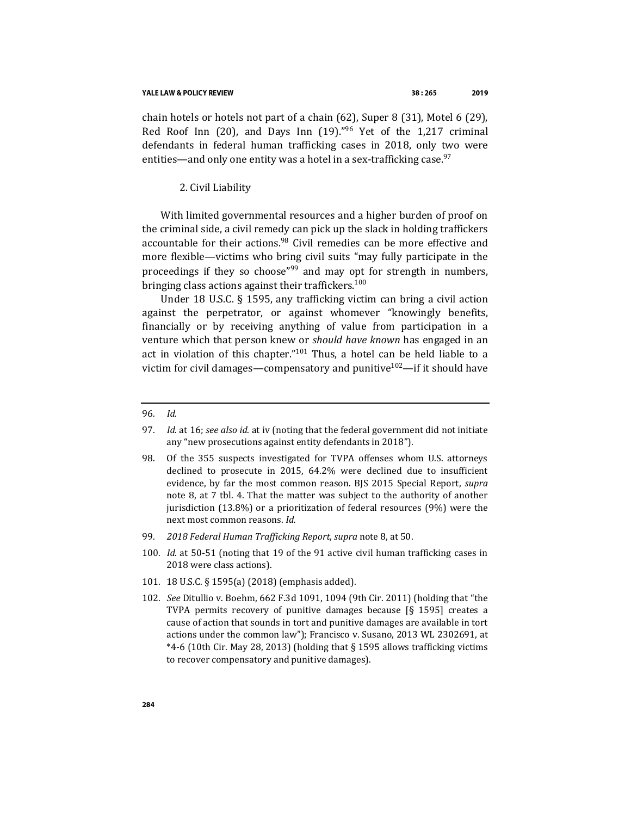#### YALE LAW & POLICY REVIEW

chain hotels or hotels not part of a chain (62), Super 8 (31), Motel 6 (29), Red Roof Inn (20), and Days Inn (19)." $96$  Yet of the 1,217 criminal defendants in federal human trafficking cases in 2018, only two were entities—and only one entity was a hotel in a sex-trafficking case.  $97$ 

#### 2. Civil Liability

With limited governmental resources and a higher burden of proof on the criminal side, a civil remedy can pick up the slack in holding traffickers accountable for their actions.<sup>98</sup> Civil remedies can be more effective and more flexible—victims who bring civil suits "may fully participate in the proceedings if they so choose"<sup>99</sup> and may opt for strength in numbers, bringing class actions against their traffickers.<sup>100</sup>

Under 18 U.S.C. § 1595, any trafficking victim can bring a civil action against the perpetrator, or against whomever "knowingly benefits, financially or by receiving anything of value from participation in a venture which that person knew or *should have known* has engaged in an act in violation of this chapter." $101$  Thus, a hotel can be held liable to a victim for civil damages—compensatory and punitive<sup>102</sup>—if it should have

#### 96*. Id.*

- 97*. Id.* at 16; *see also id.* at iv (noting that the federal government did not initiate any "new prosecutions against entity defendants in 2018").
- 98. Of the 355 suspects investigated for TVPA offenses whom U.S. attorneys declined to prosecute in 2015, 64.2% were declined due to insufficient evidence, by far the most common reason. BJS 2015 Special Report, *supra*  note [8,](#page-2-0) at 7 tbl. 4. That the matter was subject to the authority of another jurisdiction (13.8%) or a prioritization of federal resources (9%) were the next most common reasons. *Id.*
- 99*. 2018 Federal Human Trafficking Report*, *supra* not[e 8,](#page-2-0) at 50.
- 100*. Id.* at 50-51 (noting that 19 of the 91 active civil human trafficking cases in 2018 were class actions).
- 101. 18 U.S.C. § 1595(a) (2018) (emphasis added).
- 102*. See* Ditullio v. Boehm, 662 F.3d 1091, 1094 (9th Cir. 2011) (holding that "the TVPA permits recovery of punitive damages because [§ 1595] creates a cause of action that sounds in tort and punitive damages are available in tort actions under the common law"); Francisco v. Susano, 2013 WL 2302691, at \*4-6 (10th Cir. May 28, 2013) (holding that § 1595 allows trafficking victims to recover compensatory and punitive damages).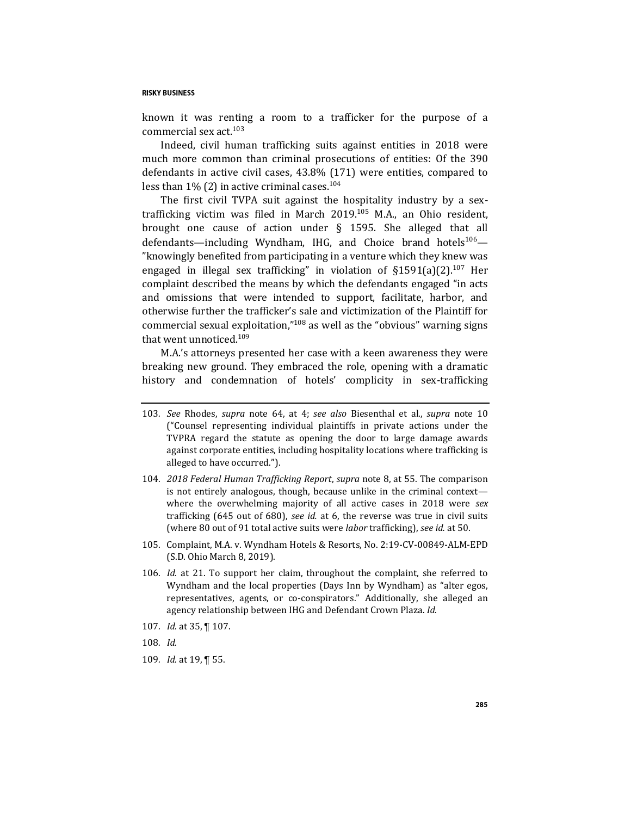known it was renting a room to a trafficker for the purpose of a commercial sex act.<sup>103</sup>

Indeed, civil human trafficking suits against entities in 2018 were much more common than criminal prosecutions of entities: Of the 390 defendants in active civil cases, 43.8% (171) were entities, compared to less than  $1\%$  (2) in active criminal cases.<sup>104</sup>

The first civil TVPA suit against the hospitality industry by a sextrafficking victim was filed in March  $2019$ <sup>105</sup> M.A., an Ohio resident, brought one cause of action under § 1595. She alleged that all defendants—including Wyndham, IHG, and Choice brand hotels<sup>106</sup>— "knowingly benefited from participating in a venture which they knew was engaged in illegal sex trafficking" in violation of  $\S 1591(a)(2)$ .<sup>107</sup> Her complaint described the means by which the defendants engaged "in acts and omissions that were intended to support, facilitate, harbor, and otherwise further the trafficker's sale and victimization of the Plaintiff for commercial sexual exploitation," $108$  as well as the "obvious" warning signs that went unnoticed.<sup>109</sup>

M.A.'s attorneys presented her case with a keen awareness they were breaking new ground. They embraced the role, opening with a dramatic history and condemnation of hotels' complicity in sex-trafficking

- 103*. See* Rhodes, *supra* note [64,](#page-12-0) at 4; *see also* Biesenthal et al., *supra* note [10](#page-3-0) ("Counsel representing individual plaintiffs in private actions under the TVPRA regard the statute as opening the door to large damage awards against corporate entities, including hospitality locations where trafficking is alleged to have occurred.").
- 104*. 2018 Federal Human Trafficking Report*, *supra* note [8,](#page-2-0) at 55. The comparison is not entirely analogous, though, because unlike in the criminal context where the overwhelming majority of all active cases in 2018 were *sex* trafficking (645 out of 680), *see id.* at 6, the reverse was true in civil suits (where 80 out of 91 total active suits were *labor* trafficking), *see id.* at 50.
- 105. Complaint, M.A. v. Wyndham Hotels & Resorts, No. 2:19-CV-00849-ALM-EPD (S.D. Ohio March 8, 2019).
- 106*. Id.* at 21. To support her claim, throughout the complaint, she referred to Wyndham and the local properties (Days Inn by Wyndham) as "alter egos, representatives, agents, or co-conspirators." Additionally, she alleged an agency relationship between IHG and Defendant Crown Plaza. *Id.*
- 107*. Id.* at 35, ¶ 107.

109*. Id.* at 19, ¶ 55.

<sup>108</sup>*. Id.*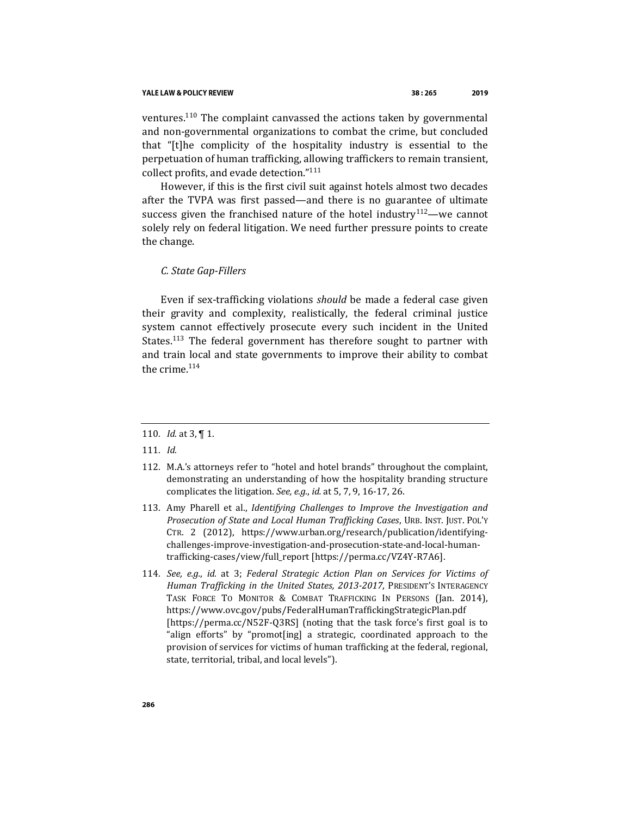#### YALE LAW & POLICY REVIEW

ventures.<sup>110</sup> The complaint canvassed the actions taken by governmental and non-governmental organizations to combat the crime, but concluded that "[t]he complicity of the hospitality industry is essential to the perpetuation of human trafficking, allowing traffickers to remain transient, collect profits, and evade detection."<sup>111</sup>

However, if this is the first civil suit against hotels almost two decades after the TVPA was first passed—and there is no guarantee of ultimate success given the franchised nature of the hotel industry<sup>112</sup>—we cannot solely rely on federal litigation. We need further pressure points to create the change.

## *C. State Gap-Fillers*

Even if sex-trafficking violations *should* be made a federal case given their gravity and complexity, realistically, the federal criminal justice system cannot effectively prosecute every such incident in the United States.<sup>113</sup> The federal government has therefore sought to partner with and train local and state governments to improve their ability to combat the crime. 114

- 113. Amy Pharell et al., *Identifying Challenges to Improve the Investigation and Prosecution of State and Local Human Trafficking Cases*, URB. INST. JUST. POL'Y CTR. 2 (2012), https://www.urban.org/research/publication/identifyingchallenges-improve-investigation-and-prosecution-state-and-local-humantrafficking-cases/view/full\_report [https://perma.cc/VZ4Y-R7A6].
- 114*. See, e.g.*, *id.* at 3; *Federal Strategic Action Plan on Services for Victims of Human Trafficking in the United States, 2013-2017*, PRESIDENT'S INTERAGENCY TASK FORCE TO MONITOR & COMBAT TRAFFICKING IN PERSONS (Jan. 2014), https://www.ovc.gov/pubs/FederalHumanTraffickingStrategicPlan.pdf [https://perma.cc/N52F-Q3RS] (noting that the task force's first goal is to "align efforts" by "promot[ing] a strategic, coordinated approach to the provision of services for victims of human trafficking at the federal, regional, state, territorial, tribal, and local levels").

<sup>110</sup>*. Id.* at 3, ¶ 1.

<sup>111</sup>*. Id.*

<sup>112.</sup> M.A.'s attorneys refer to "hotel and hotel brands" throughout the complaint, demonstrating an understanding of how the hospitality branding structure complicates the litigation. *See, e.g.*, *id.* at 5, 7, 9, 16-17, 26.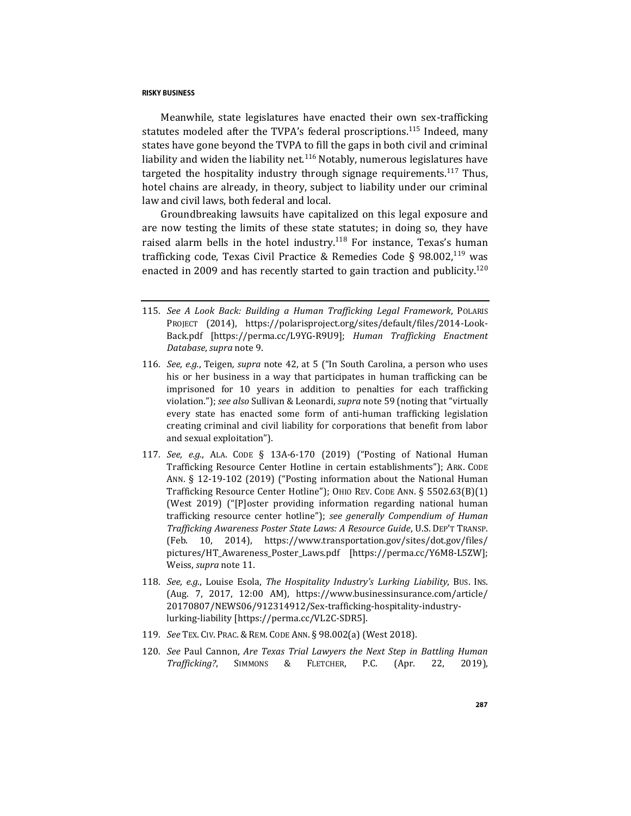<span id="page-22-0"></span>Meanwhile, state legislatures have enacted their own sex-trafficking statutes modeled after the TVPA's federal proscriptions.<sup>115</sup> Indeed, many states have gone beyond the TVPA to fill the gaps in both civil and criminal liability and widen the liability net.<sup>116</sup> Notably, numerous legislatures have targeted the hospitality industry through signage requirements.<sup>117</sup> Thus, hotel chains are already, in theory, subject to liability under our criminal law and civil laws, both federal and local.

<span id="page-22-1"></span>Groundbreaking lawsuits have capitalized on this legal exposure and are now testing the limits of these state statutes; in doing so, they have raised alarm bells in the hotel industry.<sup>118</sup> For instance, Texas's human trafficking code, Texas Civil Practice & Remedies Code § 98.002, $^{119}$  was enacted in 2009 and has recently started to gain traction and publicity.<sup>120</sup>

- 115*. See A Look Back: Building a Human Trafficking Legal Framework*, POLARIS PROJECT (2014), https://polarisproject.org/sites/default/files/2014-Look-Back.pdf [https://perma.cc/L9YG-R9U9]; *Human Trafficking Enactment Database*, *supra* not[e 9.](#page-3-1)
- 116*. See, e.g.*, Teigen*, supra* note [42,](#page-8-0) at 5 ("In South Carolina, a person who uses his or her business in a way that participates in human trafficking can be imprisoned for 10 years in addition to penalties for each trafficking violation."); *see also* Sullivan & Leonardi, *supra* note [59](#page-11-0) (noting that "virtually every state has enacted some form of anti-human trafficking legislation creating criminal and civil liability for corporations that benefit from labor and sexual exploitation").
- 117*. See, e.g.*, ALA. CODE § 13A-6-170 (2019) ("Posting of National Human Trafficking Resource Center Hotline in certain establishments"); ARK. CODE ANN. § 12-19-102 (2019) ("Posting information about the National Human Trafficking Resource Center Hotline"); OHIO REV. CODE ANN. § 5502.63(B)(1) (West 2019) ("[P]oster providing information regarding national human trafficking resource center hotline"); *see generally Compendium of Human Trafficking Awareness Poster State Laws: A Resource Guide*, U.S. DEP'T TRANSP. (Feb. 10, 2014), https://www.transportation.gov/sites/dot.gov/files/ pictures/HT\_Awareness\_Poster\_Laws.pdf [https://perma.cc/Y6M8-L5ZW]; Weiss, *supra* not[e 11.](#page-3-2)
- 118*. See, e.g.*, Louise Esola, *The Hospitality Industry's Lurking Liability*, BUS. INS. (Aug. 7, 2017, 12:00 AM), https://www.businessinsurance.com/article/ 20170807/NEWS06/912314912/Sex-trafficking-hospitality-industrylurking-liability [https://perma.cc/VL2C-SDR5].
- 119*. See* TEX. CIV. PRAC. & REM. CODE ANN. § 98.002(a) (West 2018).
- 120*. See* Paul Cannon, *Are Texas Trial Lawyers the Next Step in Battling Human Trafficking?*, SIMMONS & FLETCHER, P.C. (Apr. 22, 2019),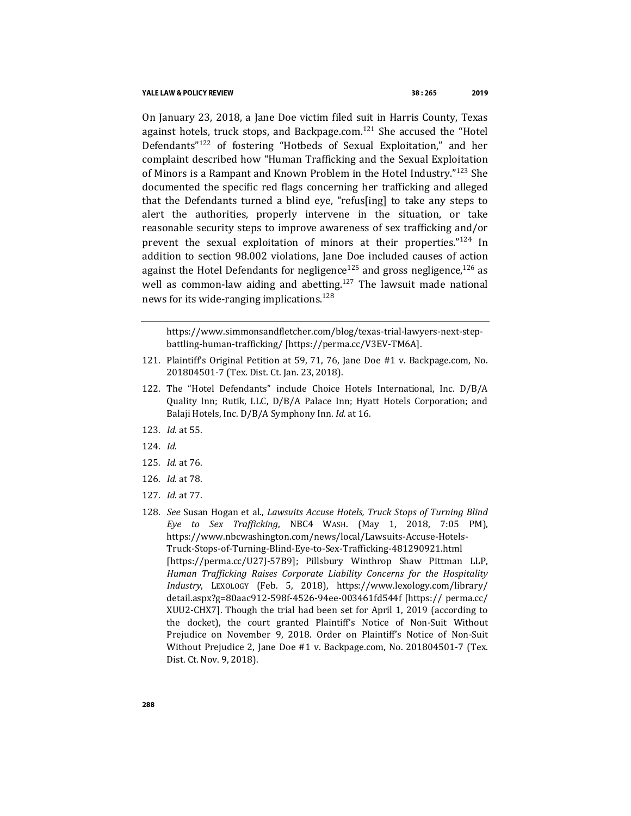On January 23, 2018, a Jane Doe victim filed suit in Harris County, Texas against hotels, truck stops, and Backpage.com.<sup>121</sup> She accused the "Hotel Defendants<sup>"122</sup> of fostering "Hotbeds of Sexual Exploitation," and her complaint described how "Human Trafficking and the Sexual Exploitation of Minors is a Rampant and Known Problem in the Hotel Industry."<sup>123</sup> She documented the specific red flags concerning her trafficking and alleged that the Defendants turned a blind eye, "refus[ing] to take any steps to alert the authorities, properly intervene in the situation, or take reasonable security steps to improve awareness of sex trafficking and/or prevent the sexual exploitation of minors at their properties."<sup>124</sup> In addition to section 98.002 violations, Jane Doe included causes of action against the Hotel Defendants for negligence<sup>125</sup> and gross negligence,<sup>126</sup> as well as common-law aiding and abetting.<sup>127</sup> The lawsuit made national news for its wide-ranging implications.<sup>128</sup>

https://www.simmonsandfletcher.com/blog/texas-trial-lawyers-next-stepbattling-human-trafficking/ [https://perma.cc/V3EV-TM6A].

- 121. Plaintiff's Original Petition at 59, 71, 76, Jane Doe #1 v. Backpage.com, No. 201804501-7 (Tex. Dist. Ct. Jan. 23, 2018).
- 122. The "Hotel Defendants" include Choice Hotels International, Inc. D/B/A Quality Inn; Rutik, LLC, D/B/A Palace Inn; Hyatt Hotels Corporation; and Balaji Hotels, Inc. D/B/A Symphony Inn. *Id.* at 16.
- 123*. Id*. at 55.
- 124*. Id.*
- 125*. Id.* at 76.
- 126*. Id.* at 78.
- 127*. Id.* at 77.
- 128*. See* Susan Hogan et al., *Lawsuits Accuse Hotels, Truck Stops of Turning Blind Eye to Sex Trafficking*, NBC4 WASH. (May 1, 2018, 7:05 PM), https://www.nbcwashington.com/news/local/Lawsuits-Accuse-Hotels-Truck-Stops-of-Turning-Blind-Eye-to-Sex-Trafficking-481290921.html [https://perma.cc/U27J-57B9]; Pillsbury Winthrop Shaw Pittman LLP, *Human Trafficking Raises Corporate Liability Concerns for the Hospitality Industry*, LEXOLOGY (Feb. 5, 2018), https://www.lexology.com/library/ detail.aspx?g=80aac912-598f-4526-94ee-003461fd544f [https:// perma.cc/ XUU2-CHX7]. Though the trial had been set for April 1, 2019 (according to the docket), the court granted Plaintiff's Notice of Non-Suit Without Prejudice on November 9, 2018. Order on Plaintiff's Notice of Non-Suit Without Prejudice 2, Jane Doe #1 v. Backpage.com, No. 201804501-7 (Tex. Dist. Ct. Nov. 9, 2018).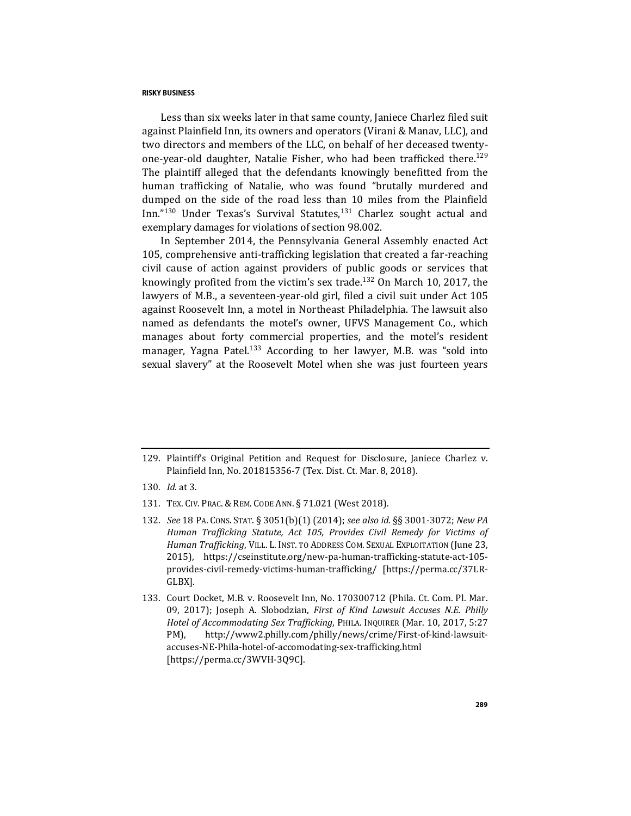Less than six weeks later in that same county, Janiece Charlez filed suit against Plainfield Inn, its owners and operators (Virani & Manav, LLC), and two directors and members of the LLC, on behalf of her deceased twentyone-year-old daughter, Natalie Fisher, who had been trafficked there.<sup>129</sup> The plaintiff alleged that the defendants knowingly benefitted from the human trafficking of Natalie, who was found "brutally murdered and dumped on the side of the road less than 10 miles from the Plainfield  $Inn.^{9130}$  Under Texas's Survival Statutes, $131$  Charlez sought actual and exemplary damages for violations of section 98.002.

<span id="page-24-1"></span><span id="page-24-0"></span>In September 2014, the Pennsylvania General Assembly enacted Act 105, comprehensive anti-trafficking legislation that created a far-reaching civil cause of action against providers of public goods or services that knowingly profited from the victim's sex trade.<sup>132</sup> On March 10, 2017, the lawyers of M.B., a seventeen-year-old girl, filed a civil suit under Act 105 against Roosevelt Inn, a motel in Northeast Philadelphia. The lawsuit also named as defendants the motel's owner, UFVS Management Co., which manages about forty commercial properties, and the motel's resident manager, Yagna Patel.<sup>133</sup> According to her lawyer, M.B. was "sold into sexual slavery" at the Roosevelt Motel when she was just fourteen years

- 130*. Id.* at 3.
- 131. TEX. CIV. PRAC. & REM. CODE ANN. § 71.021 (West 2018).
- 132*. See* 18 PA. CONS. STAT. § 3051(b)(1) (2014); *see also id.* §§ 3001-3072; *New PA Human Trafficking Statute, Act 105, Provides Civil Remedy for Victims of Human Trafficking*, VILL. L. INST. TO ADDRESS COM. SEXUAL EXPLOITATION (June 23, 2015), https://cseinstitute.org/new-pa-human-trafficking-statute-act-105 provides-civil-remedy-victims-human-trafficking/ [https://perma.cc/37LR-GLBX].
- 133. Court Docket, M.B. v. Roosevelt Inn, No. 170300712 (Phila. Ct. Com. Pl. Mar. 09, 2017); Joseph A. Slobodzian, *First of Kind Lawsuit Accuses N.E. Philly Hotel of Accommodating Sex Trafficking*, PHILA. INQUIRER (Mar. 10, 2017, 5:27 PM), http://www2.philly.com/philly/news/crime/First-of-kind-lawsuitaccuses-NE-Phila-hotel-of-accomodating-sex-trafficking.html [https://perma.cc/3WVH-3Q9C].

<sup>129.</sup> Plaintiff's Original Petition and Request for Disclosure, Janiece Charlez v. Plainfield Inn, No. 201815356-7 (Tex. Dist. Ct. Mar. 8, 2018).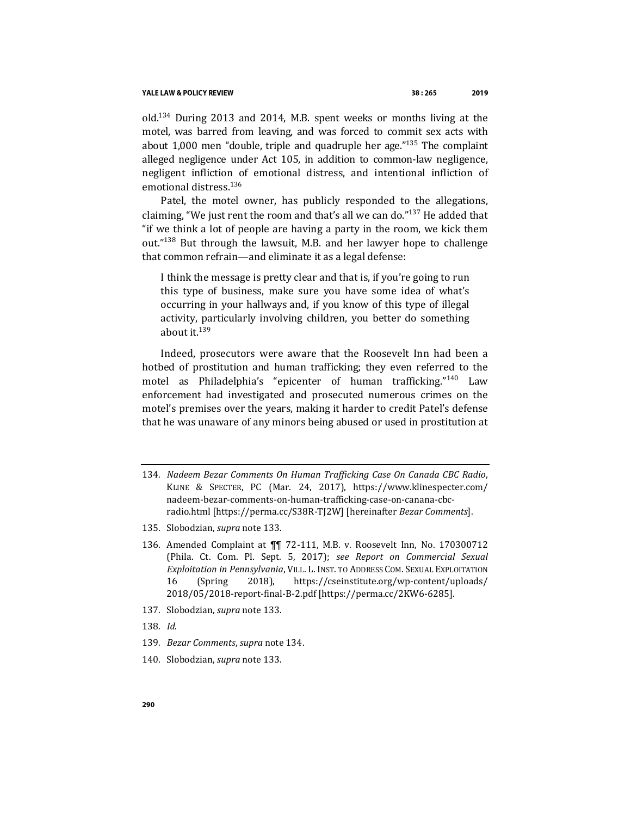<span id="page-25-0"></span>old.<sup>134</sup> During 2013 and 2014, M.B. spent weeks or months living at the motel, was barred from leaving, and was forced to commit sex acts with about 1,000 men "double, triple and quadruple her age." $135$  The complaint alleged negligence under Act 105, in addition to common-law negligence, negligent infliction of emotional distress, and intentional infliction of emotional distress.<sup>136</sup>

Patel, the motel owner, has publicly responded to the allegations, claiming, "We just rent the room and that's all we can do."<sup>137</sup> He added that "if we think a lot of people are having a party in the room, we kick them out."<sup>138</sup> But through the lawsuit, M.B. and her lawyer hope to challenge that common refrain—and eliminate it as a legal defense:

I think the message is pretty clear and that is, if you're going to run this type of business, make sure you have some idea of what's occurring in your hallways and, if you know of this type of illegal activity, particularly involving children, you better do something about it. $139$ 

Indeed, prosecutors were aware that the Roosevelt Inn had been a hotbed of prostitution and human trafficking; they even referred to the motel as Philadelphia's "epicenter of human trafficking."<sup>140</sup> Law enforcement had investigated and prosecuted numerous crimes on the motel's premises over the years, making it harder to credit Patel's defense that he was unaware of any minors being abused or used in prostitution at

- 134*. Nadeem Bezar Comments On Human Trafficking Case On Canada CBC Radio*, KLINE & SPECTER, PC (Mar. 24, 2017), https://www.klinespecter.com/ nadeem-bezar-comments-on-human-trafficking-case-on-canana-cbcradio.html [https://perma.cc/S38R-TJ2W] [hereinafter *Bezar Comments*].
- 135. Slobodzian, *supra* not[e 133.](#page-24-0)
- 136. Amended Complaint at ¶¶ 72-111, M.B. v. Roosevelt Inn, No. 170300712 (Phila. Ct. Com. Pl. Sept. 5, 2017); *see Report on Commercial Sexual Exploitation in Pennsylvania*, VILL. L. INST. TO ADDRESS COM. SEXUAL EXPLOITATION 16 (Spring 2018), https://cseinstitute.org/wp-content/uploads/ 2018/05/2018-report-final-B-2.pdf [https://perma.cc/2KW6-6285].
- 137. Slobodzian, *supra* not[e 133.](#page-24-0)
- 138*. Id*.
- 139*. Bezar Comments*, *supra* not[e 134.](#page-25-0)
- 140. Slobodzian, *supra* not[e 133.](#page-24-0)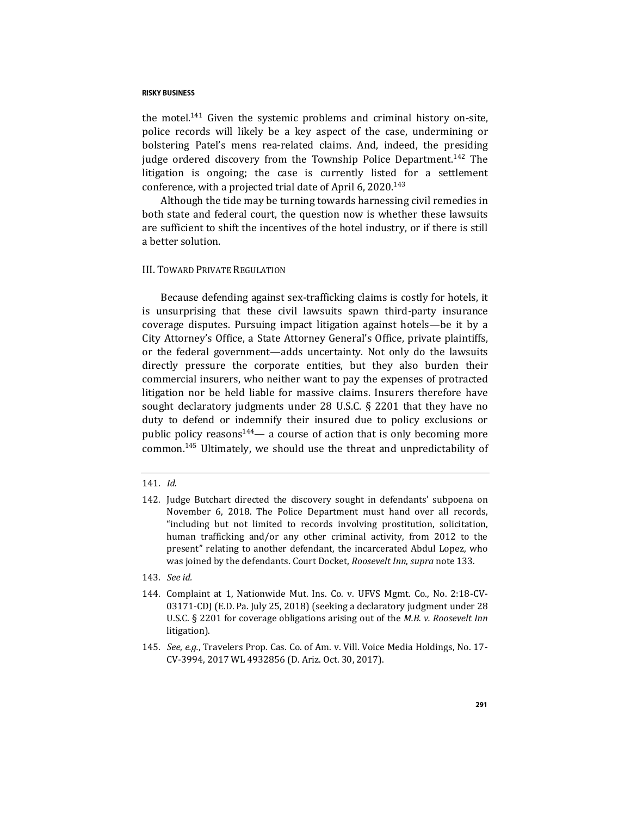the motel.<sup>141</sup> Given the systemic problems and criminal history on-site, police records will likely be a key aspect of the case, undermining or bolstering Patel's mens rea-related claims. And, indeed, the presiding judge ordered discovery from the Township Police Department.<sup>142</sup> The litigation is ongoing; the case is currently listed for a settlement conference, with a projected trial date of April 6, 2020.<sup>143</sup>

Although the tide may be turning towards harnessing civil remedies in both state and federal court, the question now is whether these lawsuits are sufficient to shift the incentives of the hotel industry, or if there is still a better solution.

## III. TOWARD PRIVATE REGULATION

Because defending against sex-trafficking claims is costly for hotels, it is unsurprising that these civil lawsuits spawn third-party insurance coverage disputes. Pursuing impact litigation against hotels—be it by a City Attorney's Office, a State Attorney General's Office, private plaintiffs, or the federal government—adds uncertainty. Not only do the lawsuits directly pressure the corporate entities, but they also burden their commercial insurers, who neither want to pay the expenses of protracted litigation nor be held liable for massive claims. Insurers therefore have sought declaratory judgments under 28 U.S.C. § 2201 that they have no duty to defend or indemnify their insured due to policy exclusions or public policy reasons $144$ — a course of action that is only becoming more common.<sup>145</sup> Ultimately, we should use the threat and unpredictability of

- 143*. See id.*
- 144. Complaint at 1, Nationwide Mut. Ins. Co. v. UFVS Mgmt. Co., No. 2:18-CV-03171-CDJ (E.D. Pa. July 25, 2018) (seeking a declaratory judgment under 28 U.S.C. § 2201 for coverage obligations arising out of the *M.B. v. Roosevelt Inn* litigation).
- 145*. See*, *e.g.*, Travelers Prop. Cas. Co. of Am. v. Vill. Voice Media Holdings, No. 17- CV-3994, 2017 WL 4932856 (D. Ariz. Oct. 30, 2017).

<sup>141</sup>*. Id*.

<sup>142.</sup> Judge Butchart directed the discovery sought in defendants' subpoena on November 6, 2018. The Police Department must hand over all records, "including but not limited to records involving prostitution, solicitation, human trafficking and/or any other criminal activity, from 2012 to the present" relating to another defendant, the incarcerated Abdul Lopez, who was joined by the defendants. Court Docket, *Roosevelt Inn*, *supra* not[e 133.](#page-24-0)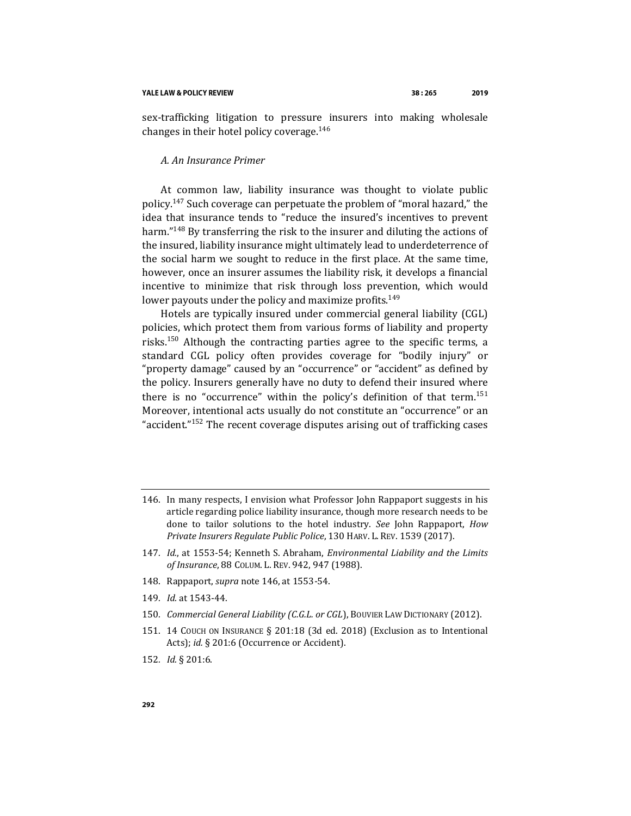sex-trafficking litigation to pressure insurers into making wholesale changes in their hotel policy coverage.<sup>146</sup>

## <span id="page-27-0"></span>*A. An Insurance Primer*

<span id="page-27-1"></span>At common law, liability insurance was thought to violate public policy.<sup>147</sup> Such coverage can perpetuate the problem of "moral hazard," the idea that insurance tends to "reduce the insured's incentives to prevent harm."<sup>148</sup> By transferring the risk to the insurer and diluting the actions of the insured, liability insurance might ultimately lead to underdeterrence of the social harm we sought to reduce in the first place. At the same time, however, once an insurer assumes the liability risk, it develops a financial incentive to minimize that risk through loss prevention, which would lower payouts under the policy and maximize profits.<sup>149</sup>

Hotels are typically insured under commercial general liability (CGL) policies, which protect them from various forms of liability and property risks.<sup>150</sup> Although the contracting parties agree to the specific terms, a standard CGL policy often provides coverage for "bodily injury" or "property damage" caused by an "occurrence" or "accident" as defined by the policy. Insurers generally have no duty to defend their insured where there is no "occurrence" within the policy's definition of that term.<sup>151</sup> Moreover, intentional acts usually do not constitute an "occurrence" or an "accident."<sup>152</sup> The recent coverage disputes arising out of trafficking cases

- 147*. Id.*, at 1553-54; Kenneth S. Abraham, *Environmental Liability and the Limits of Insurance*, 88 COLUM. L. REV. 942, 947 (1988).
- 148. Rappaport, *supra* not[e 146,](#page-27-0) at 1553-54.
- 149*. Id.* at 1543-44.
- 150*. Commercial General Liability (C.G.L. or CGL*), BOUVIER LAW DICTIONARY (2012).
- 151. 14 COUCH ON INSURANCE § 201:18 (3d ed. 2018) (Exclusion as to Intentional Acts); *id.* § 201:6 (Occurrence or Accident).
- 152*. Id.* § 201:6.

<sup>146.</sup> In many respects, I envision what Professor John Rappaport suggests in his article regarding police liability insurance, though more research needs to be done to tailor solutions to the hotel industry. *See* John Rappaport, *How Private Insurers Regulate Public Police*, 130 HARV. L. REV. 1539 (2017).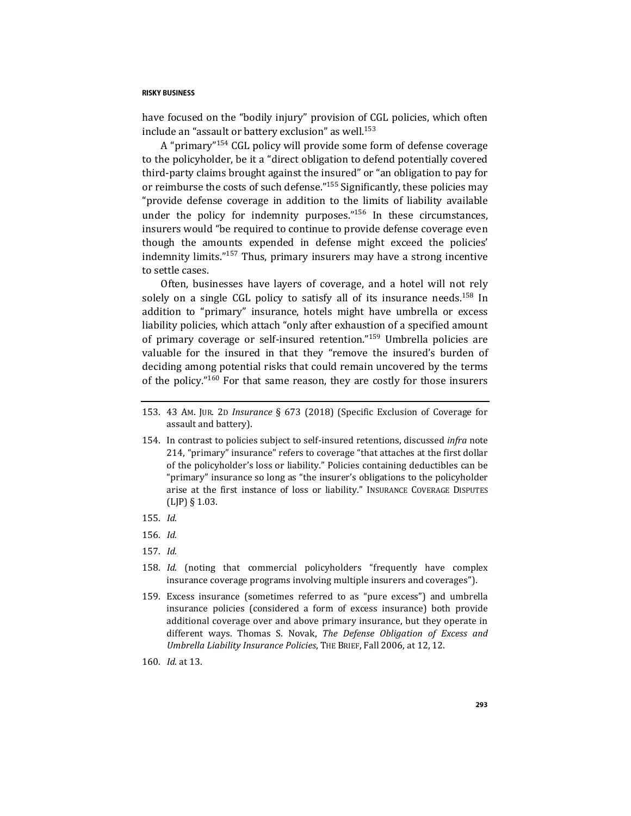have focused on the "bodily injury" provision of CGL policies, which often include an "assault or battery exclusion" as well.<sup>153</sup>

A "primary"<sup>154</sup> CGL policy will provide some form of defense coverage to the policyholder, be it a "direct obligation to defend potentially covered third-party claims brought against the insured" or "an obligation to pay for or reimburse the costs of such defense."<sup>155</sup> Significantly, these policies may "provide defense coverage in addition to the limits of liability available under the policy for indemnity purposes."<sup>156</sup> In these circumstances, insurers would "be required to continue to provide defense coverage even though the amounts expended in defense might exceed the policies' indemnity limits."<sup>157</sup> Thus, primary insurers may have a strong incentive to settle cases.

Often, businesses have layers of coverage, and a hotel will not rely solely on a single CGL policy to satisfy all of its insurance needs.<sup>158</sup> In addition to "primary" insurance, hotels might have umbrella or excess liability policies, which attach "only after exhaustion of a specified amount of primary coverage or self-insured retention."<sup>159</sup> Umbrella policies are valuable for the insured in that they "remove the insured's burden of deciding among potential risks that could remain uncovered by the terms of the policy."<sup>160</sup> For that same reason, they are costly for those insurers

- 153. 43 AM. JUR. 2D *Insurance* § 673 (2018) (Specific Exclusion of Coverage for assault and battery).
- 154. In contrast to policies subject to self-insured retentions, discussed *infra* note [214,](#page-37-0) "primary" insurance" refers to coverage "that attaches at the first dollar of the policyholder's loss or liability." Policies containing deductibles can be "primary" insurance so long as "the insurer's obligations to the policyholder arise at the first instance of loss or liability." INSURANCE COVERAGE DISPUTES (LJP) § 1.03.
- 155*. Id.*
- 156*. Id.*
- 157*. Id.*
- 158*. Id.* (noting that commercial policyholders "frequently have complex insurance coverage programs involving multiple insurers and coverages").
- 159. Excess insurance (sometimes referred to as "pure excess") and umbrella insurance policies (considered a form of excess insurance) both provide additional coverage over and above primary insurance, but they operate in different ways. Thomas S. Novak, *The Defense Obligation of Excess and Umbrella Liability Insurance Policies*, THE BRIEF, Fall 2006, at 12, 12.
- 160*. Id*. at 13.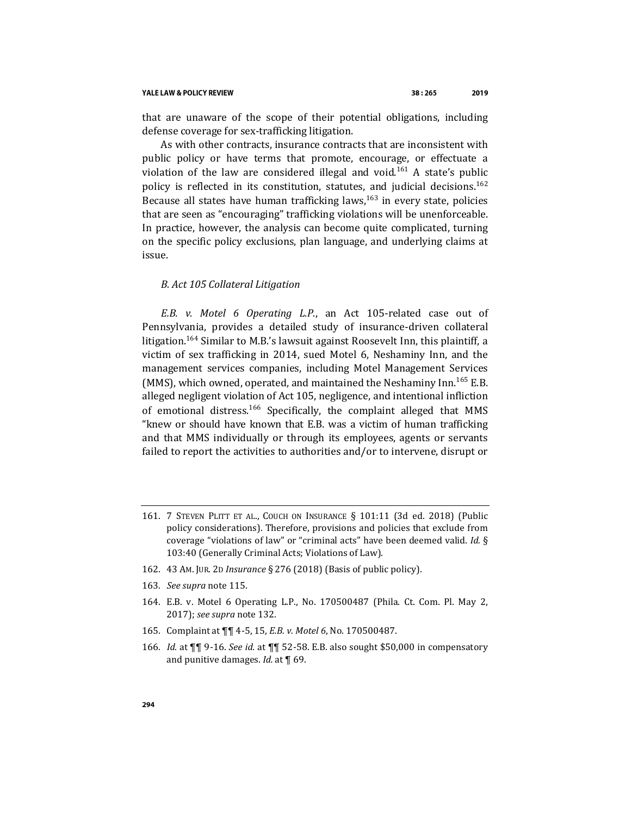#### YALE LAW & POLICY REVIEW

that are unaware of the scope of their potential obligations, including defense coverage for sex-trafficking litigation.

As with other contracts, insurance contracts that are inconsistent with public policy or have terms that promote, encourage, or effectuate a violation of the law are considered illegal and void.<sup>161</sup> A state's public policy is reflected in its constitution, statutes, and judicial decisions.<sup>162</sup> Because all states have human trafficking laws,  $163$  in every state, policies that are seen as "encouraging" trafficking violations will be unenforceable. In practice, however, the analysis can become quite complicated, turning on the specific policy exclusions, plan language, and underlying claims at issue.

#### *B. Act 105 Collateral Litigation*

*E.B. v. Motel 6 Operating L.P.*, an Act 105-related case out of Pennsylvania, provides a detailed study of insurance-driven collateral litigation.<sup>164</sup> Similar to M.B.'s lawsuit against Roosevelt Inn, this plaintiff, a victim of sex trafficking in 2014, sued Motel 6, Neshaminy Inn, and the management services companies, including Motel Management Services (MMS), which owned, operated, and maintained the Neshaminy Inn.<sup>165</sup> E.B. alleged negligent violation of Act 105, negligence, and intentional infliction of emotional distress.<sup>166</sup> Specifically, the complaint alleged that MMS "knew or should have known that E.B. was a victim of human trafficking and that MMS individually or through its employees, agents or servants failed to report the activities to authorities and/or to intervene, disrupt or

- 162. 43 AM. JUR. 2D *Insurance* § 276 (2018) (Basis of public policy).
- 163*. See supra* not[e 115.](#page-22-0)
- 164. E.B. v. Motel 6 Operating L.P., No. 170500487 (Phila. Ct. Com. Pl. May 2, 2017); *see supra* not[e 132.](#page-24-1)
- 165. Complaint at ¶¶ 4-5, 15, *E.B. v. Motel 6*, No. 170500487.
- 166*. Id.* at ¶¶ 9-16. *See id.* at ¶¶ 52-58. E.B. also sought \$50,000 in compensatory and punitive damages. *Id.* at ¶ 69.

<sup>161.</sup> 7 STEVEN PLITT ET AL., COUCH ON INSURANCE § 101:11 (3d ed. 2018) (Public policy considerations). Therefore, provisions and policies that exclude from coverage "violations of law" or "criminal acts" have been deemed valid. *Id.* § 103:40 (Generally Criminal Acts; Violations of Law).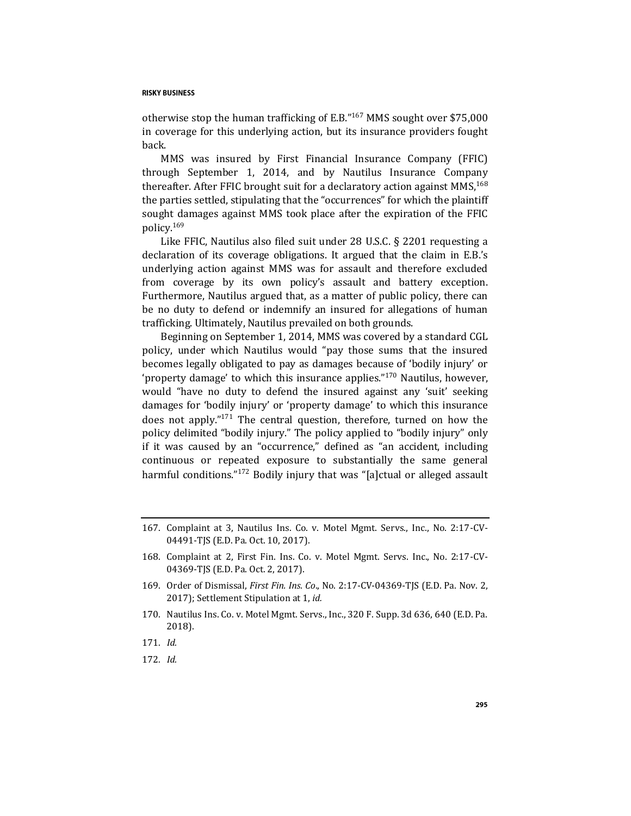otherwise stop the human trafficking of E.B."<sup>167</sup> MMS sought over \$75,000 in coverage for this underlying action, but its insurance providers fought back.

MMS was insured by First Financial Insurance Company (FFIC) through September 1, 2014, and by Nautilus Insurance Company thereafter. After FFIC brought suit for a declaratory action against  $MMS<sub>1</sub><sup>168</sup>$ the parties settled, stipulating that the "occurrences" for which the plaintiff sought damages against MMS took place after the expiration of the FFIC policy.<sup>169</sup>

Like FFIC, Nautilus also filed suit under 28 U.S.C. § 2201 requesting a declaration of its coverage obligations. It argued that the claim in E.B.'s underlying action against MMS was for assault and therefore excluded from coverage by its own policy's assault and battery exception. Furthermore, Nautilus argued that, as a matter of public policy, there can be no duty to defend or indemnify an insured for allegations of human trafficking. Ultimately, Nautilus prevailed on both grounds.

Beginning on September 1, 2014, MMS was covered by a standard CGL policy, under which Nautilus would "pay those sums that the insured becomes legally obligated to pay as damages because of 'bodily injury' or 'property damage' to which this insurance applies."<sup>170</sup> Nautilus, however, would "have no duty to defend the insured against any 'suit' seeking damages for 'bodily injury' or 'property damage' to which this insurance does not apply."<sup>171</sup> The central question, therefore, turned on how the policy delimited "bodily injury." The policy applied to "bodily injury" only if it was caused by an "occurrence," defined as "an accident, including continuous or repeated exposure to substantially the same general harmful conditions."<sup>172</sup> Bodily injury that was "[a]ctual or alleged assault

<sup>167.</sup> Complaint at 3, Nautilus Ins. Co. v. Motel Mgmt. Servs., Inc., No. 2:17-CV-04491-TJS (E.D. Pa. Oct. 10, 2017).

<sup>168.</sup> Complaint at 2, First Fin. Ins. Co. v. Motel Mgmt. Servs. Inc., No. 2:17-CV-04369-TJS (E.D. Pa. Oct. 2, 2017).

<sup>169.</sup> Order of Dismissal, *First Fin. Ins. Co*., No. 2:17-CV-04369-TJS (E.D. Pa. Nov. 2, 2017); Settlement Stipulation at 1, *id.*

<sup>170.</sup> Nautilus Ins. Co. v. Motel Mgmt. Servs., Inc., 320 F. Supp. 3d 636, 640 (E.D. Pa. 2018).

<sup>171</sup>*. Id.*

<sup>172</sup>*. Id.*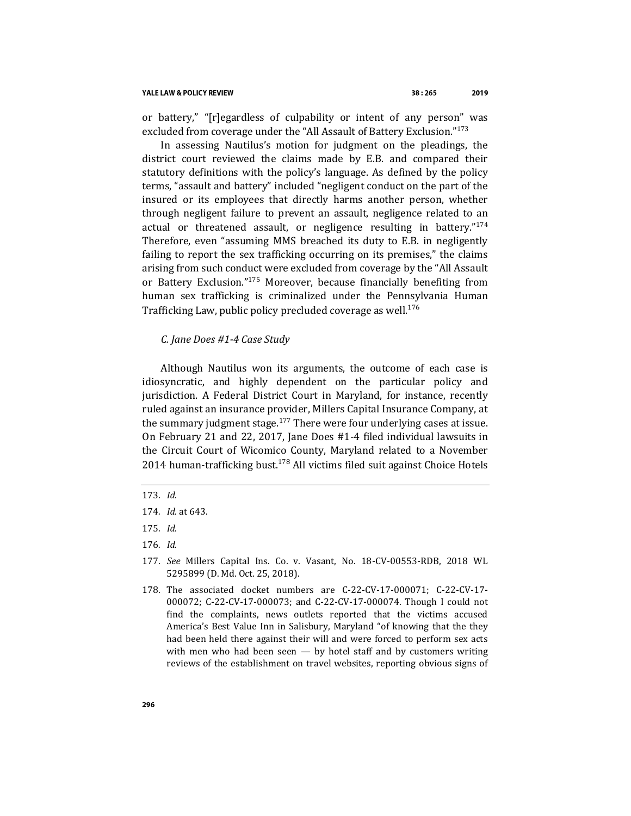or battery," "[r]egardless of culpability or intent of any person" was excluded from coverage under the "All Assault of Battery Exclusion."<sup>173</sup>

In assessing Nautilus's motion for judgment on the pleadings, the district court reviewed the claims made by E.B. and compared their statutory definitions with the policy's language. As defined by the policy terms, "assault and battery" included "negligent conduct on the part of the insured or its employees that directly harms another person, whether through negligent failure to prevent an assault, negligence related to an actual or threatened assault, or negligence resulting in battery."<sup>174</sup> Therefore, even "assuming MMS breached its duty to E.B. in negligently failing to report the sex trafficking occurring on its premises," the claims arising from such conduct were excluded from coverage by the "All Assault or Battery Exclusion."<sup>175</sup> Moreover, because financially benefiting from human sex trafficking is criminalized under the Pennsylvania Human Trafficking Law, public policy precluded coverage as well.<sup>176</sup>

## *C. Jane Does #1-4 Case Study*

Although Nautilus won its arguments, the outcome of each case is idiosyncratic, and highly dependent on the particular policy and jurisdiction. A Federal District Court in Maryland, for instance, recently ruled against an insurance provider, Millers Capital Insurance Company, at the summary judgment stage. $177$  There were four underlying cases at issue. On February 21 and 22, 2017, Jane Does #1-4 filed individual lawsuits in the Circuit Court of Wicomico County, Maryland related to a November 2014 human-trafficking bust.<sup>178</sup> All victims filed suit against Choice Hotels

<span id="page-31-0"></span><sup>173</sup>*. Id.*

<sup>174</sup>*. Id.* at 643.

<sup>175</sup>*. Id.*

<sup>176</sup>*. Id.*

<sup>177</sup>*. See* Millers Capital Ins. Co. v. Vasant, No. 18-CV-00553-RDB, 2018 WL 5295899 (D. Md. Oct. 25, 2018).

<sup>178.</sup> The associated docket numbers are C-22-CV-17-000071; C-22-CV-17- 000072; C-22-CV-17-000073; and C-22-CV-17-000074. Though I could not find the complaints, news outlets reported that the victims accused America's Best Value Inn in Salisbury, Maryland "of knowing that the they had been held there against their will and were forced to perform sex acts with men who had been seen  $-$  by hotel staff and by customers writing reviews of the establishment on travel websites, reporting obvious signs of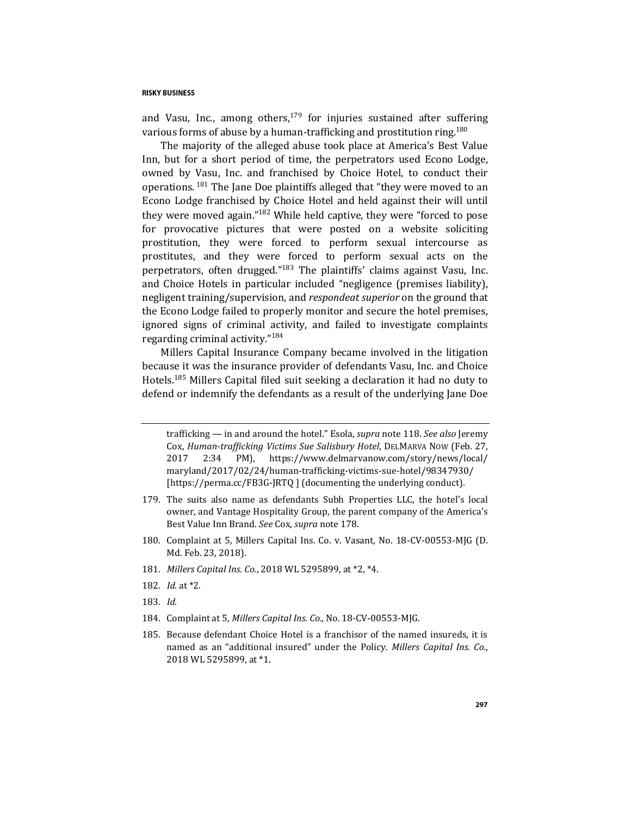and Vasu, Inc., among others,  $179$  for injuries sustained after suffering various forms of abuse by a human-trafficking and prostitution ring.<sup>180</sup>

The majority of the alleged abuse took place at America's Best Value Inn, but for a short period of time, the perpetrators used Econo Lodge, owned by Vasu, Inc. and franchised by Choice Hotel, to conduct their operations. <sup>181</sup> The Jane Doe plaintiffs alleged that "they were moved to an Econo Lodge franchised by Choice Hotel and held against their will until they were moved again."<sup>182</sup> While held captive, they were "forced to pose for provocative pictures that were posted on a website soliciting prostitution, they were forced to perform sexual intercourse as prostitutes, and they were forced to perform sexual acts on the perpetrators, often drugged."<sup>183</sup> The plaintiffs' claims against Vasu, Inc. and Choice Hotels in particular included "negligence (premises liability), negligent training/supervision, and *respondeat superior* on the ground that the Econo Lodge failed to properly monitor and secure the hotel premises, ignored signs of criminal activity, and failed to investigate complaints regarding criminal activity."<sup>184</sup>

Millers Capital Insurance Company became involved in the litigation because it was the insurance provider of defendants Vasu, Inc. and Choice Hotels.<sup>185</sup> Millers Capital filed suit seeking a declaration it had no duty to defend or indemnify the defendants as a result of the underlying Jane Doe

- 179. The suits also name as defendants Subh Properties LLC, the hotel's local owner, and Vantage Hospitality Group, the parent company of the America's Best Value Inn Brand. *See* Cox, *supra* note [178.](#page-31-0)
- 180. Complaint at 5, Millers Capital Ins. Co. v. Vasant, No. 18-CV-00553-MJG (D. Md. Feb. 23, 2018).
- 181*. Millers Capital Ins. Co.*, 2018 WL 5295899, at \*2, \*4.
- 182*. Id.* at \*2.
- 183*. Id.*
- 184. Complaint at 5, *Millers Capital Ins. Co.*, No. 18-CV-00553-MJG.
- 185. Because defendant Choice Hotel is a franchisor of the named insureds, it is named as an "additional insured" under the Policy. *Millers Capital Ins. Co.*, 2018 WL 5295899, at \*1.

trafficking — in and around the hotel." Esola, *supra* not[e 118.](#page-22-1) *See also* Jeremy Cox, *Human-trafficking Victims Sue Salisbury Hotel*, DELMARVA NOW (Feb. 27, 2017 2:34 PM), https://www.delmarvanow.com/story/news/local/ maryland/2017/02/24/human-trafficking-victims-sue-hotel/98347930/ [https://perma.cc/FB3G-JRTQ ] (documenting the underlying conduct).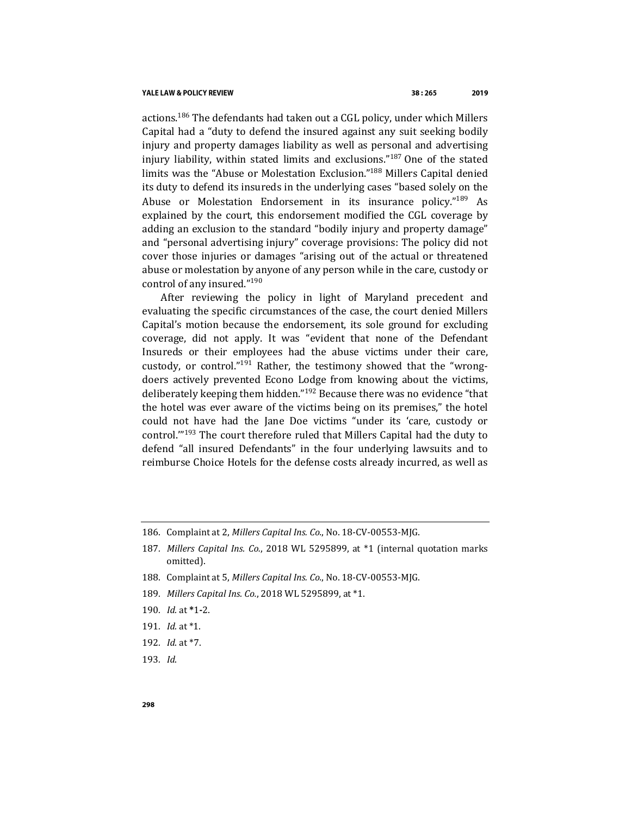actions.<sup>186</sup> The defendants had taken out a CGL policy, under which Millers Capital had a "duty to defend the insured against any suit seeking bodily injury and property damages liability as well as personal and advertising injury liability, within stated limits and exclusions."<sup>187</sup> One of the stated limits was the "Abuse or Molestation Exclusion."<sup>188</sup> Millers Capital denied its duty to defend its insureds in the underlying cases "based solely on the Abuse or Molestation Endorsement in its insurance policy."<sup>189</sup> As explained by the court, this endorsement modified the CGL coverage by adding an exclusion to the standard "bodily injury and property damage" and "personal advertising injury" coverage provisions: The policy did not cover those injuries or damages "arising out of the actual or threatened abuse or molestation by anyone of any person while in the care, custody or control of any insured."<sup>190</sup>

After reviewing the policy in light of Maryland precedent and evaluating the specific circumstances of the case, the court denied Millers Capital's motion because the endorsement, its sole ground for excluding coverage, did not apply. It was "evident that none of the Defendant Insureds or their employees had the abuse victims under their care, custody, or control."<sup>191</sup> Rather, the testimony showed that the "wrongdoers actively prevented Econo Lodge from knowing about the victims, deliberately keeping them hidden."<sup>192</sup> Because there was no evidence "that the hotel was ever aware of the victims being on its premises," the hotel could not have had the Jane Doe victims "under its 'care, custody or control.'"<sup>193</sup> The court therefore ruled that Millers Capital had the duty to defend "all insured Defendants" in the four underlying lawsuits and to reimburse Choice Hotels for the defense costs already incurred, as well as

- 188. Complaint at 5, *Millers Capital Ins. Co.*, No. 18-CV-00553-MJG.
- 189*. Millers Capital Ins. Co.*, 2018 WL 5295899, at \*1.
- 190*. Id.* at **\***1**-**2.
- 191*. Id.* at \*1.
- 192*. Id*. at \*7.
- 193*. Id*.

<sup>186.</sup> Complaint at 2, *Millers Capital Ins. Co.*, No. 18-CV-00553-MJG.

<sup>187</sup>*. Millers Capital Ins. Co.*, 2018 WL 5295899, at \*1 (internal quotation marks omitted).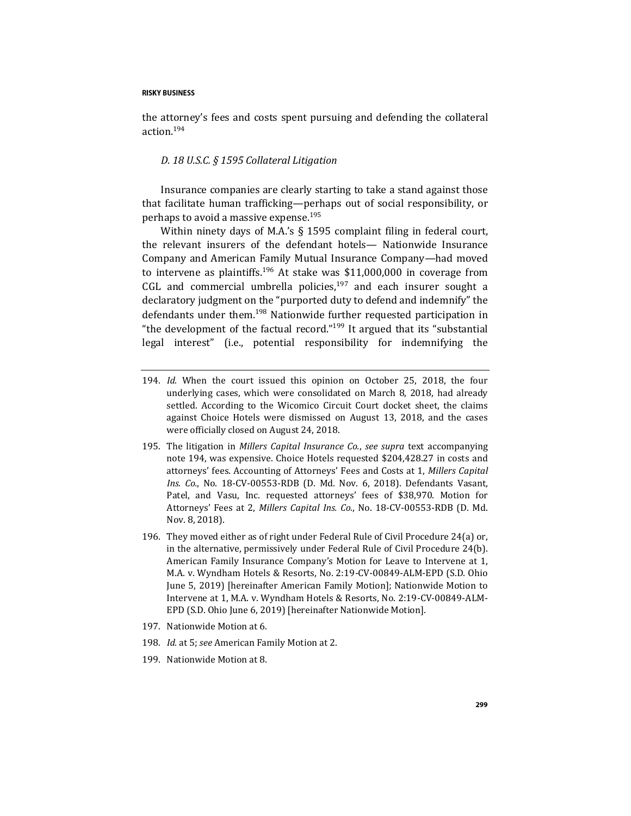<span id="page-34-0"></span>the attorney's fees and costs spent pursuing and defending the collateral action.<sup>194</sup>

## *D. 18 U.S.C. § 1595 Collateral Litigation*

Insurance companies are clearly starting to take a stand against those that facilitate human trafficking—perhaps out of social responsibility, or perhaps to avoid a massive expense.<sup>195</sup>

Within ninety days of M.A.'s § 1595 complaint filing in federal court, the relevant insurers of the defendant hotels— Nationwide Insurance Company and American Family Mutual Insurance Company—had moved to intervene as plaintiffs.<sup>196</sup> At stake was \$11,000,000 in coverage from CGL and commercial umbrella policies, $197$  and each insurer sought a declaratory judgment on the "purported duty to defend and indemnify" the defendants under them.<sup>198</sup> Nationwide further requested participation in "the development of the factual record."<sup>199</sup> It argued that its "substantial" legal interest" (i.e., potential responsibility for indemnifying the

- 194*. Id.* When the court issued this opinion on October 25, 2018, the four underlying cases, which were consolidated on March 8, 2018, had already settled. According to the Wicomico Circuit Court docket sheet, the claims against Choice Hotels were dismissed on August 13, 2018, and the cases were officially closed on August 24, 2018.
- 195. The litigation in *Millers Capital Insurance Co.*, *see supra* text accompanying note [194,](#page-34-0) was expensive. Choice Hotels requested \$204,428.27 in costs and attorneys' fees. Accounting of Attorneys' Fees and Costs at 1, *Millers Capital Ins. Co.*, No. 18-CV-00553-RDB (D. Md. Nov. 6, 2018). Defendants Vasant, Patel, and Vasu, Inc. requested attorneys' fees of \$38,970. Motion for Attorneys' Fees at 2, *Millers Capital Ins. Co.*, No. 18-CV-00553-RDB (D. Md. Nov. 8, 2018).
- 196. They moved either as of right under Federal Rule of Civil Procedure 24(a) or, in the alternative, permissively under Federal Rule of Civil Procedure 24(b). American Family Insurance Company's Motion for Leave to Intervene at 1, M.A. v. Wyndham Hotels & Resorts, No. 2:19-CV-00849-ALM-EPD (S.D. Ohio June 5, 2019) [hereinafter American Family Motion]; Nationwide Motion to Intervene at 1, M.A. v. Wyndham Hotels & Resorts, No. 2:19-CV-00849-ALM-EPD (S.D. Ohio June 6, 2019) [hereinafter Nationwide Motion].
- 197. Nationwide Motion at 6.
- 198*. Id.* at 5; *see* American Family Motion at 2.
- 199. Nationwide Motion at 8.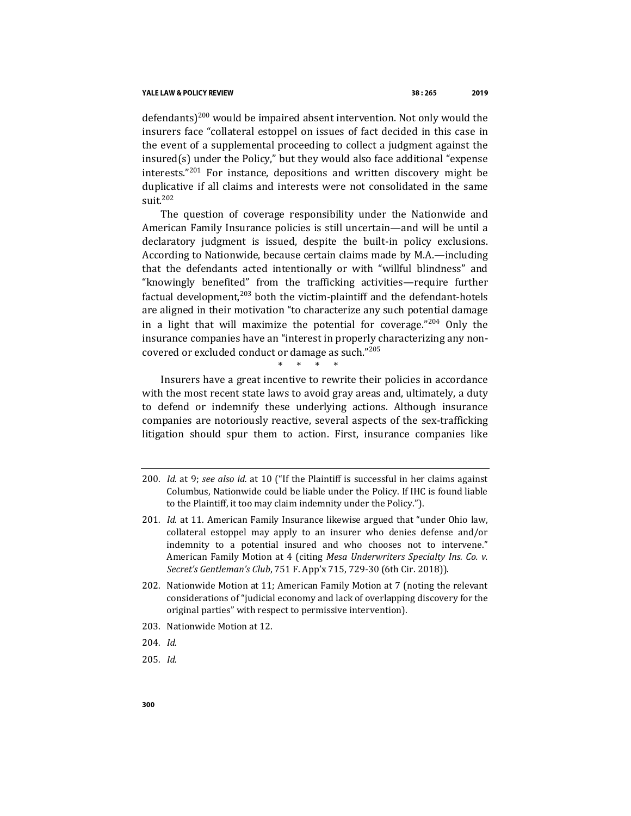defendants)<sup>200</sup> would be impaired absent intervention. Not only would the insurers face "collateral estoppel on issues of fact decided in this case in the event of a supplemental proceeding to collect a judgment against the insured(s) under the Policy," but they would also face additional "expense interests."<sup>201</sup> For instance, depositions and written discovery might be duplicative if all claims and interests were not consolidated in the same suit.<sup>202</sup>

The question of coverage responsibility under the Nationwide and American Family Insurance policies is still uncertain—and will be until a declaratory judgment is issued, despite the built-in policy exclusions. According to Nationwide, because certain claims made by M.A.—including that the defendants acted intentionally or with "willful blindness" and "knowingly benefited" from the trafficking activities—require further factual development, $203$  both the victim-plaintiff and the defendant-hotels are aligned in their motivation "to characterize any such potential damage in a light that will maximize the potential for coverage."<sup>204</sup> Only the insurance companies have an "interest in properly characterizing any noncovered or excluded conduct or damage as such."<sup>205</sup>

\* \* \* \*

Insurers have a great incentive to rewrite their policies in accordance with the most recent state laws to avoid gray areas and, ultimately, a duty to defend or indemnify these underlying actions. Although insurance companies are notoriously reactive, several aspects of the sex-trafficking litigation should spur them to action. First, insurance companies like

203. Nationwide Motion at 12.

204*. Id*.

205*. Id*.

<sup>200</sup>*. Id.* at 9; *see also id.* at 10 ("If the Plaintiff is successful in her claims against Columbus, Nationwide could be liable under the Policy. If IHC is found liable to the Plaintiff, it too may claim indemnity under the Policy.").

<sup>201</sup>*. Id.* at 11. American Family Insurance likewise argued that "under Ohio law, collateral estoppel may apply to an insurer who denies defense and/or indemnity to a potential insured and who chooses not to intervene." American Family Motion at 4 (citing *Mesa Underwriters Specialty Ins. Co. v. Secret's Gentleman's Club*, 751 F. App'x 715, 729-30 (6th Cir. 2018)).

<sup>202.</sup> Nationwide Motion at 11; American Family Motion at 7 (noting the relevant considerations of "judicial economy and lack of overlapping discovery for the original parties" with respect to permissive intervention).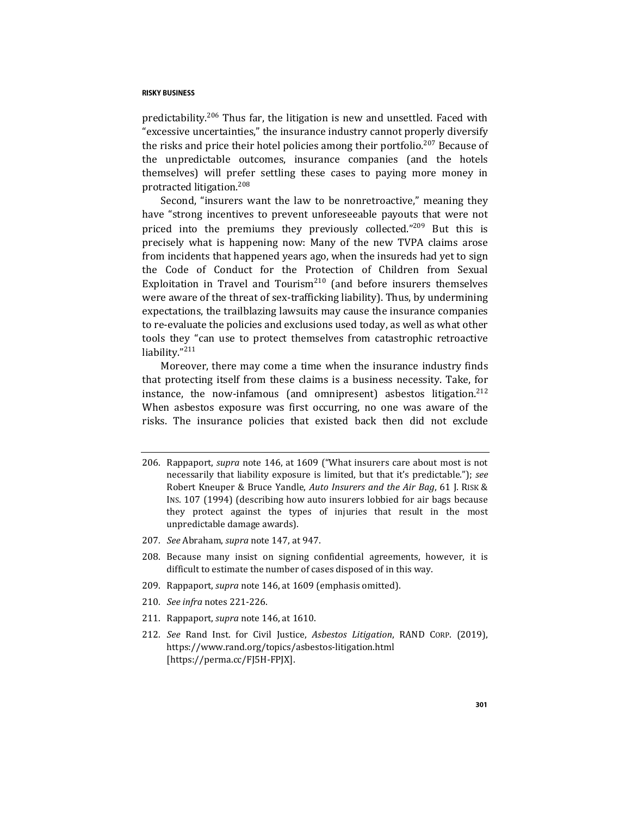predictability.<sup>206</sup> Thus far, the litigation is new and unsettled. Faced with "excessive uncertainties," the insurance industry cannot properly diversify the risks and price their hotel policies among their portfolio.<sup>207</sup> Because of the unpredictable outcomes, insurance companies (and the hotels themselves) will prefer settling these cases to paying more money in protracted litigation.<sup>208</sup>

Second, "insurers want the law to be nonretroactive," meaning they have "strong incentives to prevent unforeseeable payouts that were not priced into the premiums they previously collected."<sup>209</sup> But this is precisely what is happening now: Many of the new TVPA claims arose from incidents that happened years ago, when the insureds had yet to sign the Code of Conduct for the Protection of Children from Sexual Exploitation in Travel and Tourism<sup>210</sup> (and before insurers themselves were aware of the threat of sex-trafficking liability). Thus, by undermining expectations, the trailblazing lawsuits may cause the insurance companies to re-evaluate the policies and exclusions used today, as well as what other tools they "can use to protect themselves from catastrophic retroactive liability."<sup>211</sup>

Moreover, there may come a time when the insurance industry finds that protecting itself from these claims is a business necessity. Take, for instance, the now-infamous (and omnipresent) asbestos litigation.<sup>212</sup> When asbestos exposure was first occurring, no one was aware of the risks. The insurance policies that existed back then did not exclude

- 207*. See* Abraham, *supra* note [147,](#page-27-1) at 947.
- 208. Because many insist on signing confidential agreements, however, it is difficult to estimate the number of cases disposed of in this way.
- 209. Rappaport, *supra* not[e 146,](#page-27-0) at 1609 (emphasis omitted).
- 210*. See infra* notes [221-](#page-39-0)[226.](#page-40-0)
- 211. Rappaport, *supra* not[e 146,](#page-27-0) at 1610.
- 212*. See* Rand Inst. for Civil Justice, *Asbestos Litigation*, RAND CORP. (2019), https://www.rand.org/topics/asbestos-litigation.html [https://perma.cc/FJ5H-FPJX].

<sup>206.</sup> Rappaport, *supra* note [146,](#page-27-0) at 1609 ("What insurers care about most is not necessarily that liability exposure is limited, but that it's predictable."); *see*  Robert Kneuper & Bruce Yandle, *Auto Insurers and the Air Bag*, 61 J. RISK & INS. 107 (1994) (describing how auto insurers lobbied for air bags because they protect against the types of injuries that result in the most unpredictable damage awards).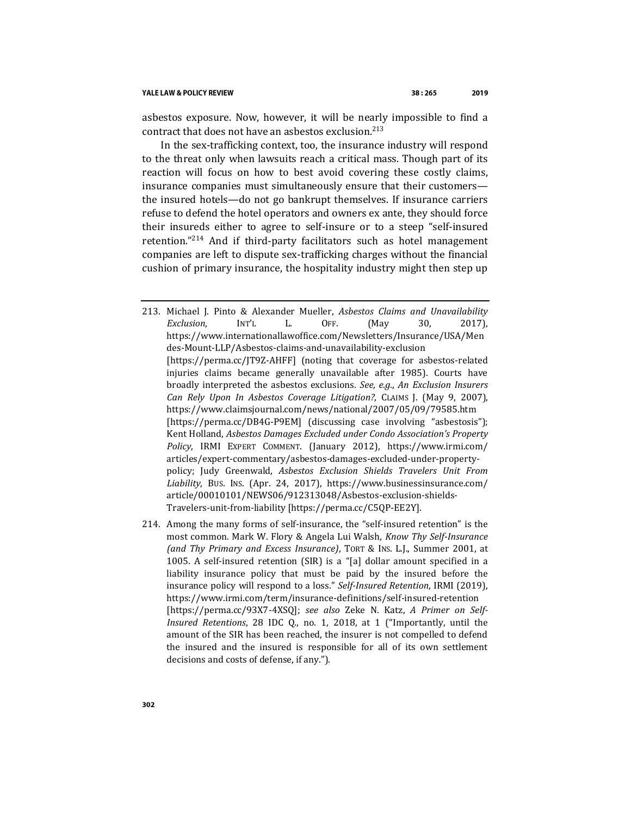asbestos exposure. Now, however, it will be nearly impossible to find a contract that does not have an asbestos exclusion.<sup>213</sup>

In the sex-trafficking context, too, the insurance industry will respond to the threat only when lawsuits reach a critical mass. Though part of its reaction will focus on how to best avoid covering these costly claims, insurance companies must simultaneously ensure that their customers the insured hotels—do not go bankrupt themselves. If insurance carriers refuse to defend the hotel operators and owners ex ante, they should force their insureds either to agree to self-insure or to a steep "self-insured retention."<sup>214</sup> And if third-party facilitators such as hotel management companies are left to dispute sex-trafficking charges without the financial cushion of primary insurance, the hospitality industry might then step up

<span id="page-37-0"></span>213. Michael J. Pinto & Alexander Mueller, *Asbestos Claims and Unavailability Exclusion*, INT'L L. OFF. (May 30, 2017), https://www.internationallawoffice.com/Newsletters/Insurance/USA/Men des-Mount-LLP/Asbestos-claims-and-unavailability-exclusion [https://perma.cc/JT9Z-AHFF] (noting that coverage for asbestos-related injuries claims became generally unavailable after 1985). Courts have broadly interpreted the asbestos exclusions. *See, e.g.*, *An Exclusion Insurers Can Rely Upon In Asbestos Coverage Litigation?*, CLAIMS J. (May 9, 2007), https://www.claimsjournal.com/news/national/2007/05/09/79585.htm [https://perma.cc/DB4G-P9EM] (discussing case involving "asbestosis"); Kent Holland, *Asbestos Damages Excluded under Condo Association's Property Policy*, IRMI EXPERT COMMENT. (January 2012), https://www.irmi.com/ articles/expert-commentary/asbestos-damages-excluded-under-propertypolicy; Judy Greenwald, *Asbestos Exclusion Shields Travelers Unit From Liability*, BUS. INS. (Apr. 24, 2017), https://www.businessinsurance.com/ article/00010101/NEWS06/912313048/Asbestos-exclusion-shields-Travelers-unit-from-liability [https://perma.cc/C5QP-EE2Y].

214. Among the many forms of self-insurance, the "self-insured retention" is the most common. Mark W. Flory & Angela Lui Walsh, *Know Thy Self-Insurance (and Thy Primary and Excess Insurance)*, TORT & INS. L.J., Summer 2001, at 1005. A self-insured retention (SIR) is a "[a] dollar amount specified in a liability insurance policy that must be paid by the insured before the insurance policy will respond to a loss." *Self-Insured Retention*, IRMI (2019), https://www.irmi.com/term/insurance-definitions/self-insured-retention [https://perma.cc/93X7-4XSQ]; *see also* Zeke N. Katz, *A Primer on Self-Insured Retentions*, 28 IDC Q., no. 1, 2018, at 1 ("Importantly, until the amount of the SIR has been reached, the insurer is not compelled to defend the insured and the insured is responsible for all of its own settlement decisions and costs of defense, if any.").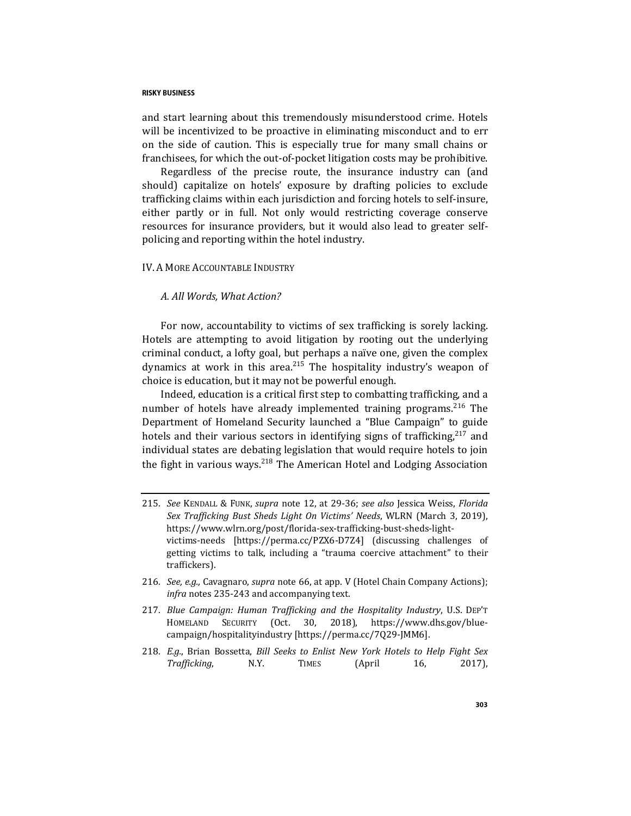and start learning about this tremendously misunderstood crime. Hotels will be incentivized to be proactive in eliminating misconduct and to err on the side of caution. This is especially true for many small chains or franchisees, for which the out-of-pocket litigation costs may be prohibitive.

Regardless of the precise route, the insurance industry can (and should) capitalize on hotels' exposure by drafting policies to exclude trafficking claims within each jurisdiction and forcing hotels to self-insure, either partly or in full. Not only would restricting coverage conserve resources for insurance providers, but it would also lead to greater selfpolicing and reporting within the hotel industry.

## IV. A MORE ACCOUNTABLE INDUSTRY

## *A. All Words, What Action?*

For now, accountability to victims of sex trafficking is sorely lacking. Hotels are attempting to avoid litigation by rooting out the underlying criminal conduct, a lofty goal, but perhaps a naïve one, given the complex dynamics at work in this area. $215$  The hospitality industry's weapon of choice is education, but it may not be powerful enough.

<span id="page-38-0"></span>Indeed, education is a critical first step to combatting trafficking, and a number of hotels have already implemented training programs.<sup>216</sup> The Department of Homeland Security launched a "Blue Campaign" to guide hotels and their various sectors in identifying signs of trafficking,<sup>217</sup> and individual states are debating legislation that would require hotels to join the fight in various ways.<sup>218</sup> The American Hotel and Lodging Association

- 215*. See* KENDALL & FUNK, *supra* note [12,](#page-4-0) at 29-36; *see also* Jessica Weiss, *Florida Sex Trafficking Bust Sheds Light On Victims' Needs*, WLRN (March 3, 2019), https://www.wlrn.org/post/florida-sex-trafficking-bust-sheds-lightvictims-needs [https://perma.cc/PZX6-D7Z4] (discussing challenges of getting victims to talk, including a "trauma coercive attachment" to their traffickers).
- 216*. See, e.g.,* Cavagnaro, *supra* note [66,](#page-13-0) at app. V (Hotel Chain Company Actions); *infra* notes [235](#page-41-0)[-243](#page-43-0) and accompanying text.
- 217*. Blue Campaign: Human Trafficking and the Hospitality Industry*, U.S. DEP'T HOMELAND SECURITY (Oct. 30, 2018), https://www.dhs.gov/bluecampaign/hospitalityindustry [https://perma.cc/7Q29-JMM6].
- 218*. E.g.*, Brian Bossetta, *Bill Seeks to Enlist New York Hotels to Help Fight Sex Trafficking*, N.Y. TIMES (April 16, 2017),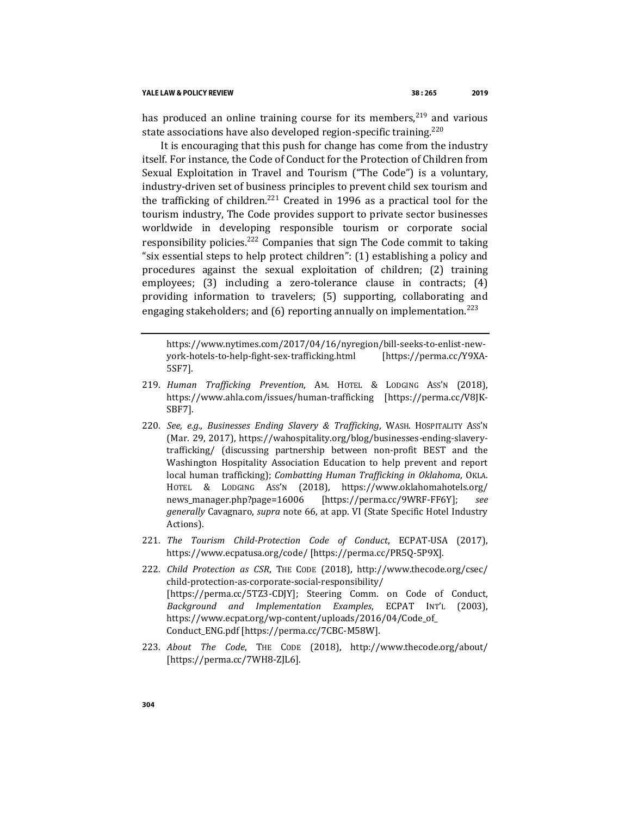#### YALE LAW & POLICY REVIEW

has produced an online training course for its members, $^{219}$  and various state associations have also developed region-specific training.<sup>220</sup>

<span id="page-39-0"></span>It is encouraging that this push for change has come from the industry itself. For instance, the Code of Conduct for the Protection of Children from Sexual Exploitation in Travel and Tourism ("The Code") is a voluntary, industry-driven set of business principles to prevent child sex tourism and the trafficking of children.<sup>221</sup> Created in 1996 as a practical tool for the tourism industry, The Code provides support to private sector businesses worldwide in developing responsible tourism or corporate social responsibility policies.<sup>222</sup> Companies that sign The Code commit to taking "six essential steps to help protect children": (1) establishing a policy and procedures against the sexual exploitation of children; (2) training employees; (3) including a zero-tolerance clause in contracts; (4) providing information to travelers; (5) supporting, collaborating and engaging stakeholders; and  $(6)$  reporting annually on implementation.<sup>223</sup>

<span id="page-39-1"></span>https://www.nytimes.com/2017/04/16/nyregion/bill-seeks-to-enlist-newyork-hotels-to-help-fight-sex-trafficking.html [https://perma.cc/Y9XA-5SF7].

- 219*. Human Trafficking Prevention*, AM. HOTEL & LODGING ASS'N (2018), https://www.ahla.com/issues/human-trafficking [https://perma.cc/V8JK-SBF7].
- 220*. See, e.g.*, *Businesses Ending Slavery & Trafficking*, WASH. HOSPITALITY ASS'N (Mar. 29, 2017), https://wahospitality.org/blog/businesses-ending-slaverytrafficking/ (discussing partnership between non-profit BEST and the Washington Hospitality Association Education to help prevent and report local human trafficking); *Combatting Human Trafficking in Oklahoma*, OKLA. HOTEL & LODGING ASS'N (2018), https://www.oklahomahotels.org/ news\_manager.php?page=16006 [https://perma.cc/9WRF-FF6Y]; *see generally* Cavagnaro, *supra* note [66,](#page-13-0) at app. VI (State Specific Hotel Industry Actions).
- 221*. The Tourism Child-Protection Code of Conduct*, ECPAT-USA (2017), https://www.ecpatusa.org/code/ [https://perma.cc/PR5Q-5P9X].
- 222*. Child Protection as CSR*, THE CODE (2018), http://www.thecode.org/csec/ child-protection-as-corporate-social-responsibility/ [https://perma.cc/5TZ3-CDJY]; Steering Comm. on Code of Conduct, *Background and Implementation Examples*, ECPAT INT'L (2003), https://www.ecpat.org/wp-content/uploads/2016/04/Code\_of\_ Conduct\_ENG.pdf [https://perma.cc/7CBC-M58W].
- 223*. About The Code*, THE CODE (2018), http://www.thecode.org/about/ [https://perma.cc/7WH8-ZJL6].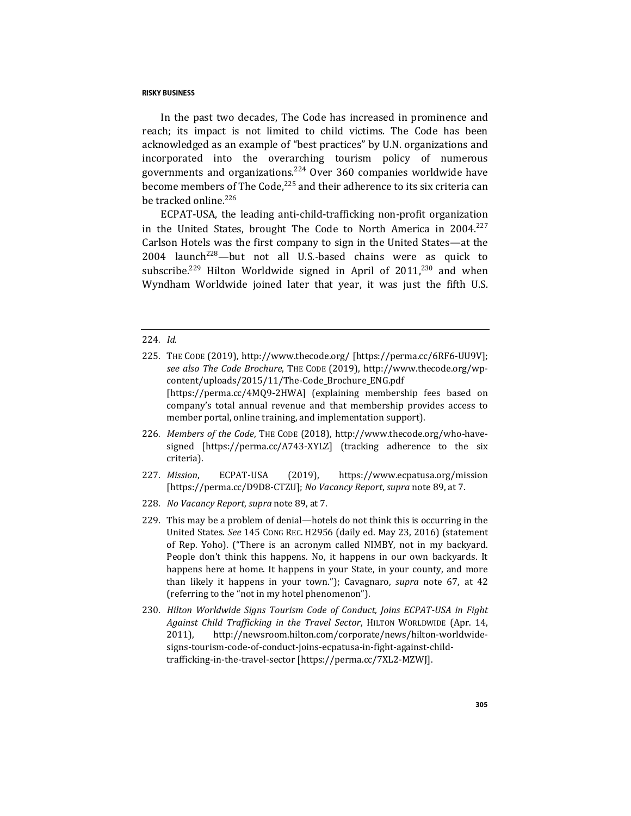In the past two decades, The Code has increased in prominence and reach; its impact is not limited to child victims. The Code has been acknowledged as an example of "best practices" by U.N. organizations and incorporated into the overarching tourism policy of numerous governments and organizations.<sup>224</sup> Over 360 companies worldwide have become members of The Code, $225$  and their adherence to its six criteria can be tracked online.<sup>226</sup>

<span id="page-40-1"></span><span id="page-40-0"></span>ECPAT-USA, the leading anti-child-trafficking non-profit organization in the United States, brought The Code to North America in  $2004.<sup>227</sup>$ Carlson Hotels was the first company to sign in the United States—at the 2004 launch<sup>228</sup>—but not all U.S.-based chains were as quick to subscribe.<sup>229</sup> Hilton Worldwide signed in April of  $2011$ <sup>230</sup> and when Wyndham Worldwide joined later that year, it was just the fifth U.S.

#### 224*. Id.*

- 226*. Members of the Code*, THE CODE (2018), http://www.thecode.org/who-havesigned [https://perma.cc/A743-XYLZ] (tracking adherence to the six criteria).
- 227*. Mission*, ECPAT-USA (2019), https://www.ecpatusa.org/mission [https://perma.cc/D9D8-CTZU]; *No Vacancy Report*, *supra* not[e 89,](#page-17-0) at 7.
- 228*. No Vacancy Report*, *supra* not[e 89,](#page-17-0) at 7.
- 229. This may be a problem of denial—hotels do not think this is occurring in the United States. *See* 145 CONG REC. H2956 (daily ed. May 23, 2016) (statement of Rep. Yoho). ("There is an acronym called NIMBY, not in my backyard. People don't think this happens. No, it happens in our own backyards. It happens here at home. It happens in your State, in your county, and more than likely it happens in your town."); Cavagnaro, *supra* note [67,](#page-13-1) at 42 (referring to the "not in my hotel phenomenon").
- 230*. Hilton Worldwide Signs Tourism Code of Conduct, Joins ECPAT-USA in Fight Against Child Trafficking in the Travel Sector*, HILTON WORLDWIDE (Apr. 14, 2011), http://newsroom.hilton.com/corporate/news/hilton-worldwidesigns-tourism-code-of-conduct-joins-ecpatusa-in-fight-against-childtrafficking-in-the-travel-sector [https://perma.cc/7XL2-MZWJ].

<sup>225</sup>*.* THE CODE (2019), http://www.thecode.org/ [https://perma.cc/6RF6-UU9V]; *see also The Code Brochure*, THE CODE (2019), http://www.thecode.org/wpcontent/uploads/2015/11/The-Code\_Brochure\_ENG.pdf [https://perma.cc/4MQ9-2HWA] (explaining membership fees based on company's total annual revenue and that membership provides access to member portal, online training, and implementation support).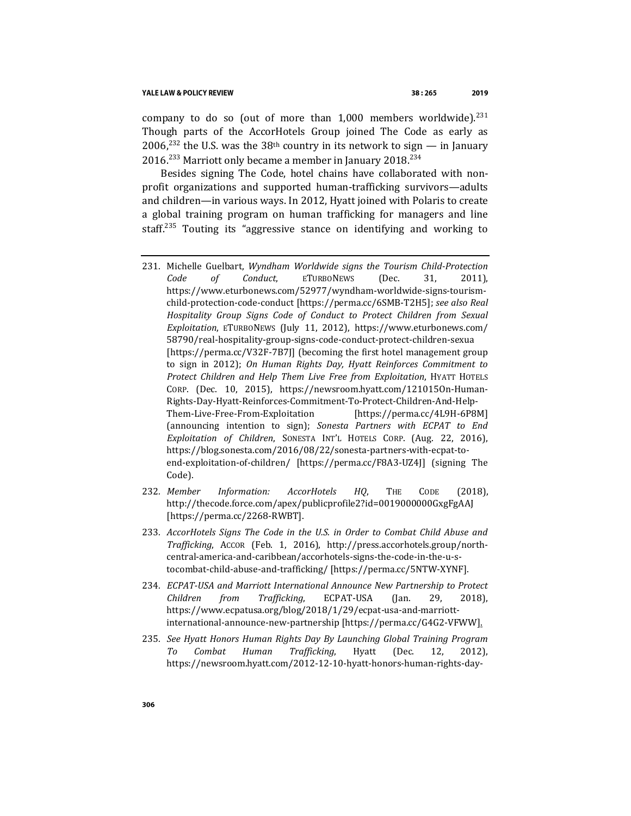company to do so (out of more than  $1,000$  members worldwide).<sup>231</sup> Though parts of the AccorHotels Group joined The Code as early as 2006,<sup>232</sup> the U.S. was the 38<sup>th</sup> country in its network to sign — in January 2016.<sup>233</sup> Marriott only became a member in January 2018.<sup>234</sup>

Besides signing The Code, hotel chains have collaborated with nonprofit organizations and supported human-trafficking survivors—adults and children—in various ways. In 2012, Hyatt joined with Polaris to create a global training program on human trafficking for managers and line staff.<sup>235</sup> Touting its "aggressive stance on identifying and working to

- <span id="page-41-0"></span>231. Michelle Guelbart, *Wyndham Worldwide signs the Tourism Child-Protection Code of Conduct*, ETURBONEWS (Dec. 31, 2011), https://www.eturbonews.com/52977/wyndham-worldwide-signs-tourismchild-protection-code-conduct [https://perma.cc/6SMB-T2H5]; *see also Real Hospitality Group Signs Code of Conduct to Protect Children from Sexual Exploitation*, ETURBONEWS (July 11, 2012), https://www.eturbonews.com/ 58790/real-hospitality-group-signs-code-conduct-protect-children-sexua [https://perma.cc/V32F-7B7J] (becoming the first hotel management group to sign in 2012); *On Human Rights Day, Hyatt Reinforces Commitment to Protect Children and Help Them Live Free from Exploitation*, HYATT HOTELS CORP. (Dec. 10, 2015), https://newsroom.hyatt.com/121015On-Human-Rights-Day-Hyatt-Reinforces-Commitment-To-Protect-Children-And-Help-Them-Live-Free-From-Exploitation [https://perma.cc/4L9H-6P8M] (announcing intention to sign); *Sonesta Partners with ECPAT to End Exploitation of Children*, SONESTA INT'L HOTELS CORP. (Aug. 22, 2016), https://blog.sonesta.com/2016/08/22/sonesta-partners-with-ecpat-toend-exploitation-of-children/ [https://perma.cc/F8A3-UZ4J] (signing The Code).
- 232*. Member Information: AccorHotels HQ*, THE CODE (2018), http://thecode.force.com/apex/publicprofile2?id=0019000000GxgFgAAJ [https://perma.cc/2268-RWBT].
- 233*. AccorHotels Signs The Code in the U.S. in Order to Combat Child Abuse and Trafficking*, ACCOR (Feb. 1, 2016), http://press.accorhotels.group/northcentral-america-and-caribbean/accorhotels-signs-the-code-in-the-u-stocombat-child-abuse-and-trafficking/ [https://perma.cc/5NTW-XYNF].
- 234*. ECPAT-USA and Marriott International Announce New Partnership to Protect Children from Trafficking*, ECPAT-USA (Jan. 29, 2018), https://www.ecpatusa.org/blog/2018/1/29/ecpat-usa-and-marriottinternational-announce-new-partnership [https://perma.cc/G4G2-VFWW].
- 235*. See Hyatt Honors Human Rights Day By Launching Global Training Program To Combat Human Trafficking*, Hyatt (Dec. 12, 2012), https://newsroom.hyatt.com/2012-12-10-hyatt-honors-human-rights-day-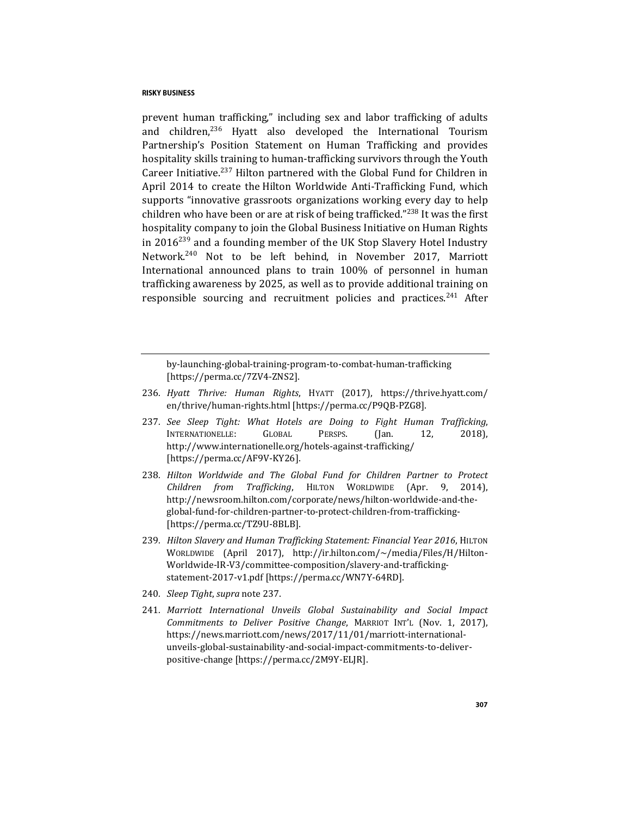<span id="page-42-0"></span>prevent human trafficking," including sex and labor trafficking of adults and children, $236$  Hyatt also developed the International Tourism Partnership's Position Statement on Human Trafficking and provides hospitality skills training to human-trafficking survivors through the Youth Career Initiative. $237$  Hilton partnered with the Global Fund for Children in April 2014 to create the Hilton Worldwide Anti-Trafficking Fund, which supports "innovative grassroots organizations working every day to help children who have been or are at risk of being trafficked."<sup>238</sup> It was the first hospitality company to join the Global Business Initiative on Human Rights in  $2016^{239}$  and a founding member of the UK Stop Slavery Hotel Industry Network.<sup>240</sup> Not to be left behind, in November 2017, Marriott International announced plans to train 100% of personnel in human trafficking awareness by 2025, as well as to provide additional training on responsible sourcing and recruitment policies and practices.<sup>241</sup> After

by-launching-global-training-program-to-combat-human-trafficking [https://perma.cc/7ZV4-ZNS2].

- 236*. Hyatt Thrive: Human Rights*, HYATT (2017), https://thrive.hyatt.com/ en/thrive/human-rights.html [https://perma.cc/P9QB-PZG8].
- 237*. See Sleep Tight: What Hotels are Doing to Fight Human Trafficking*, INTERNATIONELLE: GLOBAL PERSPS. (Jan. 12, 2018), http://www.internationelle.org/hotels-against-trafficking/ [https://perma.cc/AF9V-KY26].
- 238*. Hilton Worldwide and The Global Fund for Children Partner to Protect Children from Trafficking*, HILTON WORLDWIDE (Apr. 9, 2014), http://newsroom.hilton.com/corporate/news/hilton-worldwide-and-theglobal-fund-for-children-partner-to-protect-children-from-trafficking- [https://perma.cc/TZ9U-8BLB].
- 239*. Hilton Slavery and Human Trafficking Statement: Financial Year 2016*, HILTON WORLDWIDE (April 2017), http://ir.hilton.com/~/media/Files/H/Hilton-Worldwide-IR-V3/committee-composition/slavery-and-traffickingstatement-2017-v1.pdf [https://perma.cc/WN7Y-64RD].
- 240*. Sleep Tight*, *supra* not[e 237.](#page-42-0)
- 241*. Marriott International Unveils Global Sustainability and Social Impact Commitments to Deliver Positive Change*, MARRIOT INT'L (Nov. 1, 2017), https://news.marriott.com/news/2017/11/01/marriott-internationalunveils-global-sustainability-and-social-impact-commitments-to-deliverpositive-change [https://perma.cc/2M9Y-ELJR].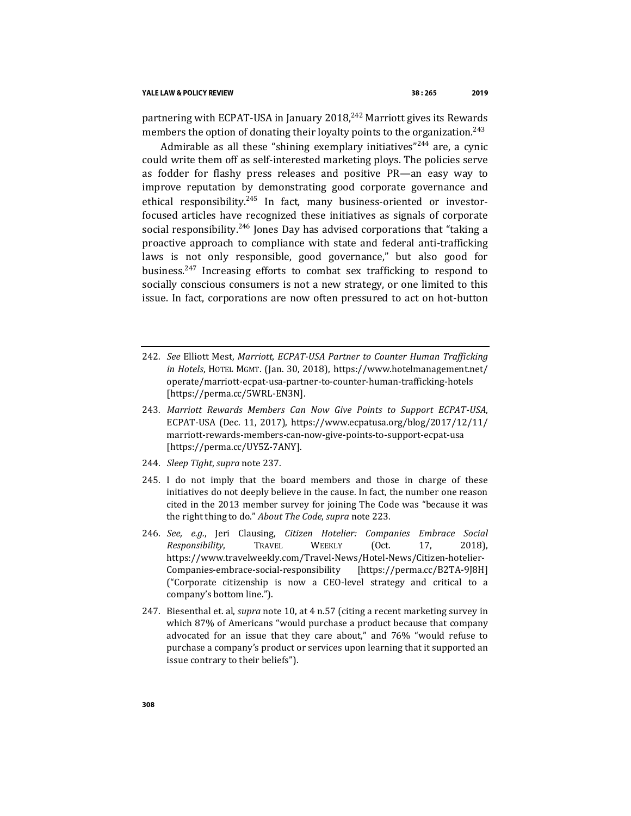<span id="page-43-0"></span>partnering with ECPAT-USA in January  $2018<sup>242</sup>$  Marriott gives its Rewards members the option of donating their loyalty points to the organization.<sup>243</sup>

Admirable as all these "shining exemplary initiatives"<sup>244</sup> are, a cynic could write them off as self-interested marketing ploys. The policies serve as fodder for flashy press releases and positive PR—an easy way to improve reputation by demonstrating good corporate governance and ethical responsibility.<sup>245</sup> In fact, many business-oriented or investorfocused articles have recognized these initiatives as signals of corporate social responsibility.<sup>246</sup> Jones Day has advised corporations that "taking a proactive approach to compliance with state and federal anti-trafficking laws is not only responsible, good governance," but also good for business.<sup>247</sup> Increasing efforts to combat sex trafficking to respond to socially conscious consumers is not a new strategy, or one limited to this issue. In fact, corporations are now often pressured to act on hot-button

- 242*. See* Elliott Mest, *Marriott, ECPAT-USA Partner to Counter Human Trafficking in Hotels*, HOTEL MGMT. (Jan. 30, 2018), https://www.hotelmanagement.net/ operate/marriott-ecpat-usa-partner-to-counter-human-trafficking-hotels [https://perma.cc/5WRL-EN3N].
- 243*. Marriott Rewards Members Can Now Give Points to Support ECPAT-USA*, ECPAT-USA (Dec. 11, 2017), https://www.ecpatusa.org/blog/2017/12/11/ marriott-rewards-members-can-now-give-points-to-support-ecpat-usa [https://perma.cc/UY5Z-7ANY].
- 244*. Sleep Tight*, *supra* not[e 237.](#page-42-0)
- 245. I do not imply that the board members and those in charge of these initiatives do not deeply believe in the cause. In fact, the number one reason cited in the 2013 member survey for joining The Code was "because it was the right thing to do." *About The Code*, *supra* not[e 223.](#page-39-1)
- 246*. See, e.g.*, Jeri Clausing, *Citizen Hotelier: Companies Embrace Social Responsibility*, TRAVEL WEEKLY (Oct. 17, 2018), https://www.travelweekly.com/Travel-News/Hotel-News/Citizen-hotelier-Companies-embrace-social-responsibility [https://perma.cc/B2TA-9J8H] ("Corporate citizenship is now a CEO-level strategy and critical to a company's bottom line.").
- 247. Biesenthal et. al, *supra* note [10,](#page-3-0) at 4 n.57 (citing a recent marketing survey in which 87% of Americans "would purchase a product because that company advocated for an issue that they care about," and 76% "would refuse to purchase a company's product or services upon learning that it supported an issue contrary to their beliefs").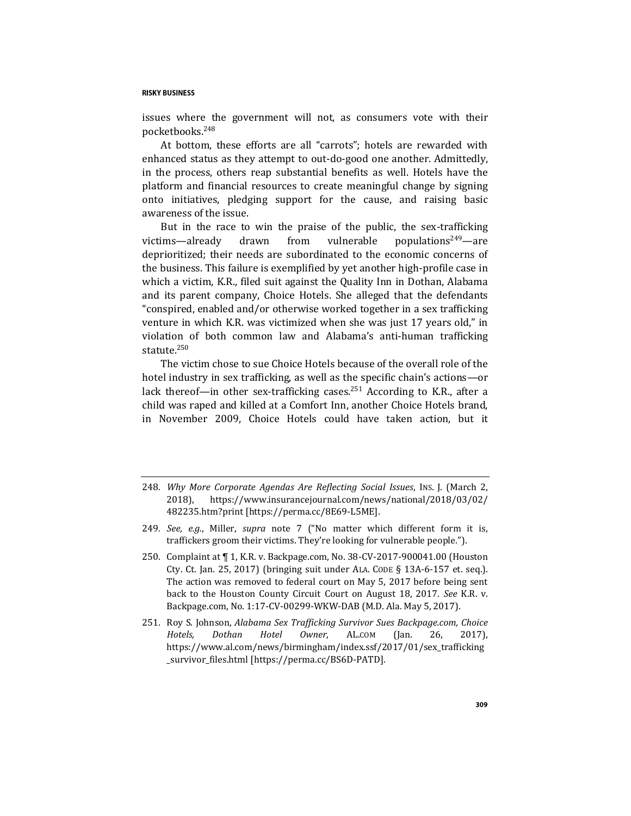issues where the government will not, as consumers vote with their pocketbooks.<sup>248</sup>

At bottom, these efforts are all "carrots"; hotels are rewarded with enhanced status as they attempt to out-do-good one another. Admittedly, in the process, others reap substantial benefits as well. Hotels have the platform and financial resources to create meaningful change by signing onto initiatives, pledging support for the cause, and raising basic awareness of the issue.

But in the race to win the praise of the public, the sex-trafficking victims—already drawn from vulnerable populations<sup>249</sup>—are deprioritized; their needs are subordinated to the economic concerns of the business. This failure is exemplified by yet another high-profile case in which a victim, K.R., filed suit against the Quality Inn in Dothan, Alabama and its parent company, Choice Hotels. She alleged that the defendants "conspired, enabled and/or otherwise worked together in a sex trafficking venture in which K.R. was victimized when she was just 17 years old," in violation of both common law and Alabama's anti-human trafficking statute.<sup>250</sup>

<span id="page-44-0"></span>The victim chose to sue Choice Hotels because of the overall role of the hotel industry in sex trafficking, as well as the specific chain's actions—or lack thereof—in other sex-trafficking cases.<sup>251</sup> According to K.R., after a child was raped and killed at a Comfort Inn, another Choice Hotels brand, in November 2009, Choice Hotels could have taken action, but it

- 248*. Why More Corporate Agendas Are Reflecting Social Issues*, INS. J. (March 2, 2018), https://www.insurancejournal.com/news/national/2018/03/02/ 482235.htm?print [https://perma.cc/8E69-L5ME].
- 249*. See, e.g.*, Miller, *supra* note [7](#page-2-1) ("No matter which different form it is, traffickers groom their victims. They're looking for vulnerable people.").
- 250. Complaint at ¶ 1, K.R. v. Backpage.com, No. 38-CV-2017-900041.00 (Houston Cty. Ct. Jan. 25, 2017) (bringing suit under ALA. CODE § 13A-6-157 et. seq.). The action was removed to federal court on May 5, 2017 before being sent back to the Houston County Circuit Court on August 18, 2017. *See* K.R. v. Backpage.com, No. 1:17-CV-00299-WKW-DAB (M.D. Ala. May 5, 2017).
- 251. Roy S. Johnson, *Alabama Sex Trafficking Survivor Sues Backpage.com, Choice Hotels, Dothan Hotel Owner*, AL.COM (Jan. 26, 2017), https://www.al.com/news/birmingham/index.ssf/2017/01/sex\_trafficking \_survivor\_files.html [https://perma.cc/BS6D-PATD].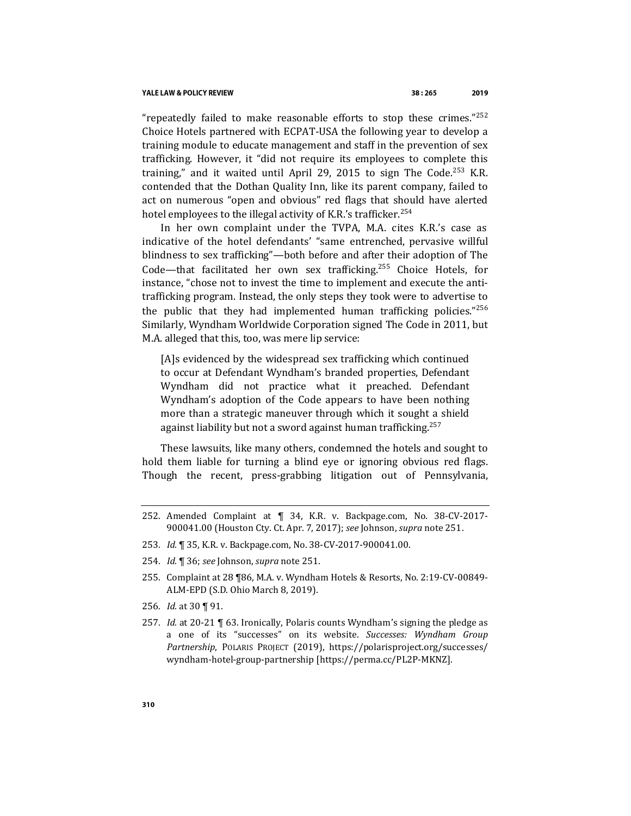#### YALE LAW & POLICY REVIEW

"repeatedly failed to make reasonable efforts to stop these crimes." $252$ Choice Hotels partnered with ECPAT-USA the following year to develop a training module to educate management and staff in the prevention of sex trafficking. However, it "did not require its employees to complete this training," and it waited until April 29, 2015 to sign The Code.<sup>253</sup> K.R. contended that the Dothan Quality Inn, like its parent company, failed to act on numerous "open and obvious" red flags that should have alerted hotel employees to the illegal activity of K.R.'s trafficker.<sup>254</sup>

In her own complaint under the TVPA, M.A. cites K.R.'s case as indicative of the hotel defendants' "same entrenched, pervasive willful blindness to sex trafficking"—both before and after their adoption of The Code—that facilitated her own sex trafficking.<sup>255</sup> Choice Hotels, for instance, "chose not to invest the time to implement and execute the antitrafficking program. Instead, the only steps they took were to advertise to the public that they had implemented human trafficking policies." $256$ Similarly, Wyndham Worldwide Corporation signed The Code in 2011, but M.A. alleged that this, too, was mere lip service:

[A]s evidenced by the widespread sex trafficking which continued to occur at Defendant Wyndham's branded properties, Defendant Wyndham did not practice what it preached. Defendant Wyndham's adoption of the Code appears to have been nothing more than a strategic maneuver through which it sought a shield against liability but not a sword against human trafficking.<sup>257</sup>

These lawsuits, like many others, condemned the hotels and sought to hold them liable for turning a blind eye or ignoring obvious red flags. Though the recent, press-grabbing litigation out of Pennsylvania,

- 253*. Id.* ¶ 35, K.R. v. Backpage.com, No. 38-CV-2017-900041.00.
- 254*. Id.* ¶ 36; *see* Johnson, *supra* not[e 251.](#page-44-0)

- 256*. Id.* at 30 ¶ 91.
- 257*. Id.* at 20-21 ¶ 63. Ironically, Polaris counts Wyndham's signing the pledge as a one of its "successes" on its website. *Successes: Wyndham Group Partnership*, POLARIS PROJECT (2019), https://polarisproject.org/successes/ wyndham-hotel-group-partnership [https://perma.cc/PL2P-MKNZ].

<sup>252.</sup> Amended Complaint at ¶ 34, K.R. v. Backpage.com, No. 38-CV-2017- 900041.00 (Houston Cty. Ct. Apr. 7, 2017); *see* Johnson, *supra* not[e 251.](#page-44-0)

<sup>255.</sup> Complaint at 28 ¶86, M.A. v. Wyndham Hotels & Resorts, No. 2:19-CV-00849- ALM-EPD (S.D. Ohio March 8, 2019).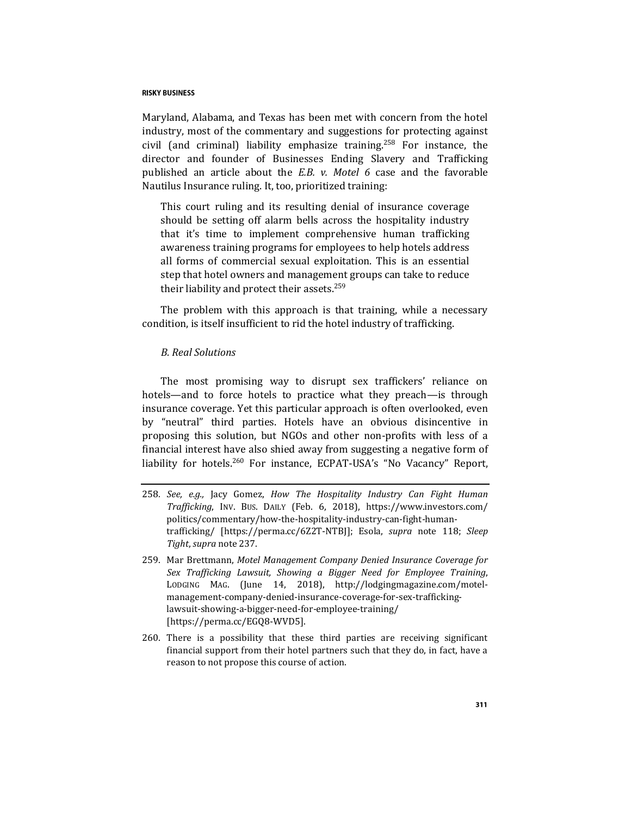Maryland, Alabama, and Texas has been met with concern from the hotel industry, most of the commentary and suggestions for protecting against civil (and criminal) liability emphasize training.<sup>258</sup> For instance, the director and founder of Businesses Ending Slavery and Trafficking published an article about the *E.B. v. Motel 6* case and the favorable Nautilus Insurance ruling. It, too, prioritized training:

This court ruling and its resulting denial of insurance coverage should be setting off alarm bells across the hospitality industry that it's time to implement comprehensive human trafficking awareness training programs for employees to help hotels address all forms of commercial sexual exploitation. This is an essential step that hotel owners and management groups can take to reduce their liability and protect their assets.<sup>259</sup>

The problem with this approach is that training, while a necessary condition, is itself insufficient to rid the hotel industry of trafficking.

## *B. Real Solutions*

The most promising way to disrupt sex traffickers' reliance on hotels—and to force hotels to practice what they preach—is through insurance coverage. Yet this particular approach is often overlooked, even by "neutral" third parties. Hotels have an obvious disincentive in proposing this solution, but NGOs and other non-profits with less of a financial interest have also shied away from suggesting a negative form of liability for hotels.<sup>260</sup> For instance, ECPAT-USA's "No Vacancy" Report,

- 258*. See, e.g.,* Jacy Gomez, *How The Hospitality Industry Can Fight Human Trafficking*, INV. BUS. DAILY (Feb. 6, 2018), https://www.investors.com/ politics/commentary/how-the-hospitality-industry-can-fight-humantrafficking/ [https://perma.cc/6Z2T-NTBJ]; Esola, *supra* note [118;](#page-22-1) *Sleep Tight*, *supra* not[e 237.](#page-42-0)
- 259. Mar Brettmann, *Motel Management Company Denied Insurance Coverage for Sex Trafficking Lawsuit, Showing a Bigger Need for Employee Training*, LODGING MAG. (June 14, 2018), http://lodgingmagazine.com/motelmanagement-company-denied-insurance-coverage-for-sex-traffickinglawsuit-showing-a-bigger-need-for-employee-training/ [https://perma.cc/EGQ8-WVD5].
- 260. There is a possibility that these third parties are receiving significant financial support from their hotel partners such that they do, in fact, have a reason to not propose this course of action.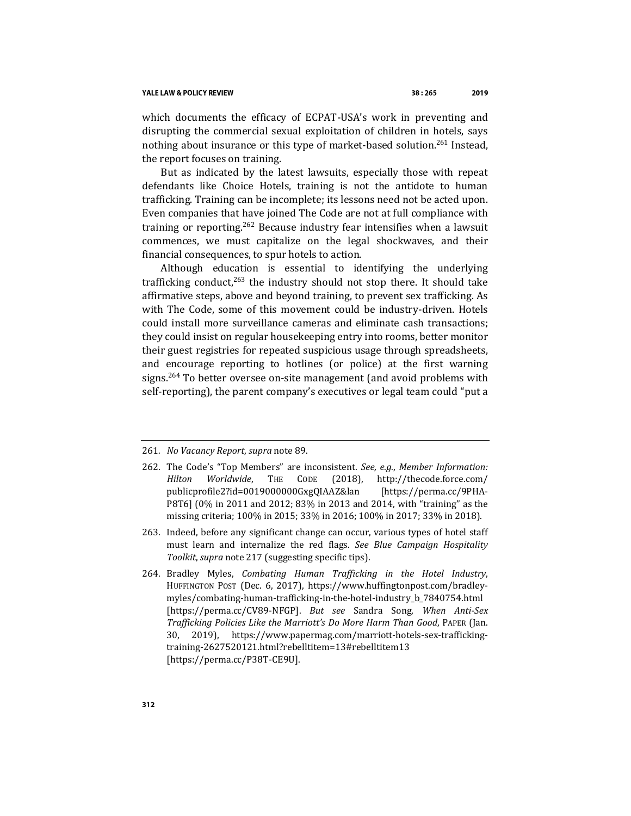which documents the efficacy of ECPAT-USA's work in preventing and disrupting the commercial sexual exploitation of children in hotels, says nothing about insurance or this type of market-based solution.<sup>261</sup> Instead, the report focuses on training.

But as indicated by the latest lawsuits, especially those with repeat defendants like Choice Hotels, training is not the antidote to human trafficking. Training can be incomplete; its lessons need not be acted upon. Even companies that have joined The Code are not at full compliance with training or reporting.<sup>262</sup> Because industry fear intensifies when a lawsuit commences, we must capitalize on the legal shockwaves, and their financial consequences, to spur hotels to action.

Although education is essential to identifying the underlying trafficking conduct, $263$  the industry should not stop there. It should take affirmative steps, above and beyond training, to prevent sex trafficking. As with The Code, some of this movement could be industry-driven. Hotels could install more surveillance cameras and eliminate cash transactions; they could insist on regular housekeeping entry into rooms, better monitor their guest registries for repeated suspicious usage through spreadsheets, and encourage reporting to hotlines (or police) at the first warning signs.<sup>264</sup> To better oversee on-site management (and avoid problems with self-reporting), the parent company's executives or legal team could "put a

<sup>261</sup>*. No Vacancy Report*, *supra* not[e 89.](#page-17-0)

<sup>262.</sup> The Code's "Top Members" are inconsistent. *See, e.g.*, *Member Information: Hilton Worldwide*, THE CODE (2018), http://thecode.force.com/ publicprofile2?id=0019000000GxgQIAAZ&lan [https://perma.cc/9PHA-P8T6] (0% in 2011 and 2012; 83% in 2013 and 2014, with "training" as the missing criteria; 100% in 2015; 33% in 2016; 100% in 2017; 33% in 2018).

<sup>263.</sup> Indeed, before any significant change can occur, various types of hotel staff must learn and internalize the red flags. *See Blue Campaign Hospitality Toolkit*, *supra* note [217](#page-38-0) (suggesting specific tips).

<sup>264.</sup> Bradley Myles, *Combating Human Trafficking in the Hotel Industry*, HUFFINGTON POST (Dec. 6, 2017), https://www.huffingtonpost.com/bradleymyles/combating-human-trafficking-in-the-hotel-industry\_b\_7840754.html [https://perma.cc/CV89-NFGP]. *But see* Sandra Song, *When Anti-Sex Trafficking Policies Like the Marriott's Do More Harm Than Good*, PAPER (Jan. 30, 2019), https://www.papermag.com/marriott-hotels-sex-traffickingtraining-2627520121.html?rebelltitem=13#rebelltitem13 [https://perma.cc/P38T-CE9U].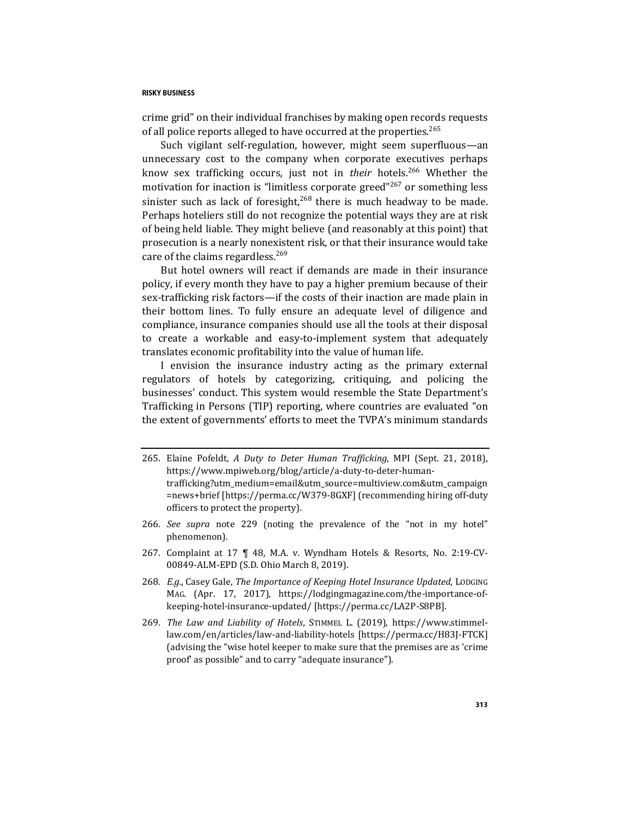crime grid" on their individual franchises by making open records requests of all police reports alleged to have occurred at the properties.<sup>265</sup>

Such vigilant self-regulation, however, might seem superfluous—an unnecessary cost to the company when corporate executives perhaps know sex trafficking occurs, just not in *their* hotels.<sup>266</sup> Whether the motivation for inaction is "limitless corporate greed"<sup>267</sup> or something less sinister such as lack of foresight, $268$  there is much headway to be made. Perhaps hoteliers still do not recognize the potential ways they are at risk of being held liable. They might believe (and reasonably at this point) that prosecution is a nearly nonexistent risk, or that their insurance would take care of the claims regardless.<sup>269</sup>

But hotel owners will react if demands are made in their insurance policy, if every month they have to pay a higher premium because of their sex-trafficking risk factors—if the costs of their inaction are made plain in their bottom lines. To fully ensure an adequate level of diligence and compliance, insurance companies should use all the tools at their disposal to create a workable and easy-to-implement system that adequately translates economic profitability into the value of human life.

I envision the insurance industry acting as the primary external regulators of hotels by categorizing, critiquing, and policing the businesses' conduct. This system would resemble the State Department's Trafficking in Persons (TIP) reporting, where countries are evaluated "on the extent of governments' efforts to meet the TVPA's minimum standards

- 266*. See supra* note [229](#page-40-1) (noting the prevalence of the "not in my hotel" phenomenon).
- 267. Complaint at 17 ¶ 48, M.A. v. Wyndham Hotels & Resorts, No. 2:19-CV-00849-ALM-EPD (S.D. Ohio March 8, 2019).
- 268*. E.g.*, Casey Gale, *The Importance of Keeping Hotel Insurance Updated*, LODGING MAG. (Apr. 17, 2017), https://lodgingmagazine.com/the-importance-ofkeeping-hotel-insurance-updated/ [https://perma.cc/LA2P-S8PB].
- 269*. The Law and Liability of Hotels*, STIMMEL L. (2019), https://www.stimmellaw.com/en/articles/law-and-liability-hotels [https://perma.cc/H83J-FTCK] (advising the "wise hotel keeper to make sure that the premises are as 'crime proof' as possible" and to carry "adequate insurance").

<sup>265.</sup> Elaine Pofeldt, *A Duty to Deter Human Trafficking*, MPI (Sept. 21, 2018), https://www.mpiweb.org/blog/article/a-duty-to-deter-humantrafficking?utm\_medium=email&utm\_source=multiview.com&utm\_campaign =news+brief [https://perma.cc/W379-8GXF] (recommending hiring off-duty officers to protect the property).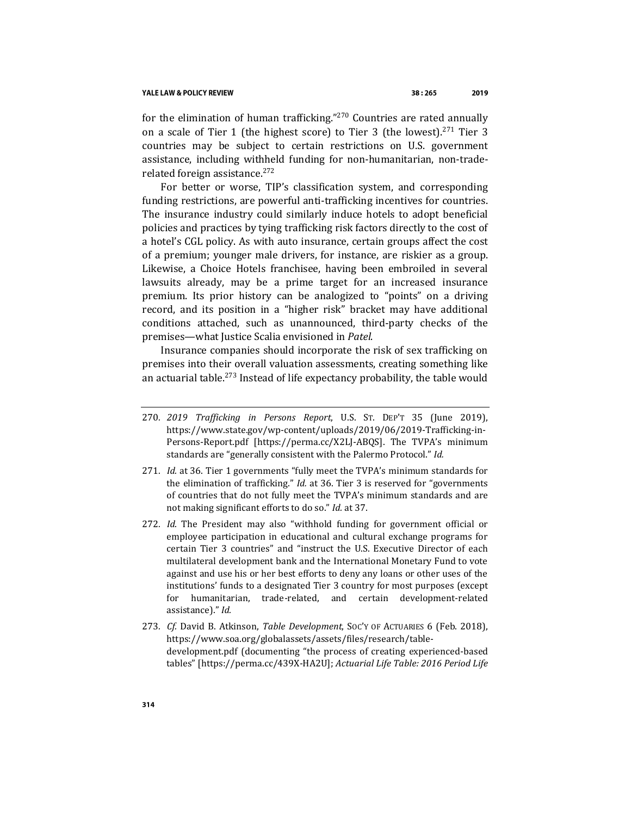for the elimination of human trafficking."<sup>270</sup> Countries are rated annually on a scale of Tier 1 (the highest score) to Tier 3 (the lowest).<sup>271</sup> Tier 3 countries may be subject to certain restrictions on U.S. government assistance, including withheld funding for non-humanitarian, non-traderelated foreign assistance.<sup>272</sup>

For better or worse, TIP's classification system, and corresponding funding restrictions, are powerful anti-trafficking incentives for countries. The insurance industry could similarly induce hotels to adopt beneficial policies and practices by tying trafficking risk factors directly to the cost of a hotel's CGL policy. As with auto insurance, certain groups affect the cost of a premium; younger male drivers, for instance, are riskier as a group. Likewise, a Choice Hotels franchisee, having been embroiled in several lawsuits already, may be a prime target for an increased insurance premium. Its prior history can be analogized to "points" on a driving record, and its position in a "higher risk" bracket may have additional conditions attached, such as unannounced, third-party checks of the premises—what Justice Scalia envisioned in *Patel*.

Insurance companies should incorporate the risk of sex trafficking on premises into their overall valuation assessments, creating something like an actuarial table.<sup>273</sup> Instead of life expectancy probability, the table would

- 270*. 2019 Trafficking in Persons Report*, U.S. ST. DEP'T 35 (June 2019), https://www.state.gov/wp-content/uploads/2019/06/2019-Trafficking-in-Persons-Report.pdf [https://perma.cc/X2LJ-ABQS]. The TVPA's minimum standards are "generally consistent with the Palermo Protocol." *Id.*
- 271*. Id.* at 36. Tier 1 governments "fully meet the TVPA's minimum standards for the elimination of trafficking." *Id.* at 36. Tier 3 is reserved for "governments of countries that do not fully meet the TVPA's minimum standards and are not making significant efforts to do so." *Id.* at 37.
- 272*. Id*. The President may also "withhold funding for government official or employee participation in educational and cultural exchange programs for certain Tier 3 countries" and "instruct the U.S. Executive Director of each multilateral development bank and the International Monetary Fund to vote against and use his or her best efforts to deny any loans or other uses of the institutions' funds to a designated Tier 3 country for most purposes (except for humanitarian, trade-related, and certain development-related assistance)." *Id.*
- 273*. Cf.* David B. Atkinson, *Table Development*, SOC'Y OF ACTUARIES 6 (Feb. 2018), https://www.soa.org/globalassets/assets/files/research/tabledevelopment.pdf (documenting "the process of creating experienced-based tables" [https://perma.cc/439X-HA2U]; *Actuarial Life Table: 2016 Period Life*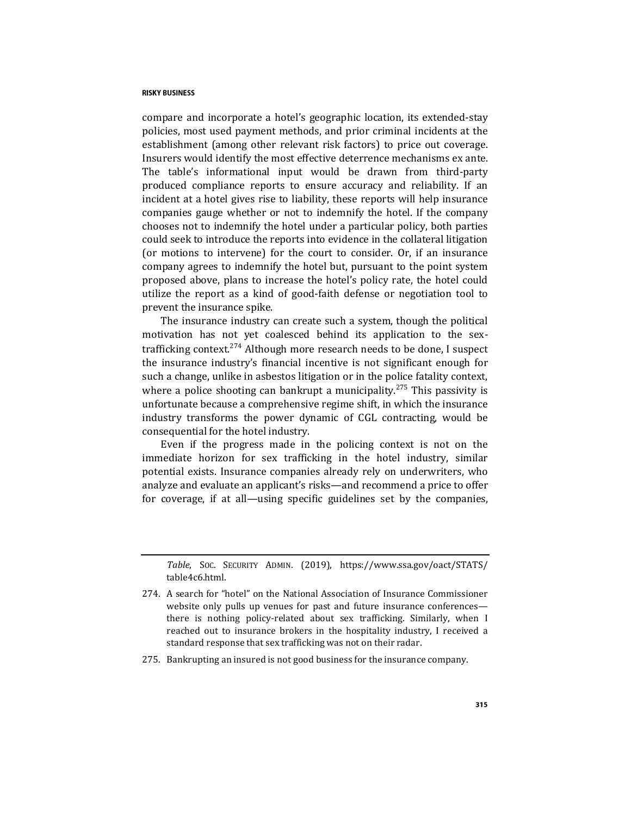compare and incorporate a hotel's geographic location, its extended-stay policies, most used payment methods, and prior criminal incidents at the establishment (among other relevant risk factors) to price out coverage. Insurers would identify the most effective deterrence mechanisms ex ante. The table's informational input would be drawn from third-party produced compliance reports to ensure accuracy and reliability. If an incident at a hotel gives rise to liability, these reports will help insurance companies gauge whether or not to indemnify the hotel. If the company chooses not to indemnify the hotel under a particular policy, both parties could seek to introduce the reports into evidence in the collateral litigation (or motions to intervene) for the court to consider. Or, if an insurance company agrees to indemnify the hotel but, pursuant to the point system proposed above, plans to increase the hotel's policy rate, the hotel could utilize the report as a kind of good-faith defense or negotiation tool to prevent the insurance spike.

The insurance industry can create such a system, though the political motivation has not yet coalesced behind its application to the sextrafficking context.<sup>274</sup> Although more research needs to be done, I suspect the insurance industry's financial incentive is not significant enough for such a change, unlike in asbestos litigation or in the police fatality context, where a police shooting can bankrupt a municipality.<sup>275</sup> This passivity is unfortunate because a comprehensive regime shift, in which the insurance industry transforms the power dynamic of CGL contracting, would be consequential for the hotel industry.

Even if the progress made in the policing context is not on the immediate horizon for sex trafficking in the hotel industry, similar potential exists. Insurance companies already rely on underwriters, who analyze and evaluate an applicant's risks—and recommend a price to offer for coverage, if at all—using specific guidelines set by the companies,

*Table*, SOC. SECURITY ADMIN. (2019), https://www.ssa.gov/oact/STATS/ table4c6.html.

<sup>274.</sup> A search for "hotel" on the National Association of Insurance Commissioner website only pulls up venues for past and future insurance conferences there is nothing policy-related about sex trafficking. Similarly, when I reached out to insurance brokers in the hospitality industry, I received a standard response that sex trafficking was not on their radar.

<sup>275.</sup> Bankrupting an insured is not good business for the insurance company.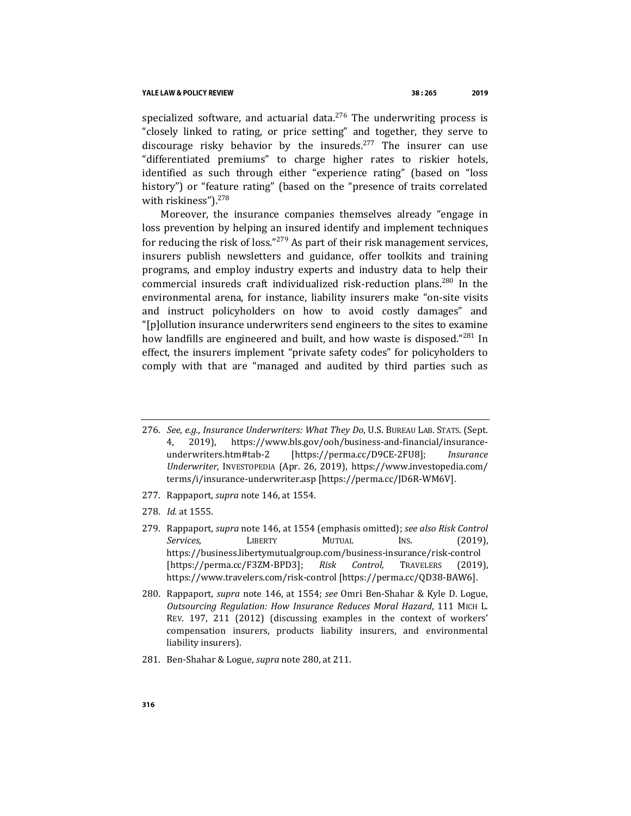#### YALE LAW & POLICY REVIEW

specialized software, and actuarial data. $276$  The underwriting process is "closely linked to rating, or price setting" and together, they serve to discourage risky behavior by the insureds.<sup>277</sup> The insurer can use "differentiated premiums" to charge higher rates to riskier hotels, identified as such through either "experience rating" (based on "loss history") or "feature rating" (based on the "presence of traits correlated with riskiness").<sup>278</sup>

<span id="page-51-0"></span>Moreover, the insurance companies themselves already "engage in loss prevention by helping an insured identify and implement techniques for reducing the risk of loss."<sup>279</sup> As part of their risk management services, insurers publish newsletters and guidance, offer toolkits and training programs, and employ industry experts and industry data to help their commercial insureds craft individualized risk-reduction plans.<sup>280</sup> In the environmental arena, for instance, liability insurers make "on-site visits and instruct policyholders on how to avoid costly damages" and "[p]ollution insurance underwriters send engineers to the sites to examine how landfills are engineered and built, and how waste is disposed."<sup>281</sup> In effect, the insurers implement "private safety codes" for policyholders to comply with that are "managed and audited by third parties such as

- 276*. See, e.g.*, *Insurance Underwriters: What They Do*, U.S. BUREAU LAB. STATS. (Sept. 4, 2019), https://www.bls.gov/ooh/business-and-financial/insuranceunderwriters.htm#tab-2 [https://perma.cc/D9CE-2FU8]; *Insurance Underwriter,* INVESTOPEDIA (Apr. 26, 2019), https://www.investopedia.com/ terms/i/insurance-underwriter.asp [https://perma.cc/JD6R-WM6V].
- 277. Rappaport, *supra* not[e 146,](#page-27-0) at 1554.
- 278*. Id.* at 1555.
- 279. Rappaport, *supra* not[e 146,](#page-27-0) at 1554 (emphasis omitted); *see also Risk Control Services,* LIBERTY MUTUAL INS. (2019), https://business.libertymutualgroup.com/business-insurance/risk-control [https://perma.cc/F3ZM-BPD3]; *Risk Control,* TRAVELERS (2019), https://www.travelers.com/risk-control [https://perma.cc/QD38-BAW6].
- 280. Rappaport, *supra* note [146,](#page-27-0) at 1554; *see* Omri Ben-Shahar & Kyle D. Logue, *Outsourcing Regulation: How Insurance Reduces Moral Hazard*, 111 MICH L. REV. 197, 211 (2012) (discussing examples in the context of workers' compensation insurers, products liability insurers, and environmental liability insurers).
- 281. Ben-Shahar & Logue, *supra* not[e 280,](#page-51-0) at 211.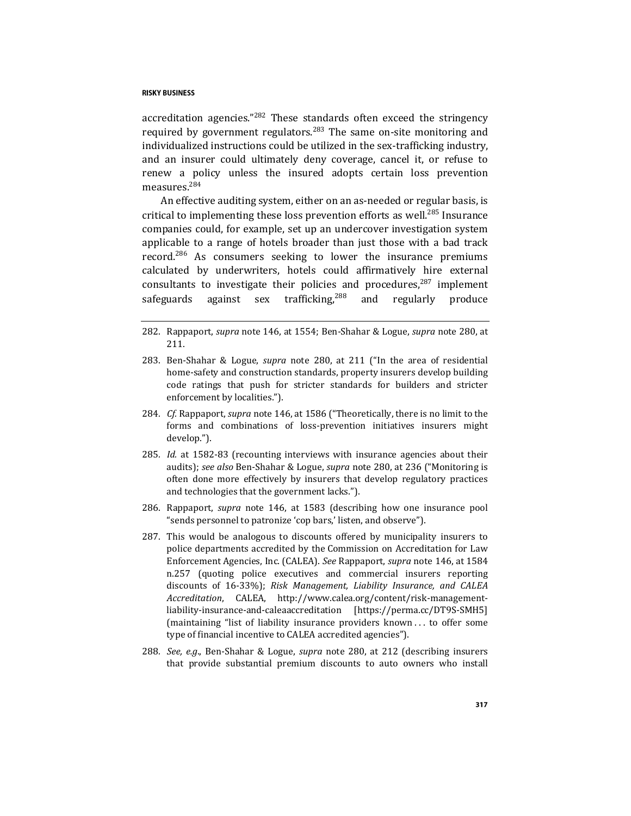accreditation agencies."<sup>282</sup> These standards often exceed the stringency required by government regulators.<sup>283</sup> The same on-site monitoring and individualized instructions could be utilized in the sex-trafficking industry, and an insurer could ultimately deny coverage, cancel it, or refuse to renew a policy unless the insured adopts certain loss prevention measures.<sup>284</sup>

An effective auditing system, either on an as-needed or regular basis, is critical to implementing these loss prevention efforts as well.<sup>285</sup> Insurance companies could, for example, set up an undercover investigation system applicable to a range of hotels broader than just those with a bad track record.<sup>286</sup> As consumers seeking to lower the insurance premiums calculated by underwriters, hotels could affirmatively hire external consultants to investigate their policies and procedures, $287$  implement safeguards against sex trafficking,<sup>288</sup> and regularly produce

- 282. Rappaport, *supra* not[e 146,](#page-27-0) at 1554; Ben-Shahar & Logue, *supra* not[e 280,](#page-51-0) at 211.
- 283. Ben-Shahar & Logue, *supra* note [280,](#page-51-0) at 211 ("In the area of residential home-safety and construction standards, property insurers develop building code ratings that push for stricter standards for builders and stricter enforcement by localities.").
- 284*. Cf.* Rappaport, *supra* not[e 146,](#page-27-0) at 1586 ("Theoretically, there is no limit to the forms and combinations of loss-prevention initiatives insurers might develop.").
- 285*. Id.* at 1582-83 (recounting interviews with insurance agencies about their audits); *see also* Ben-Shahar & Logue, *supra* note [280,](#page-51-0) at 236 ("Monitoring is often done more effectively by insurers that develop regulatory practices and technologies that the government lacks.").
- 286. Rappaport, *supra* note [146,](#page-27-0) at 1583 (describing how one insurance pool "sends personnel to patronize 'cop bars,' listen, and observe").
- 287. This would be analogous to discounts offered by municipality insurers to police departments accredited by the Commission on Accreditation for Law Enforcement Agencies, Inc. (CALEA). *See* Rappaport, *supra* note [146,](#page-27-0) at 1584 n.257 (quoting police executives and commercial insurers reporting discounts of 16-33%); *Risk Management, Liability Insurance, and CALEA Accreditation*, CALEA, http://www.calea.org/content/risk-managementliability-insurance-and-caleaaccreditation [https://perma.cc/DT9S-SMH5] (maintaining "list of liability insurance providers known . . . to offer some type of financial incentive to CALEA accredited agencies").
- 288*. See, e.g*., Ben-Shahar & Logue, *supra* note [280,](#page-51-0) at 212 (describing insurers that provide substantial premium discounts to auto owners who install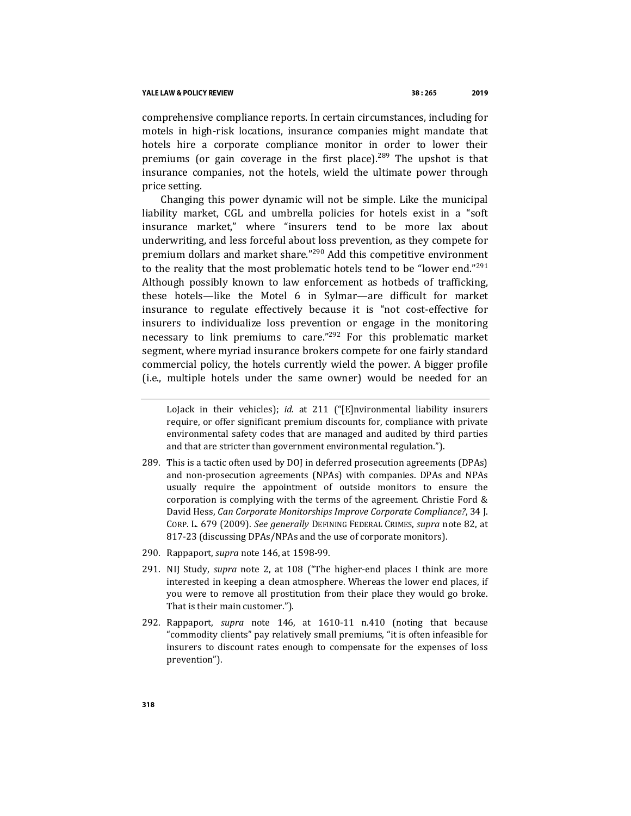comprehensive compliance reports. In certain circumstances, including for motels in high-risk locations, insurance companies might mandate that hotels hire a corporate compliance monitor in order to lower their premiums (or gain coverage in the first place).<sup>289</sup> The upshot is that insurance companies, not the hotels, wield the ultimate power through price setting.

Changing this power dynamic will not be simple. Like the municipal liability market, CGL and umbrella policies for hotels exist in a "soft insurance market," where "insurers tend to be more lax about underwriting, and less forceful about loss prevention, as they compete for premium dollars and market share."<sup>290</sup> Add this competitive environment to the reality that the most problematic hotels tend to be "lower end."<sup>291</sup> Although possibly known to law enforcement as hotbeds of trafficking, these hotels—like the Motel 6 in Sylmar—are difficult for market insurance to regulate effectively because it is "not cost-effective for insurers to individualize loss prevention or engage in the monitoring necessary to link premiums to care."<sup>292</sup> For this problematic market segment, where myriad insurance brokers compete for one fairly standard commercial policy, the hotels currently wield the power. A bigger profile (i.e., multiple hotels under the same owner) would be needed for an

- 289. This is a tactic often used by DOJ in deferred prosecution agreements (DPAs) and non-prosecution agreements (NPAs) with companies. DPAs and NPAs usually require the appointment of outside monitors to ensure the corporation is complying with the terms of the agreement. Christie Ford & David Hess, *Can Corporate Monitorships Improve Corporate Compliance?*, 34 J. CORP. L. 679 (2009). *See generally* DEFINING FEDERAL CRIMES, *supra* note [82,](#page-16-0) at 817-23 (discussing DPAs/NPAs and the use of corporate monitors).
- 290. Rappaport, *supra* not[e 146,](#page-27-0) at 1598-99.
- 291. NIJ Study, *supra* note [2,](#page-1-0) at 108 ("The higher-end places I think are more interested in keeping a clean atmosphere. Whereas the lower end places, if you were to remove all prostitution from their place they would go broke. That is their main customer.").
- 292. Rappaport, *supra* note [146,](#page-27-0) at 1610-11 n.410 (noting that because "commodity clients" pay relatively small premiums, "it is often infeasible for insurers to discount rates enough to compensate for the expenses of loss prevention").

LoJack in their vehicles); *id.* at 211 ("[E]nvironmental liability insurers require, or offer significant premium discounts for, compliance with private environmental safety codes that are managed and audited by third parties and that are stricter than government environmental regulation.").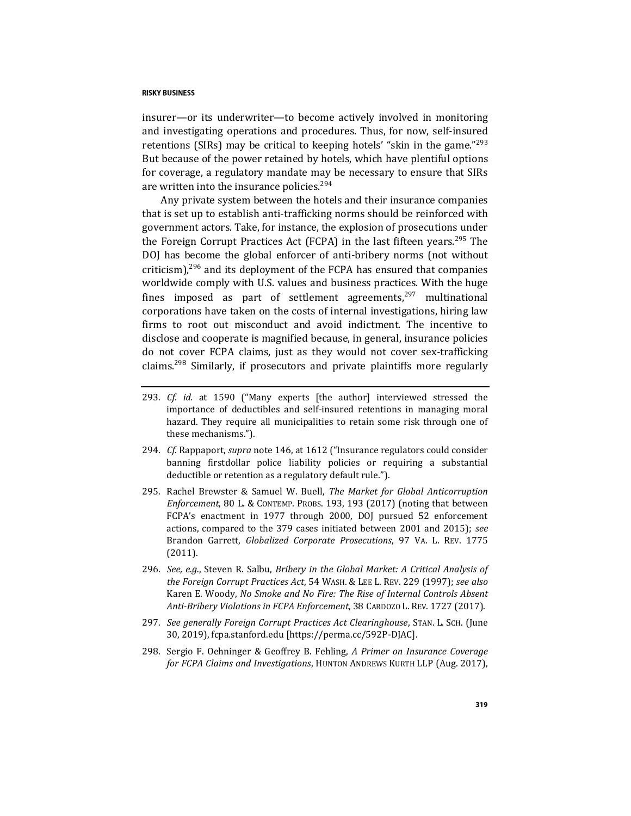insurer—or its underwriter—to become actively involved in monitoring and investigating operations and procedures. Thus, for now, self-insured retentions (SIRs) may be critical to keeping hotels' "skin in the game."<sup>293</sup> But because of the power retained by hotels, which have plentiful options for coverage, a regulatory mandate may be necessary to ensure that SIRs are written into the insurance policies.<sup>294</sup>

Any private system between the hotels and their insurance companies that is set up to establish anti-trafficking norms should be reinforced with government actors. Take, for instance, the explosion of prosecutions under the Foreign Corrupt Practices Act (FCPA) in the last fifteen years.<sup>295</sup> The DOJ has become the global enforcer of anti-bribery norms (not without criticism), $296$  and its deployment of the FCPA has ensured that companies worldwide comply with U.S. values and business practices. With the huge fines imposed as part of settlement agreements, $297$  multinational corporations have taken on the costs of internal investigations, hiring law firms to root out misconduct and avoid indictment. The incentive to disclose and cooperate is magnified because, in general, insurance policies do not cover FCPA claims, just as they would not cover sex-trafficking claims.<sup>298</sup> Similarly, if prosecutors and private plaintiffs more regularly

- 293*. Cf. id.* at 1590 ("Many experts [the author] interviewed stressed the importance of deductibles and self-insured retentions in managing moral hazard. They require all municipalities to retain some risk through one of these mechanisms.").
- 294*. Cf.* Rappaport, *supra* not[e 146,](#page-27-0) at 1612 ("Insurance regulators could consider banning firstdollar police liability policies or requiring a substantial deductible or retention as a regulatory default rule.").
- 295. Rachel Brewster & Samuel W. Buell, *The Market for Global Anticorruption Enforcement*, 80 L. & CONTEMP. PROBS. 193, 193 (2017) (noting that between FCPA's enactment in 1977 through 2000, DOJ pursued 52 enforcement actions, compared to the 379 cases initiated between 2001 and 2015); *see*  Brandon Garrett, *Globalized Corporate Prosecutions*, 97 VA. L. REV. 1775 (2011).
- 296*. See, e.g.*, Steven R. Salbu, *Bribery in the Global Market: A Critical Analysis of the Foreign Corrupt Practices Act*, 54 WASH. & LEE L. REV. 229 (1997); *see also*  Karen E. Woody, *No Smoke and No Fire: The Rise of Internal Controls Absent Anti-Bribery Violations in FCPA Enforcement*, 38 CARDOZO L. REV. 1727 (2017).
- 297*. See generally Foreign Corrupt Practices Act Clearinghouse*, STAN. L. SCH. (June 30, 2019), fcpa.stanford.edu [https://perma.cc/592P-DJAC].
- 298. Sergio F. Oehninger & Geoffrey B. Fehling, *A Primer on Insurance Coverage for FCPA Claims and Investigations*, HUNTON ANDREWS KURTH LLP (Aug. 2017),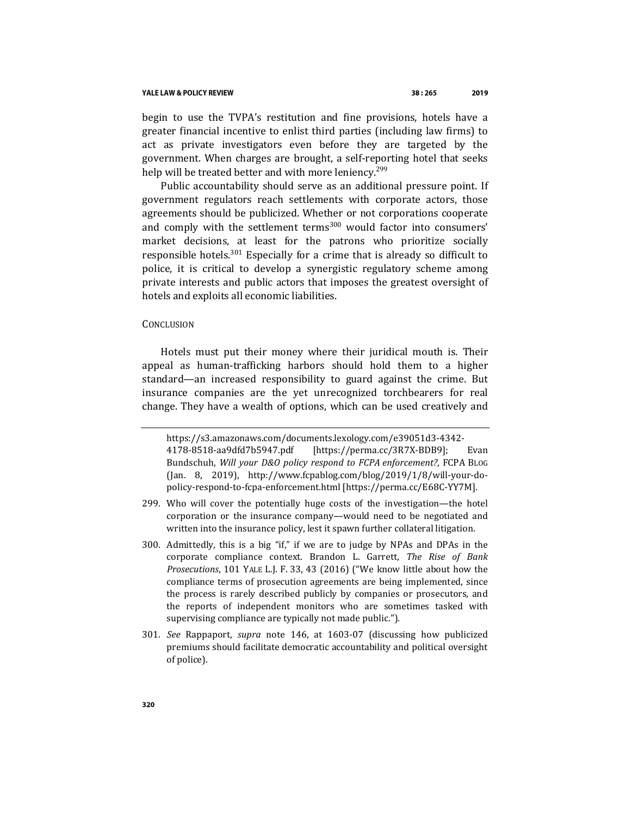#### YALE LAW & POLICY REVIEW

begin to use the TVPA's restitution and fine provisions, hotels have a greater financial incentive to enlist third parties (including law firms) to act as private investigators even before they are targeted by the government. When charges are brought, a self-reporting hotel that seeks help will be treated better and with more leniency.<sup>299</sup>

Public accountability should serve as an additional pressure point. If government regulators reach settlements with corporate actors, those agreements should be publicized. Whether or not corporations cooperate and comply with the settlement terms $300$  would factor into consumers' market decisions, at least for the patrons who prioritize socially responsible hotels.<sup>301</sup> Especially for a crime that is already so difficult to police, it is critical to develop a synergistic regulatory scheme among private interests and public actors that imposes the greatest oversight of hotels and exploits all economic liabilities.

## **CONCLUSION**

Hotels must put their money where their juridical mouth is. Their appeal as human-trafficking harbors should hold them to a higher standard—an increased responsibility to guard against the crime. But insurance companies are the yet unrecognized torchbearers for real change. They have a wealth of options, which can be used creatively and

https://s3.amazonaws.com/documents.lexology.com/e39051d3-4342- 4178-8518-aa9dfd7b5947.pdf [https://perma.cc/3R7X-BDB9]; Evan Bundschuh, *Will your D&O policy respond to FCPA enforcement?*, FCPA BLOG (Jan. 8, 2019), http://www.fcpablog.com/blog/2019/1/8/will-your-dopolicy-respond-to-fcpa-enforcement.html [https://perma.cc/E68C-YY7M].

<sup>299.</sup> Who will cover the potentially huge costs of the investigation—the hotel corporation or the insurance company—would need to be negotiated and written into the insurance policy, lest it spawn further collateral litigation.

<sup>300.</sup> Admittedly, this is a big "if," if we are to judge by NPAs and DPAs in the corporate compliance context. Brandon L. Garrett, *The Rise of Bank Prosecutions*, 101 YALE L.J. F. 33, 43 (2016) ("We know little about how the compliance terms of prosecution agreements are being implemented, since the process is rarely described publicly by companies or prosecutors, and the reports of independent monitors who are sometimes tasked with supervising compliance are typically not made public.").

<sup>301</sup>*. See* Rappaport, *supra* note [146,](#page-27-0) at 1603-07 (discussing how publicized premiums should facilitate democratic accountability and political oversight of police).